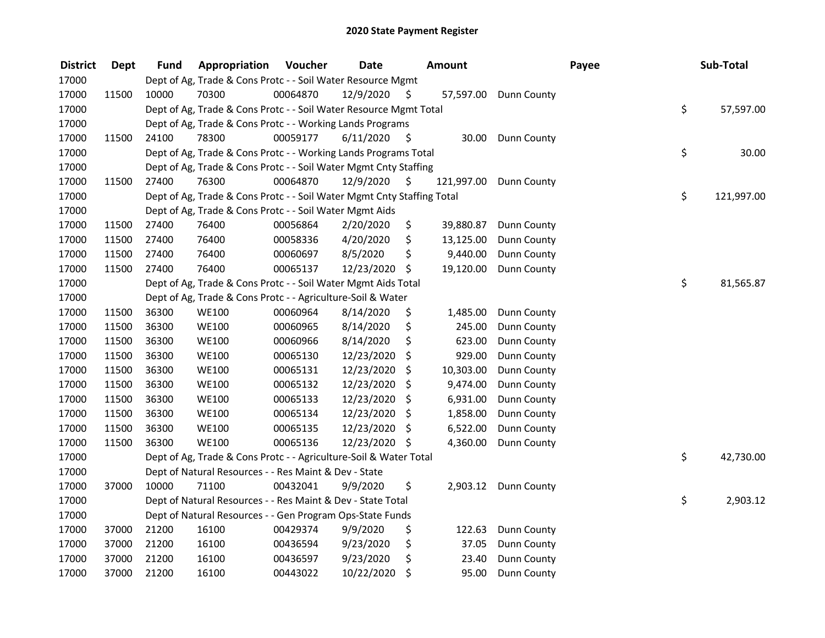| <b>District</b> | Dept  | Fund  | Appropriation                                                          | Voucher  | <b>Date</b>   |      | Amount     |                      | Payee | Sub-Total        |
|-----------------|-------|-------|------------------------------------------------------------------------|----------|---------------|------|------------|----------------------|-------|------------------|
| 17000           |       |       | Dept of Ag, Trade & Cons Protc - - Soil Water Resource Mgmt            |          |               |      |            |                      |       |                  |
| 17000           | 11500 | 10000 | 70300                                                                  | 00064870 | 12/9/2020     | \$   | 57,597.00  | <b>Dunn County</b>   |       |                  |
| 17000           |       |       | Dept of Ag, Trade & Cons Protc - - Soil Water Resource Mgmt Total      |          |               |      |            |                      |       | \$<br>57,597.00  |
| 17000           |       |       | Dept of Ag, Trade & Cons Protc - - Working Lands Programs              |          |               |      |            |                      |       |                  |
| 17000           | 11500 | 24100 | 78300                                                                  | 00059177 | 6/11/2020     | \$   | 30.00      | <b>Dunn County</b>   |       |                  |
| 17000           |       |       | Dept of Ag, Trade & Cons Protc - - Working Lands Programs Total        |          |               |      |            |                      |       | \$<br>30.00      |
| 17000           |       |       | Dept of Ag, Trade & Cons Protc - - Soil Water Mgmt Cnty Staffing       |          |               |      |            |                      |       |                  |
| 17000           | 11500 | 27400 | 76300                                                                  | 00064870 | 12/9/2020     | - \$ | 121,997.00 | <b>Dunn County</b>   |       |                  |
| 17000           |       |       | Dept of Ag, Trade & Cons Protc - - Soil Water Mgmt Cnty Staffing Total |          |               |      |            |                      |       | \$<br>121,997.00 |
| 17000           |       |       | Dept of Ag, Trade & Cons Protc - - Soil Water Mgmt Aids                |          |               |      |            |                      |       |                  |
| 17000           | 11500 | 27400 | 76400                                                                  | 00056864 | 2/20/2020     | \$   | 39,880.87  | Dunn County          |       |                  |
| 17000           | 11500 | 27400 | 76400                                                                  | 00058336 | 4/20/2020     | \$   | 13,125.00  | Dunn County          |       |                  |
| 17000           | 11500 | 27400 | 76400                                                                  | 00060697 | 8/5/2020      | \$   | 9,440.00   | Dunn County          |       |                  |
| 17000           | 11500 | 27400 | 76400                                                                  | 00065137 | 12/23/2020    | \$   | 19,120.00  | <b>Dunn County</b>   |       |                  |
| 17000           |       |       | Dept of Ag, Trade & Cons Protc - - Soil Water Mgmt Aids Total          |          |               |      |            |                      |       | \$<br>81,565.87  |
| 17000           |       |       | Dept of Ag, Trade & Cons Protc - - Agriculture-Soil & Water            |          |               |      |            |                      |       |                  |
| 17000           | 11500 | 36300 | <b>WE100</b>                                                           | 00060964 | 8/14/2020     | \$   | 1,485.00   | Dunn County          |       |                  |
| 17000           | 11500 | 36300 | <b>WE100</b>                                                           | 00060965 | 8/14/2020     | \$   | 245.00     | Dunn County          |       |                  |
| 17000           | 11500 | 36300 | <b>WE100</b>                                                           | 00060966 | 8/14/2020     | \$   | 623.00     | Dunn County          |       |                  |
| 17000           | 11500 | 36300 | <b>WE100</b>                                                           | 00065130 | 12/23/2020    | \$   | 929.00     | Dunn County          |       |                  |
| 17000           | 11500 | 36300 | <b>WE100</b>                                                           | 00065131 | 12/23/2020    | \$   | 10,303.00  | Dunn County          |       |                  |
| 17000           | 11500 | 36300 | <b>WE100</b>                                                           | 00065132 | 12/23/2020    | \$   | 9,474.00   | Dunn County          |       |                  |
| 17000           | 11500 | 36300 | <b>WE100</b>                                                           | 00065133 | 12/23/2020    | \$   | 6,931.00   | Dunn County          |       |                  |
| 17000           | 11500 | 36300 | <b>WE100</b>                                                           | 00065134 | 12/23/2020    | \$   | 1,858.00   | Dunn County          |       |                  |
| 17000           | 11500 | 36300 | <b>WE100</b>                                                           | 00065135 | 12/23/2020    | \$   | 6,522.00   | Dunn County          |       |                  |
| 17000           | 11500 | 36300 | <b>WE100</b>                                                           | 00065136 | 12/23/2020 \$ |      | 4,360.00   | Dunn County          |       |                  |
| 17000           |       |       | Dept of Ag, Trade & Cons Protc - - Agriculture-Soil & Water Total      |          |               |      |            |                      |       | \$<br>42,730.00  |
| 17000           |       |       | Dept of Natural Resources - - Res Maint & Dev - State                  |          |               |      |            |                      |       |                  |
| 17000           | 37000 | 10000 | 71100                                                                  | 00432041 | 9/9/2020      | \$   |            | 2,903.12 Dunn County |       |                  |
| 17000           |       |       | Dept of Natural Resources - - Res Maint & Dev - State Total            |          |               |      |            |                      |       | \$<br>2,903.12   |
| 17000           |       |       | Dept of Natural Resources - - Gen Program Ops-State Funds              |          |               |      |            |                      |       |                  |
| 17000           | 37000 | 21200 | 16100                                                                  | 00429374 | 9/9/2020      | \$   | 122.63     | Dunn County          |       |                  |
| 17000           | 37000 | 21200 | 16100                                                                  | 00436594 | 9/23/2020     | \$   | 37.05      | Dunn County          |       |                  |
| 17000           | 37000 | 21200 | 16100                                                                  | 00436597 | 9/23/2020     | \$   | 23.40      | Dunn County          |       |                  |
| 17000           | 37000 | 21200 | 16100                                                                  | 00443022 | 10/22/2020    | \$   | 95.00      | <b>Dunn County</b>   |       |                  |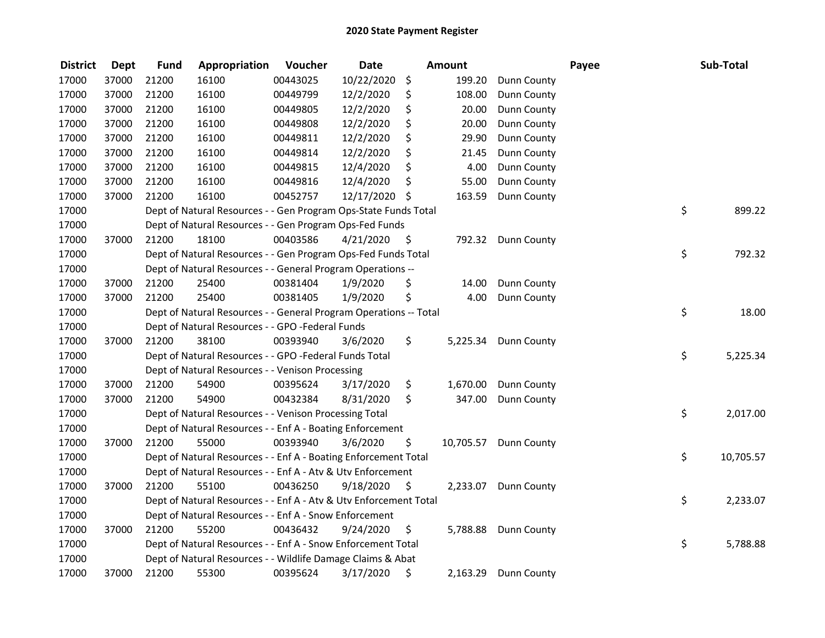| <b>District</b> | <b>Dept</b> | <b>Fund</b> | Appropriation                                                     | Voucher  | <b>Date</b>   |      | Amount    |                      | Payee | Sub-Total       |
|-----------------|-------------|-------------|-------------------------------------------------------------------|----------|---------------|------|-----------|----------------------|-------|-----------------|
| 17000           | 37000       | 21200       | 16100                                                             | 00443025 | 10/22/2020    | \$   | 199.20    | <b>Dunn County</b>   |       |                 |
| 17000           | 37000       | 21200       | 16100                                                             | 00449799 | 12/2/2020     | \$   | 108.00    | Dunn County          |       |                 |
| 17000           | 37000       | 21200       | 16100                                                             | 00449805 | 12/2/2020     | \$   | 20.00     | Dunn County          |       |                 |
| 17000           | 37000       | 21200       | 16100                                                             | 00449808 | 12/2/2020     | \$   | 20.00     | Dunn County          |       |                 |
| 17000           | 37000       | 21200       | 16100                                                             | 00449811 | 12/2/2020     | \$   | 29.90     | Dunn County          |       |                 |
| 17000           | 37000       | 21200       | 16100                                                             | 00449814 | 12/2/2020     | \$   | 21.45     | Dunn County          |       |                 |
| 17000           | 37000       | 21200       | 16100                                                             | 00449815 | 12/4/2020     | \$   | 4.00      | <b>Dunn County</b>   |       |                 |
| 17000           | 37000       | 21200       | 16100                                                             | 00449816 | 12/4/2020     | \$   | 55.00     | Dunn County          |       |                 |
| 17000           | 37000       | 21200       | 16100                                                             | 00452757 | 12/17/2020 \$ |      | 163.59    | Dunn County          |       |                 |
| 17000           |             |             | Dept of Natural Resources - - Gen Program Ops-State Funds Total   |          |               |      |           |                      |       | \$<br>899.22    |
| 17000           |             |             | Dept of Natural Resources - - Gen Program Ops-Fed Funds           |          |               |      |           |                      |       |                 |
| 17000           | 37000       | 21200       | 18100                                                             | 00403586 | 4/21/2020     | - \$ | 792.32    | <b>Dunn County</b>   |       |                 |
| 17000           |             |             | Dept of Natural Resources - - Gen Program Ops-Fed Funds Total     |          |               |      |           |                      |       | \$<br>792.32    |
| 17000           |             |             | Dept of Natural Resources - - General Program Operations --       |          |               |      |           |                      |       |                 |
| 17000           | 37000       | 21200       | 25400                                                             | 00381404 | 1/9/2020      | \$   | 14.00     | Dunn County          |       |                 |
| 17000           | 37000       | 21200       | 25400                                                             | 00381405 | 1/9/2020      | \$   | 4.00      | Dunn County          |       |                 |
| 17000           |             |             | Dept of Natural Resources - - General Program Operations -- Total |          |               |      |           |                      |       | \$<br>18.00     |
| 17000           |             |             | Dept of Natural Resources - - GPO -Federal Funds                  |          |               |      |           |                      |       |                 |
| 17000           | 37000       | 21200       | 38100                                                             | 00393940 | 3/6/2020      | \$   | 5,225.34  | <b>Dunn County</b>   |       |                 |
| 17000           |             |             | Dept of Natural Resources - - GPO -Federal Funds Total            |          |               |      |           |                      |       | \$<br>5,225.34  |
| 17000           |             |             | Dept of Natural Resources - - Venison Processing                  |          |               |      |           |                      |       |                 |
| 17000           | 37000       | 21200       | 54900                                                             | 00395624 | 3/17/2020     | \$   | 1,670.00  | <b>Dunn County</b>   |       |                 |
| 17000           | 37000       | 21200       | 54900                                                             | 00432384 | 8/31/2020     | \$   | 347.00    | <b>Dunn County</b>   |       |                 |
| 17000           |             |             | Dept of Natural Resources - - Venison Processing Total            |          |               |      |           |                      |       | \$<br>2,017.00  |
| 17000           |             |             | Dept of Natural Resources - - Enf A - Boating Enforcement         |          |               |      |           |                      |       |                 |
| 17000           | 37000       | 21200       | 55000                                                             | 00393940 | 3/6/2020      | \$   | 10,705.57 | Dunn County          |       |                 |
| 17000           |             |             | Dept of Natural Resources - - Enf A - Boating Enforcement Total   |          |               |      |           |                      |       | \$<br>10,705.57 |
| 17000           |             |             | Dept of Natural Resources - - Enf A - Atv & Utv Enforcement       |          |               |      |           |                      |       |                 |
| 17000           | 37000       | 21200       | 55100                                                             | 00436250 | 9/18/2020     | \$   | 2,233.07  | <b>Dunn County</b>   |       |                 |
| 17000           |             |             | Dept of Natural Resources - - Enf A - Atv & Utv Enforcement Total |          |               |      |           |                      |       | \$<br>2,233.07  |
| 17000           |             |             | Dept of Natural Resources - - Enf A - Snow Enforcement            |          |               |      |           |                      |       |                 |
| 17000           | 37000       | 21200       | 55200                                                             | 00436432 | 9/24/2020     | \$   |           | 5,788.88 Dunn County |       |                 |
| 17000           |             |             | Dept of Natural Resources - - Enf A - Snow Enforcement Total      |          |               |      |           |                      |       | \$<br>5,788.88  |
| 17000           |             |             | Dept of Natural Resources - - Wildlife Damage Claims & Abat       |          |               |      |           |                      |       |                 |
| 17000           | 37000       | 21200       | 55300                                                             | 00395624 | 3/17/2020     | \$   | 2,163.29  | <b>Dunn County</b>   |       |                 |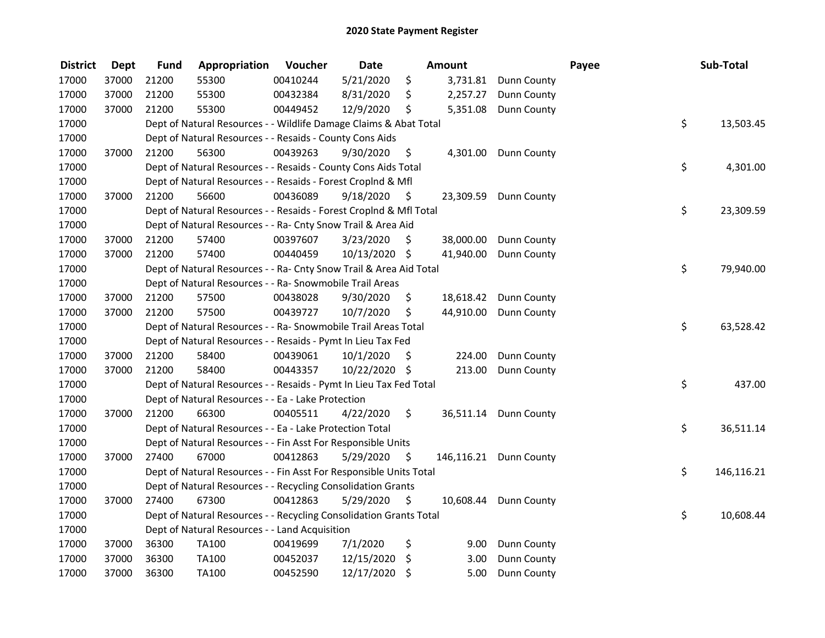| <b>District</b> | <b>Dept</b> | <b>Fund</b> | Appropriation                                                      | Voucher  | <b>Date</b>   |      | <b>Amount</b> |                        | Payee | Sub-Total        |
|-----------------|-------------|-------------|--------------------------------------------------------------------|----------|---------------|------|---------------|------------------------|-------|------------------|
| 17000           | 37000       | 21200       | 55300                                                              | 00410244 | 5/21/2020     | \$   | 3,731.81      | Dunn County            |       |                  |
| 17000           | 37000       | 21200       | 55300                                                              | 00432384 | 8/31/2020     | \$   | 2,257.27      | Dunn County            |       |                  |
| 17000           | 37000       | 21200       | 55300                                                              | 00449452 | 12/9/2020     | \$   | 5,351.08      | Dunn County            |       |                  |
| 17000           |             |             | Dept of Natural Resources - - Wildlife Damage Claims & Abat Total  |          |               |      |               |                        |       | \$<br>13,503.45  |
| 17000           |             |             | Dept of Natural Resources - - Resaids - County Cons Aids           |          |               |      |               |                        |       |                  |
| 17000           | 37000       | 21200       | 56300                                                              | 00439263 | 9/30/2020     | \$   | 4,301.00      | <b>Dunn County</b>     |       |                  |
| 17000           |             |             | Dept of Natural Resources - - Resaids - County Cons Aids Total     |          |               |      |               |                        |       | \$<br>4,301.00   |
| 17000           |             |             | Dept of Natural Resources - - Resaids - Forest Croplnd & Mfl       |          |               |      |               |                        |       |                  |
| 17000           | 37000       | 21200       | 56600                                                              | 00436089 | 9/18/2020     | - \$ | 23,309.59     | Dunn County            |       |                  |
| 17000           |             |             | Dept of Natural Resources - - Resaids - Forest CropInd & Mfl Total |          |               |      |               |                        |       | \$<br>23,309.59  |
| 17000           |             |             | Dept of Natural Resources - - Ra- Cnty Snow Trail & Area Aid       |          |               |      |               |                        |       |                  |
| 17000           | 37000       | 21200       | 57400                                                              | 00397607 | 3/23/2020     | S    | 38,000.00     | Dunn County            |       |                  |
| 17000           | 37000       | 21200       | 57400                                                              | 00440459 | 10/13/2020 \$ |      | 41,940.00     | Dunn County            |       |                  |
| 17000           |             |             | Dept of Natural Resources - - Ra- Cnty Snow Trail & Area Aid Total |          |               |      |               |                        |       | \$<br>79,940.00  |
| 17000           |             |             | Dept of Natural Resources - - Ra- Snowmobile Trail Areas           |          |               |      |               |                        |       |                  |
| 17000           | 37000       | 21200       | 57500                                                              | 00438028 | 9/30/2020     | \$   | 18,618.42     | Dunn County            |       |                  |
| 17000           | 37000       | 21200       | 57500                                                              | 00439727 | 10/7/2020     | \$   | 44,910.00     | Dunn County            |       |                  |
| 17000           |             |             | Dept of Natural Resources - - Ra- Snowmobile Trail Areas Total     |          |               |      |               |                        |       | \$<br>63,528.42  |
| 17000           |             |             | Dept of Natural Resources - - Resaids - Pymt In Lieu Tax Fed       |          |               |      |               |                        |       |                  |
| 17000           | 37000       | 21200       | 58400                                                              | 00439061 | 10/1/2020     | \$   | 224.00        | Dunn County            |       |                  |
| 17000           | 37000       | 21200       | 58400                                                              | 00443357 | 10/22/2020 \$ |      | 213.00        | Dunn County            |       |                  |
| 17000           |             |             | Dept of Natural Resources - - Resaids - Pymt In Lieu Tax Fed Total |          |               |      |               |                        |       | \$<br>437.00     |
| 17000           |             |             | Dept of Natural Resources - - Ea - Lake Protection                 |          |               |      |               |                        |       |                  |
| 17000           | 37000       | 21200       | 66300                                                              | 00405511 | 4/22/2020     | \$   | 36,511.14     | Dunn County            |       |                  |
| 17000           |             |             | Dept of Natural Resources - - Ea - Lake Protection Total           |          |               |      |               |                        |       | \$<br>36,511.14  |
| 17000           |             |             | Dept of Natural Resources - - Fin Asst For Responsible Units       |          |               |      |               |                        |       |                  |
| 17000           | 37000       | 27400       | 67000                                                              | 00412863 | 5/29/2020     | \$   |               | 146,116.21 Dunn County |       |                  |
| 17000           |             |             | Dept of Natural Resources - - Fin Asst For Responsible Units Total |          |               |      |               |                        |       | \$<br>146,116.21 |
| 17000           |             |             | Dept of Natural Resources - - Recycling Consolidation Grants       |          |               |      |               |                        |       |                  |
| 17000           | 37000       | 27400       | 67300                                                              | 00412863 | 5/29/2020     | \$   | 10,608.44     | Dunn County            |       |                  |
| 17000           |             |             | Dept of Natural Resources - - Recycling Consolidation Grants Total |          |               |      |               |                        |       | \$<br>10,608.44  |
| 17000           |             |             | Dept of Natural Resources - - Land Acquisition                     |          |               |      |               |                        |       |                  |
| 17000           | 37000       | 36300       | TA100                                                              | 00419699 | 7/1/2020      | \$   | 9.00          | Dunn County            |       |                  |
| 17000           | 37000       | 36300       | TA100                                                              | 00452037 | 12/15/2020    | \$   | 3.00          | Dunn County            |       |                  |
| 17000           | 37000       | 36300       | TA100                                                              | 00452590 | 12/17/2020    | \$   | $5.00$        | <b>Dunn County</b>     |       |                  |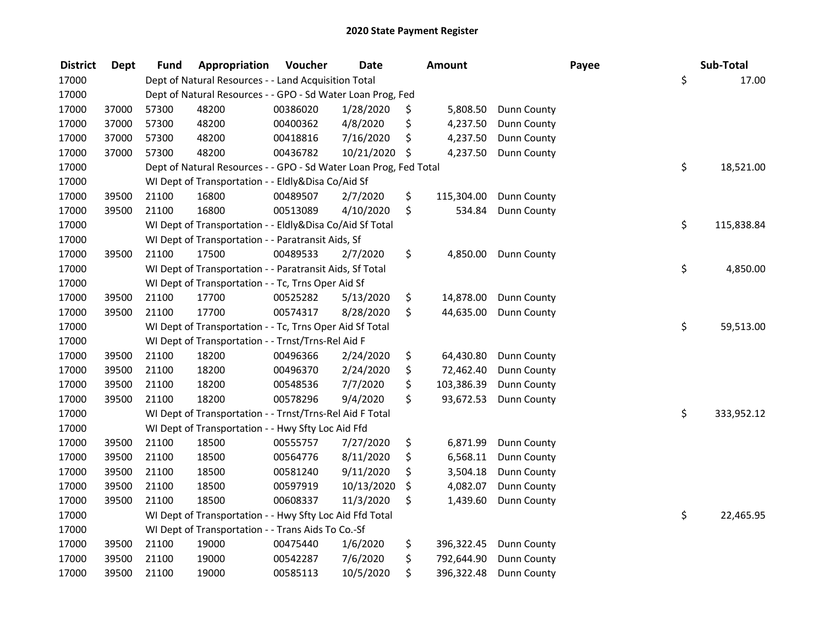| <b>District</b> | Dept  | <b>Fund</b> | Appropriation                                                     | Voucher  | <b>Date</b> | Amount           |                    | Payee | Sub-Total        |
|-----------------|-------|-------------|-------------------------------------------------------------------|----------|-------------|------------------|--------------------|-------|------------------|
| 17000           |       |             | Dept of Natural Resources - - Land Acquisition Total              |          |             |                  |                    |       | \$<br>17.00      |
| 17000           |       |             | Dept of Natural Resources - - GPO - Sd Water Loan Prog, Fed       |          |             |                  |                    |       |                  |
| 17000           | 37000 | 57300       | 48200                                                             | 00386020 | 1/28/2020   | \$<br>5,808.50   | Dunn County        |       |                  |
| 17000           | 37000 | 57300       | 48200                                                             | 00400362 | 4/8/2020    | \$<br>4,237.50   | Dunn County        |       |                  |
| 17000           | 37000 | 57300       | 48200                                                             | 00418816 | 7/16/2020   | \$<br>4,237.50   | Dunn County        |       |                  |
| 17000           | 37000 | 57300       | 48200                                                             | 00436782 | 10/21/2020  | \$<br>4,237.50   | <b>Dunn County</b> |       |                  |
| 17000           |       |             | Dept of Natural Resources - - GPO - Sd Water Loan Prog, Fed Total |          |             |                  |                    |       | \$<br>18,521.00  |
| 17000           |       |             | WI Dept of Transportation - - Eldly&Disa Co/Aid Sf                |          |             |                  |                    |       |                  |
| 17000           | 39500 | 21100       | 16800                                                             | 00489507 | 2/7/2020    | \$<br>115,304.00 | Dunn County        |       |                  |
| 17000           | 39500 | 21100       | 16800                                                             | 00513089 | 4/10/2020   | \$<br>534.84     | Dunn County        |       |                  |
| 17000           |       |             | WI Dept of Transportation - - Eldly&Disa Co/Aid Sf Total          |          |             |                  |                    |       | \$<br>115,838.84 |
| 17000           |       |             | WI Dept of Transportation - - Paratransit Aids, Sf                |          |             |                  |                    |       |                  |
| 17000           | 39500 | 21100       | 17500                                                             | 00489533 | 2/7/2020    | \$<br>4,850.00   | Dunn County        |       |                  |
| 17000           |       |             | WI Dept of Transportation - - Paratransit Aids, Sf Total          |          |             |                  |                    |       | \$<br>4,850.00   |
| 17000           |       |             | WI Dept of Transportation - - Tc, Trns Oper Aid Sf                |          |             |                  |                    |       |                  |
| 17000           | 39500 | 21100       | 17700                                                             | 00525282 | 5/13/2020   | \$<br>14,878.00  | Dunn County        |       |                  |
| 17000           | 39500 | 21100       | 17700                                                             | 00574317 | 8/28/2020   | \$<br>44,635.00  | Dunn County        |       |                  |
| 17000           |       |             | WI Dept of Transportation - - Tc, Trns Oper Aid Sf Total          |          |             |                  |                    |       | \$<br>59,513.00  |
| 17000           |       |             | WI Dept of Transportation - - Trnst/Trns-Rel Aid F                |          |             |                  |                    |       |                  |
| 17000           | 39500 | 21100       | 18200                                                             | 00496366 | 2/24/2020   | \$<br>64,430.80  | <b>Dunn County</b> |       |                  |
| 17000           | 39500 | 21100       | 18200                                                             | 00496370 | 2/24/2020   | \$<br>72,462.40  | Dunn County        |       |                  |
| 17000           | 39500 | 21100       | 18200                                                             | 00548536 | 7/7/2020    | \$<br>103,386.39 | Dunn County        |       |                  |
| 17000           | 39500 | 21100       | 18200                                                             | 00578296 | 9/4/2020    | \$<br>93,672.53  | Dunn County        |       |                  |
| 17000           |       |             | WI Dept of Transportation - - Trnst/Trns-Rel Aid F Total          |          |             |                  |                    |       | \$<br>333,952.12 |
| 17000           |       |             | WI Dept of Transportation - - Hwy Sfty Loc Aid Ffd                |          |             |                  |                    |       |                  |
| 17000           | 39500 | 21100       | 18500                                                             | 00555757 | 7/27/2020   | \$<br>6,871.99   | Dunn County        |       |                  |
| 17000           | 39500 | 21100       | 18500                                                             | 00564776 | 8/11/2020   | \$<br>6,568.11   | Dunn County        |       |                  |
| 17000           | 39500 | 21100       | 18500                                                             | 00581240 | 9/11/2020   | \$<br>3,504.18   | Dunn County        |       |                  |
| 17000           | 39500 | 21100       | 18500                                                             | 00597919 | 10/13/2020  | \$<br>4,082.07   | Dunn County        |       |                  |
| 17000           | 39500 | 21100       | 18500                                                             | 00608337 | 11/3/2020   | \$<br>1,439.60   | Dunn County        |       |                  |
| 17000           |       |             | WI Dept of Transportation - - Hwy Sfty Loc Aid Ffd Total          |          |             |                  |                    |       | \$<br>22,465.95  |
| 17000           |       |             | WI Dept of Transportation - - Trans Aids To Co.-Sf                |          |             |                  |                    |       |                  |
| 17000           | 39500 | 21100       | 19000                                                             | 00475440 | 1/6/2020    | \$<br>396,322.45 | <b>Dunn County</b> |       |                  |
| 17000           | 39500 | 21100       | 19000                                                             | 00542287 | 7/6/2020    | \$<br>792,644.90 | Dunn County        |       |                  |
| 17000           | 39500 | 21100       | 19000                                                             | 00585113 | 10/5/2020   | \$<br>396,322.48 | Dunn County        |       |                  |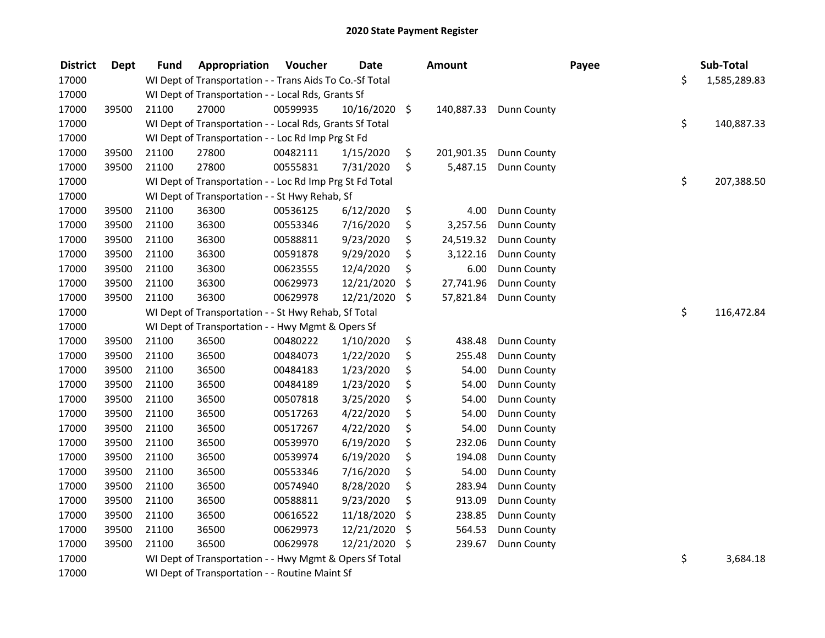| <b>District</b> | <b>Dept</b> | <b>Fund</b> | Appropriation                                            | Voucher  | <b>Date</b>   | <b>Amount</b>    |                    | Payee | Sub-Total          |
|-----------------|-------------|-------------|----------------------------------------------------------|----------|---------------|------------------|--------------------|-------|--------------------|
| 17000           |             |             | WI Dept of Transportation - - Trans Aids To Co.-Sf Total |          |               |                  |                    |       | \$<br>1,585,289.83 |
| 17000           |             |             | WI Dept of Transportation - - Local Rds, Grants Sf       |          |               |                  |                    |       |                    |
| 17000           | 39500       | 21100       | 27000                                                    | 00599935 | 10/16/2020 \$ | 140,887.33       | <b>Dunn County</b> |       |                    |
| 17000           |             |             | WI Dept of Transportation - - Local Rds, Grants Sf Total |          |               |                  |                    |       | \$<br>140,887.33   |
| 17000           |             |             | WI Dept of Transportation - - Loc Rd Imp Prg St Fd       |          |               |                  |                    |       |                    |
| 17000           | 39500       | 21100       | 27800                                                    | 00482111 | 1/15/2020     | \$<br>201,901.35 | <b>Dunn County</b> |       |                    |
| 17000           | 39500       | 21100       | 27800                                                    | 00555831 | 7/31/2020     | \$<br>5,487.15   | <b>Dunn County</b> |       |                    |
| 17000           |             |             | WI Dept of Transportation - - Loc Rd Imp Prg St Fd Total |          |               |                  |                    |       | \$<br>207,388.50   |
| 17000           |             |             | WI Dept of Transportation - - St Hwy Rehab, Sf           |          |               |                  |                    |       |                    |
| 17000           | 39500       | 21100       | 36300                                                    | 00536125 | 6/12/2020     | \$<br>4.00       | Dunn County        |       |                    |
| 17000           | 39500       | 21100       | 36300                                                    | 00553346 | 7/16/2020     | \$<br>3,257.56   | Dunn County        |       |                    |
| 17000           | 39500       | 21100       | 36300                                                    | 00588811 | 9/23/2020     | \$<br>24,519.32  | <b>Dunn County</b> |       |                    |
| 17000           | 39500       | 21100       | 36300                                                    | 00591878 | 9/29/2020     | \$<br>3,122.16   | Dunn County        |       |                    |
| 17000           | 39500       | 21100       | 36300                                                    | 00623555 | 12/4/2020     | \$<br>6.00       | Dunn County        |       |                    |
| 17000           | 39500       | 21100       | 36300                                                    | 00629973 | 12/21/2020    | \$<br>27,741.96  | Dunn County        |       |                    |
| 17000           | 39500       | 21100       | 36300                                                    | 00629978 | 12/21/2020    | \$<br>57,821.84  | Dunn County        |       |                    |
| 17000           |             |             | WI Dept of Transportation - - St Hwy Rehab, Sf Total     |          |               |                  |                    |       | \$<br>116,472.84   |
| 17000           |             |             | WI Dept of Transportation - - Hwy Mgmt & Opers Sf        |          |               |                  |                    |       |                    |
| 17000           | 39500       | 21100       | 36500                                                    | 00480222 | 1/10/2020     | \$<br>438.48     | <b>Dunn County</b> |       |                    |
| 17000           | 39500       | 21100       | 36500                                                    | 00484073 | 1/22/2020     | \$<br>255.48     | Dunn County        |       |                    |
| 17000           | 39500       | 21100       | 36500                                                    | 00484183 | 1/23/2020     | \$<br>54.00      | Dunn County        |       |                    |
| 17000           | 39500       | 21100       | 36500                                                    | 00484189 | 1/23/2020     | \$<br>54.00      | Dunn County        |       |                    |
| 17000           | 39500       | 21100       | 36500                                                    | 00507818 | 3/25/2020     | \$<br>54.00      | Dunn County        |       |                    |
| 17000           | 39500       | 21100       | 36500                                                    | 00517263 | 4/22/2020     | \$<br>54.00      | Dunn County        |       |                    |
| 17000           | 39500       | 21100       | 36500                                                    | 00517267 | 4/22/2020     | \$<br>54.00      | Dunn County        |       |                    |
| 17000           | 39500       | 21100       | 36500                                                    | 00539970 | 6/19/2020     | \$<br>232.06     | Dunn County        |       |                    |
| 17000           | 39500       | 21100       | 36500                                                    | 00539974 | 6/19/2020     | \$<br>194.08     | Dunn County        |       |                    |
| 17000           | 39500       | 21100       | 36500                                                    | 00553346 | 7/16/2020     | \$<br>54.00      | Dunn County        |       |                    |
| 17000           | 39500       | 21100       | 36500                                                    | 00574940 | 8/28/2020     | \$<br>283.94     | Dunn County        |       |                    |
| 17000           | 39500       | 21100       | 36500                                                    | 00588811 | 9/23/2020     | \$<br>913.09     | Dunn County        |       |                    |
| 17000           | 39500       | 21100       | 36500                                                    | 00616522 | 11/18/2020    | \$<br>238.85     | Dunn County        |       |                    |
| 17000           | 39500       | 21100       | 36500                                                    | 00629973 | 12/21/2020    | \$<br>564.53     | Dunn County        |       |                    |
| 17000           | 39500       | 21100       | 36500                                                    | 00629978 | 12/21/2020 \$ | 239.67           | Dunn County        |       |                    |
| 17000           |             |             | WI Dept of Transportation - - Hwy Mgmt & Opers Sf Total  |          |               |                  |                    |       | \$<br>3,684.18     |
| 17000           |             |             | WI Dept of Transportation - - Routine Maint Sf           |          |               |                  |                    |       |                    |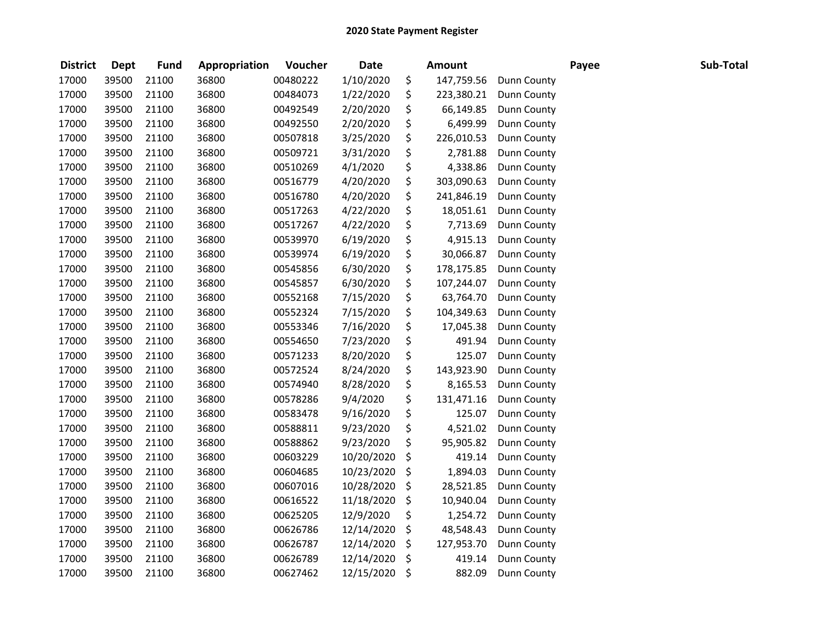| <b>District</b> | <b>Dept</b> | <b>Fund</b> | Appropriation | Voucher  | <b>Date</b> | <b>Amount</b>    |                    | Payee | Sub-Total |
|-----------------|-------------|-------------|---------------|----------|-------------|------------------|--------------------|-------|-----------|
| 17000           | 39500       | 21100       | 36800         | 00480222 | 1/10/2020   | \$<br>147,759.56 | Dunn County        |       |           |
| 17000           | 39500       | 21100       | 36800         | 00484073 | 1/22/2020   | \$<br>223,380.21 | Dunn County        |       |           |
| 17000           | 39500       | 21100       | 36800         | 00492549 | 2/20/2020   | \$<br>66,149.85  | Dunn County        |       |           |
| 17000           | 39500       | 21100       | 36800         | 00492550 | 2/20/2020   | \$<br>6,499.99   | Dunn County        |       |           |
| 17000           | 39500       | 21100       | 36800         | 00507818 | 3/25/2020   | \$<br>226,010.53 | Dunn County        |       |           |
| 17000           | 39500       | 21100       | 36800         | 00509721 | 3/31/2020   | \$<br>2,781.88   | Dunn County        |       |           |
| 17000           | 39500       | 21100       | 36800         | 00510269 | 4/1/2020    | \$<br>4,338.86   | Dunn County        |       |           |
| 17000           | 39500       | 21100       | 36800         | 00516779 | 4/20/2020   | \$<br>303,090.63 | Dunn County        |       |           |
| 17000           | 39500       | 21100       | 36800         | 00516780 | 4/20/2020   | \$<br>241,846.19 | Dunn County        |       |           |
| 17000           | 39500       | 21100       | 36800         | 00517263 | 4/22/2020   | \$<br>18,051.61  | <b>Dunn County</b> |       |           |
| 17000           | 39500       | 21100       | 36800         | 00517267 | 4/22/2020   | \$<br>7,713.69   | Dunn County        |       |           |
| 17000           | 39500       | 21100       | 36800         | 00539970 | 6/19/2020   | \$<br>4,915.13   | Dunn County        |       |           |
| 17000           | 39500       | 21100       | 36800         | 00539974 | 6/19/2020   | \$<br>30,066.87  | Dunn County        |       |           |
| 17000           | 39500       | 21100       | 36800         | 00545856 | 6/30/2020   | \$<br>178,175.85 | Dunn County        |       |           |
| 17000           | 39500       | 21100       | 36800         | 00545857 | 6/30/2020   | \$<br>107,244.07 | Dunn County        |       |           |
| 17000           | 39500       | 21100       | 36800         | 00552168 | 7/15/2020   | \$<br>63,764.70  | Dunn County        |       |           |
| 17000           | 39500       | 21100       | 36800         | 00552324 | 7/15/2020   | \$<br>104,349.63 | Dunn County        |       |           |
| 17000           | 39500       | 21100       | 36800         | 00553346 | 7/16/2020   | \$<br>17,045.38  | Dunn County        |       |           |
| 17000           | 39500       | 21100       | 36800         | 00554650 | 7/23/2020   | \$<br>491.94     | Dunn County        |       |           |
| 17000           | 39500       | 21100       | 36800         | 00571233 | 8/20/2020   | \$<br>125.07     | Dunn County        |       |           |
| 17000           | 39500       | 21100       | 36800         | 00572524 | 8/24/2020   | \$<br>143,923.90 | Dunn County        |       |           |
| 17000           | 39500       | 21100       | 36800         | 00574940 | 8/28/2020   | \$<br>8,165.53   | Dunn County        |       |           |
| 17000           | 39500       | 21100       | 36800         | 00578286 | 9/4/2020    | \$<br>131,471.16 | Dunn County        |       |           |
| 17000           | 39500       | 21100       | 36800         | 00583478 | 9/16/2020   | \$<br>125.07     | Dunn County        |       |           |
| 17000           | 39500       | 21100       | 36800         | 00588811 | 9/23/2020   | \$<br>4,521.02   | Dunn County        |       |           |
| 17000           | 39500       | 21100       | 36800         | 00588862 | 9/23/2020   | \$<br>95,905.82  | Dunn County        |       |           |
| 17000           | 39500       | 21100       | 36800         | 00603229 | 10/20/2020  | \$<br>419.14     | Dunn County        |       |           |
| 17000           | 39500       | 21100       | 36800         | 00604685 | 10/23/2020  | \$<br>1,894.03   | Dunn County        |       |           |
| 17000           | 39500       | 21100       | 36800         | 00607016 | 10/28/2020  | \$<br>28,521.85  | Dunn County        |       |           |
| 17000           | 39500       | 21100       | 36800         | 00616522 | 11/18/2020  | \$<br>10,940.04  | Dunn County        |       |           |
| 17000           | 39500       | 21100       | 36800         | 00625205 | 12/9/2020   | \$<br>1,254.72   | Dunn County        |       |           |
| 17000           | 39500       | 21100       | 36800         | 00626786 | 12/14/2020  | \$<br>48,548.43  | Dunn County        |       |           |
| 17000           | 39500       | 21100       | 36800         | 00626787 | 12/14/2020  | \$<br>127,953.70 | Dunn County        |       |           |
| 17000           | 39500       | 21100       | 36800         | 00626789 | 12/14/2020  | \$<br>419.14     | Dunn County        |       |           |
| 17000           | 39500       | 21100       | 36800         | 00627462 | 12/15/2020  | \$<br>882.09     | Dunn County        |       |           |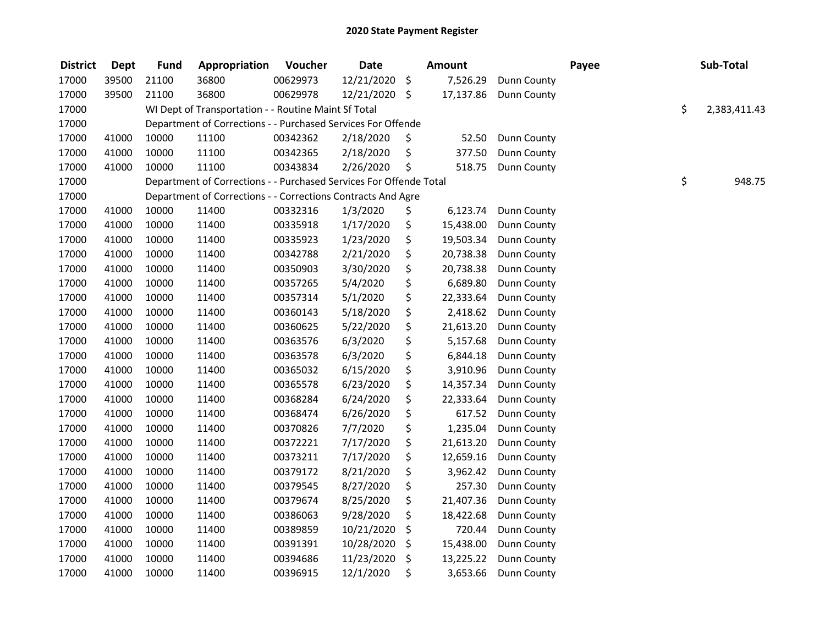| <b>District</b> | <b>Dept</b> | <b>Fund</b> | Appropriation                                                      | Voucher  | <b>Date</b>   | <b>Amount</b>   |                    | Payee | Sub-Total          |
|-----------------|-------------|-------------|--------------------------------------------------------------------|----------|---------------|-----------------|--------------------|-------|--------------------|
| 17000           | 39500       | 21100       | 36800                                                              | 00629973 | 12/21/2020    | \$<br>7,526.29  | Dunn County        |       |                    |
| 17000           | 39500       | 21100       | 36800                                                              | 00629978 | 12/21/2020 \$ | 17,137.86       | Dunn County        |       |                    |
| 17000           |             |             | WI Dept of Transportation - - Routine Maint Sf Total               |          |               |                 |                    |       | \$<br>2,383,411.43 |
| 17000           |             |             | Department of Corrections - - Purchased Services For Offende       |          |               |                 |                    |       |                    |
| 17000           | 41000       | 10000       | 11100                                                              | 00342362 | 2/18/2020     | \$<br>52.50     | <b>Dunn County</b> |       |                    |
| 17000           | 41000       | 10000       | 11100                                                              | 00342365 | 2/18/2020     | \$<br>377.50    | Dunn County        |       |                    |
| 17000           | 41000       | 10000       | 11100                                                              | 00343834 | 2/26/2020     | \$<br>518.75    | Dunn County        |       |                    |
| 17000           |             |             | Department of Corrections - - Purchased Services For Offende Total |          |               |                 |                    |       | \$<br>948.75       |
| 17000           |             |             | Department of Corrections - - Corrections Contracts And Agre       |          |               |                 |                    |       |                    |
| 17000           | 41000       | 10000       | 11400                                                              | 00332316 | 1/3/2020      | \$<br>6,123.74  | <b>Dunn County</b> |       |                    |
| 17000           | 41000       | 10000       | 11400                                                              | 00335918 | 1/17/2020     | \$<br>15,438.00 | <b>Dunn County</b> |       |                    |
| 17000           | 41000       | 10000       | 11400                                                              | 00335923 | 1/23/2020     | \$<br>19,503.34 | Dunn County        |       |                    |
| 17000           | 41000       | 10000       | 11400                                                              | 00342788 | 2/21/2020     | \$<br>20,738.38 | Dunn County        |       |                    |
| 17000           | 41000       | 10000       | 11400                                                              | 00350903 | 3/30/2020     | \$<br>20,738.38 | Dunn County        |       |                    |
| 17000           | 41000       | 10000       | 11400                                                              | 00357265 | 5/4/2020      | \$<br>6,689.80  | Dunn County        |       |                    |
| 17000           | 41000       | 10000       | 11400                                                              | 00357314 | 5/1/2020      | \$<br>22,333.64 | <b>Dunn County</b> |       |                    |
| 17000           | 41000       | 10000       | 11400                                                              | 00360143 | 5/18/2020     | \$<br>2,418.62  | Dunn County        |       |                    |
| 17000           | 41000       | 10000       | 11400                                                              | 00360625 | 5/22/2020     | \$<br>21,613.20 | Dunn County        |       |                    |
| 17000           | 41000       | 10000       | 11400                                                              | 00363576 | 6/3/2020      | \$<br>5,157.68  | Dunn County        |       |                    |
| 17000           | 41000       | 10000       | 11400                                                              | 00363578 | 6/3/2020      | \$<br>6,844.18  | Dunn County        |       |                    |
| 17000           | 41000       | 10000       | 11400                                                              | 00365032 | 6/15/2020     | \$<br>3,910.96  | Dunn County        |       |                    |
| 17000           | 41000       | 10000       | 11400                                                              | 00365578 | 6/23/2020     | \$<br>14,357.34 | Dunn County        |       |                    |
| 17000           | 41000       | 10000       | 11400                                                              | 00368284 | 6/24/2020     | \$<br>22,333.64 | Dunn County        |       |                    |
| 17000           | 41000       | 10000       | 11400                                                              | 00368474 | 6/26/2020     | \$<br>617.52    | Dunn County        |       |                    |
| 17000           | 41000       | 10000       | 11400                                                              | 00370826 | 7/7/2020      | \$<br>1,235.04  | Dunn County        |       |                    |
| 17000           | 41000       | 10000       | 11400                                                              | 00372221 | 7/17/2020     | \$<br>21,613.20 | Dunn County        |       |                    |
| 17000           | 41000       | 10000       | 11400                                                              | 00373211 | 7/17/2020     | \$<br>12,659.16 | Dunn County        |       |                    |
| 17000           | 41000       | 10000       | 11400                                                              | 00379172 | 8/21/2020     | \$<br>3,962.42  | <b>Dunn County</b> |       |                    |
| 17000           | 41000       | 10000       | 11400                                                              | 00379545 | 8/27/2020     | \$<br>257.30    | Dunn County        |       |                    |
| 17000           | 41000       | 10000       | 11400                                                              | 00379674 | 8/25/2020     | \$<br>21,407.36 | Dunn County        |       |                    |
| 17000           | 41000       | 10000       | 11400                                                              | 00386063 | 9/28/2020     | \$<br>18,422.68 | Dunn County        |       |                    |
| 17000           | 41000       | 10000       | 11400                                                              | 00389859 | 10/21/2020    | \$<br>720.44    | Dunn County        |       |                    |
| 17000           | 41000       | 10000       | 11400                                                              | 00391391 | 10/28/2020    | \$<br>15,438.00 | Dunn County        |       |                    |
| 17000           | 41000       | 10000       | 11400                                                              | 00394686 | 11/23/2020    | \$<br>13,225.22 | <b>Dunn County</b> |       |                    |
| 17000           | 41000       | 10000       | 11400                                                              | 00396915 | 12/1/2020     | \$<br>3,653.66  | Dunn County        |       |                    |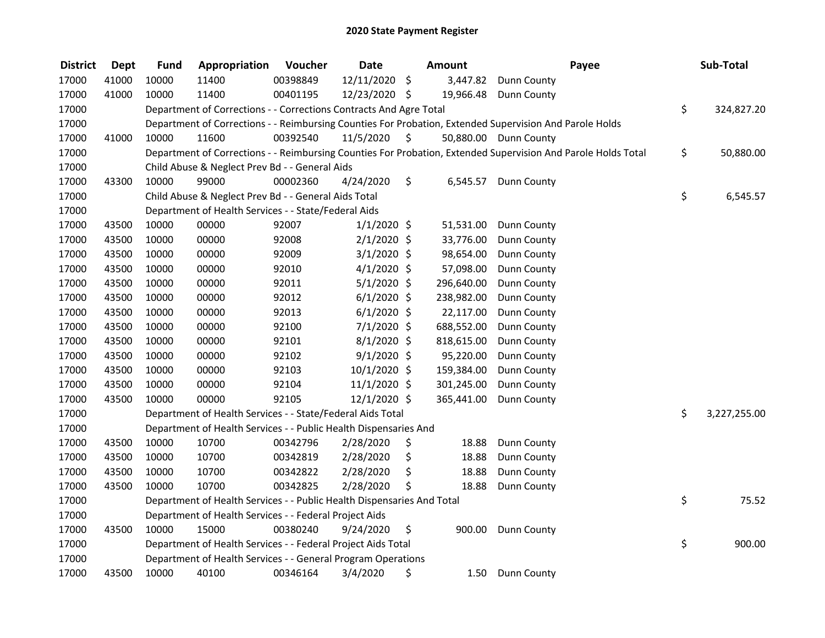| <b>District</b> | <b>Dept</b> | <b>Fund</b> | Appropriation                                                          | Voucher  | <b>Date</b>    | <b>Amount</b>  | Payee                                                                                                         | Sub-Total          |
|-----------------|-------------|-------------|------------------------------------------------------------------------|----------|----------------|----------------|---------------------------------------------------------------------------------------------------------------|--------------------|
| 17000           | 41000       | 10000       | 11400                                                                  | 00398849 | 12/11/2020     | \$<br>3,447.82 | <b>Dunn County</b>                                                                                            |                    |
| 17000           | 41000       | 10000       | 11400                                                                  | 00401195 | 12/23/2020 \$  | 19,966.48      | <b>Dunn County</b>                                                                                            |                    |
| 17000           |             |             | Department of Corrections - - Corrections Contracts And Agre Total     |          |                |                |                                                                                                               | \$<br>324,827.20   |
| 17000           |             |             |                                                                        |          |                |                | Department of Corrections - - Reimbursing Counties For Probation, Extended Supervision And Parole Holds       |                    |
| 17000           | 41000       | 10000       | 11600                                                                  | 00392540 | 11/5/2020      | \$             | 50,880.00 Dunn County                                                                                         |                    |
| 17000           |             |             |                                                                        |          |                |                | Department of Corrections - - Reimbursing Counties For Probation, Extended Supervision And Parole Holds Total | \$<br>50,880.00    |
| 17000           |             |             | Child Abuse & Neglect Prev Bd - - General Aids                         |          |                |                |                                                                                                               |                    |
| 17000           | 43300       | 10000       | 99000                                                                  | 00002360 | 4/24/2020      | \$<br>6,545.57 | Dunn County                                                                                                   |                    |
| 17000           |             |             | Child Abuse & Neglect Prev Bd - - General Aids Total                   |          |                |                |                                                                                                               | \$<br>6,545.57     |
| 17000           |             |             | Department of Health Services - - State/Federal Aids                   |          |                |                |                                                                                                               |                    |
| 17000           | 43500       | 10000       | 00000                                                                  | 92007    | $1/1/2020$ \$  | 51,531.00      | Dunn County                                                                                                   |                    |
| 17000           | 43500       | 10000       | 00000                                                                  | 92008    | $2/1/2020$ \$  | 33,776.00      | Dunn County                                                                                                   |                    |
| 17000           | 43500       | 10000       | 00000                                                                  | 92009    | $3/1/2020$ \$  | 98,654.00      | Dunn County                                                                                                   |                    |
| 17000           | 43500       | 10000       | 00000                                                                  | 92010    | $4/1/2020$ \$  | 57,098.00      | Dunn County                                                                                                   |                    |
| 17000           | 43500       | 10000       | 00000                                                                  | 92011    | $5/1/2020$ \$  | 296,640.00     | Dunn County                                                                                                   |                    |
| 17000           | 43500       | 10000       | 00000                                                                  | 92012    | $6/1/2020$ \$  | 238,982.00     | Dunn County                                                                                                   |                    |
| 17000           | 43500       | 10000       | 00000                                                                  | 92013    | $6/1/2020$ \$  | 22,117.00      | Dunn County                                                                                                   |                    |
| 17000           | 43500       | 10000       | 00000                                                                  | 92100    | $7/1/2020$ \$  | 688,552.00     | Dunn County                                                                                                   |                    |
| 17000           | 43500       | 10000       | 00000                                                                  | 92101    | $8/1/2020$ \$  | 818,615.00     | Dunn County                                                                                                   |                    |
| 17000           | 43500       | 10000       | 00000                                                                  | 92102    | $9/1/2020$ \$  | 95,220.00      | Dunn County                                                                                                   |                    |
| 17000           | 43500       | 10000       | 00000                                                                  | 92103    | 10/1/2020 \$   | 159,384.00     | Dunn County                                                                                                   |                    |
| 17000           | 43500       | 10000       | 00000                                                                  | 92104    | $11/1/2020$ \$ | 301,245.00     | Dunn County                                                                                                   |                    |
| 17000           | 43500       | 10000       | 00000                                                                  | 92105    | 12/1/2020 \$   | 365,441.00     | Dunn County                                                                                                   |                    |
| 17000           |             |             | Department of Health Services - - State/Federal Aids Total             |          |                |                |                                                                                                               | \$<br>3,227,255.00 |
| 17000           |             |             | Department of Health Services - - Public Health Dispensaries And       |          |                |                |                                                                                                               |                    |
| 17000           | 43500       | 10000       | 10700                                                                  | 00342796 | 2/28/2020      | \$<br>18.88    | Dunn County                                                                                                   |                    |
| 17000           | 43500       | 10000       | 10700                                                                  | 00342819 | 2/28/2020      | \$<br>18.88    | Dunn County                                                                                                   |                    |
| 17000           | 43500       | 10000       | 10700                                                                  | 00342822 | 2/28/2020      | \$<br>18.88    | Dunn County                                                                                                   |                    |
| 17000           | 43500       | 10000       | 10700                                                                  | 00342825 | 2/28/2020      | \$<br>18.88    | Dunn County                                                                                                   |                    |
| 17000           |             |             | Department of Health Services - - Public Health Dispensaries And Total |          |                |                |                                                                                                               | \$<br>75.52        |
| 17000           |             |             | Department of Health Services - - Federal Project Aids                 |          |                |                |                                                                                                               |                    |
| 17000           | 43500       | 10000       | 15000                                                                  | 00380240 | 9/24/2020      | \$<br>900.00   | <b>Dunn County</b>                                                                                            |                    |
| 17000           |             |             | Department of Health Services - - Federal Project Aids Total           |          |                |                |                                                                                                               | \$<br>900.00       |
| 17000           |             |             | Department of Health Services - - General Program Operations           |          |                |                |                                                                                                               |                    |
| 17000           | 43500       | 10000       | 40100                                                                  | 00346164 | 3/4/2020       | \$<br>1.50     | Dunn County                                                                                                   |                    |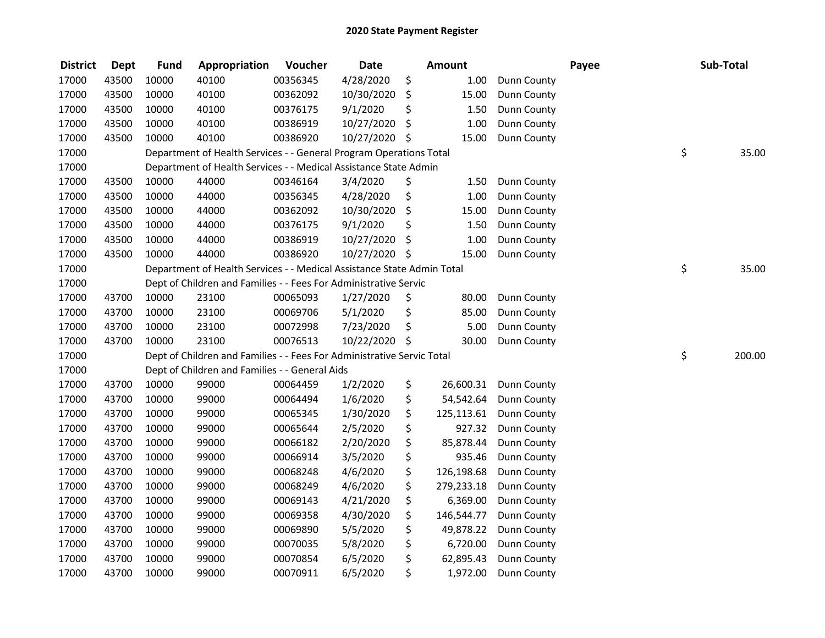| <b>District</b> | <b>Dept</b> | <b>Fund</b> | Appropriation                                                          | Voucher  | <b>Date</b>   | <b>Amount</b>    |                    | Payee | Sub-Total    |
|-----------------|-------------|-------------|------------------------------------------------------------------------|----------|---------------|------------------|--------------------|-------|--------------|
| 17000           | 43500       | 10000       | 40100                                                                  | 00356345 | 4/28/2020     | \$<br>1.00       | Dunn County        |       |              |
| 17000           | 43500       | 10000       | 40100                                                                  | 00362092 | 10/30/2020    | \$<br>15.00      | Dunn County        |       |              |
| 17000           | 43500       | 10000       | 40100                                                                  | 00376175 | 9/1/2020      | \$<br>1.50       | Dunn County        |       |              |
| 17000           | 43500       | 10000       | 40100                                                                  | 00386919 | 10/27/2020    | \$<br>1.00       | Dunn County        |       |              |
| 17000           | 43500       | 10000       | 40100                                                                  | 00386920 | 10/27/2020 \$ | 15.00            | Dunn County        |       |              |
| 17000           |             |             | Department of Health Services - - General Program Operations Total     |          |               |                  |                    |       | \$<br>35.00  |
| 17000           |             |             | Department of Health Services - - Medical Assistance State Admin       |          |               |                  |                    |       |              |
| 17000           | 43500       | 10000       | 44000                                                                  | 00346164 | 3/4/2020      | \$<br>1.50       | <b>Dunn County</b> |       |              |
| 17000           | 43500       | 10000       | 44000                                                                  | 00356345 | 4/28/2020     | \$<br>1.00       | Dunn County        |       |              |
| 17000           | 43500       | 10000       | 44000                                                                  | 00362092 | 10/30/2020    | \$<br>15.00      | Dunn County        |       |              |
| 17000           | 43500       | 10000       | 44000                                                                  | 00376175 | 9/1/2020      | \$<br>1.50       | Dunn County        |       |              |
| 17000           | 43500       | 10000       | 44000                                                                  | 00386919 | 10/27/2020    | \$<br>1.00       | Dunn County        |       |              |
| 17000           | 43500       | 10000       | 44000                                                                  | 00386920 | 10/27/2020 \$ | 15.00            | Dunn County        |       |              |
| 17000           |             |             | Department of Health Services - - Medical Assistance State Admin Total |          |               |                  |                    |       | \$<br>35.00  |
| 17000           |             |             | Dept of Children and Families - - Fees For Administrative Servic       |          |               |                  |                    |       |              |
| 17000           | 43700       | 10000       | 23100                                                                  | 00065093 | 1/27/2020     | \$<br>80.00      | Dunn County        |       |              |
| 17000           | 43700       | 10000       | 23100                                                                  | 00069706 | 5/1/2020      | \$<br>85.00      | Dunn County        |       |              |
| 17000           | 43700       | 10000       | 23100                                                                  | 00072998 | 7/23/2020     | \$<br>5.00       | Dunn County        |       |              |
| 17000           | 43700       | 10000       | 23100                                                                  | 00076513 | 10/22/2020    | \$<br>30.00      | <b>Dunn County</b> |       |              |
| 17000           |             |             | Dept of Children and Families - - Fees For Administrative Servic Total |          |               |                  |                    |       | \$<br>200.00 |
| 17000           |             |             | Dept of Children and Families - - General Aids                         |          |               |                  |                    |       |              |
| 17000           | 43700       | 10000       | 99000                                                                  | 00064459 | 1/2/2020      | \$<br>26,600.31  | <b>Dunn County</b> |       |              |
| 17000           | 43700       | 10000       | 99000                                                                  | 00064494 | 1/6/2020      | \$<br>54,542.64  | <b>Dunn County</b> |       |              |
| 17000           | 43700       | 10000       | 99000                                                                  | 00065345 | 1/30/2020     | \$<br>125,113.61 | <b>Dunn County</b> |       |              |
| 17000           | 43700       | 10000       | 99000                                                                  | 00065644 | 2/5/2020      | \$<br>927.32     | Dunn County        |       |              |
| 17000           | 43700       | 10000       | 99000                                                                  | 00066182 | 2/20/2020     | \$<br>85,878.44  | Dunn County        |       |              |
| 17000           | 43700       | 10000       | 99000                                                                  | 00066914 | 3/5/2020      | \$<br>935.46     | Dunn County        |       |              |
| 17000           | 43700       | 10000       | 99000                                                                  | 00068248 | 4/6/2020      | \$<br>126,198.68 | Dunn County        |       |              |
| 17000           | 43700       | 10000       | 99000                                                                  | 00068249 | 4/6/2020      | \$<br>279,233.18 | <b>Dunn County</b> |       |              |
| 17000           | 43700       | 10000       | 99000                                                                  | 00069143 | 4/21/2020     | \$<br>6,369.00   | Dunn County        |       |              |
| 17000           | 43700       | 10000       | 99000                                                                  | 00069358 | 4/30/2020     | \$<br>146,544.77 | Dunn County        |       |              |
| 17000           | 43700       | 10000       | 99000                                                                  | 00069890 | 5/5/2020      | \$<br>49,878.22  | <b>Dunn County</b> |       |              |
| 17000           | 43700       | 10000       | 99000                                                                  | 00070035 | 5/8/2020      | \$<br>6,720.00   | <b>Dunn County</b> |       |              |
| 17000           | 43700       | 10000       | 99000                                                                  | 00070854 | 6/5/2020      | \$<br>62,895.43  | <b>Dunn County</b> |       |              |
| 17000           | 43700       | 10000       | 99000                                                                  | 00070911 | 6/5/2020      | \$<br>1,972.00   | <b>Dunn County</b> |       |              |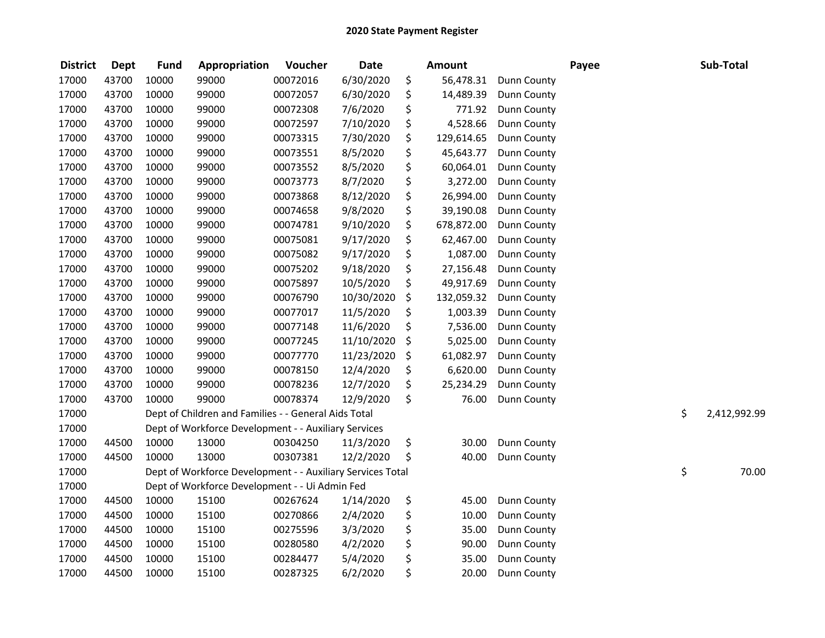| <b>District</b> | <b>Dept</b> | <b>Fund</b> | Appropriation                                              | Voucher  | <b>Date</b> | <b>Amount</b>    |                    | Payee | Sub-Total          |
|-----------------|-------------|-------------|------------------------------------------------------------|----------|-------------|------------------|--------------------|-------|--------------------|
| 17000           | 43700       | 10000       | 99000                                                      | 00072016 | 6/30/2020   | \$<br>56,478.31  | Dunn County        |       |                    |
| 17000           | 43700       | 10000       | 99000                                                      | 00072057 | 6/30/2020   | \$<br>14,489.39  | Dunn County        |       |                    |
| 17000           | 43700       | 10000       | 99000                                                      | 00072308 | 7/6/2020    | \$<br>771.92     | Dunn County        |       |                    |
| 17000           | 43700       | 10000       | 99000                                                      | 00072597 | 7/10/2020   | \$<br>4,528.66   | Dunn County        |       |                    |
| 17000           | 43700       | 10000       | 99000                                                      | 00073315 | 7/30/2020   | \$<br>129,614.65 | Dunn County        |       |                    |
| 17000           | 43700       | 10000       | 99000                                                      | 00073551 | 8/5/2020    | \$<br>45,643.77  | Dunn County        |       |                    |
| 17000           | 43700       | 10000       | 99000                                                      | 00073552 | 8/5/2020    | \$<br>60,064.01  | Dunn County        |       |                    |
| 17000           | 43700       | 10000       | 99000                                                      | 00073773 | 8/7/2020    | \$<br>3,272.00   | Dunn County        |       |                    |
| 17000           | 43700       | 10000       | 99000                                                      | 00073868 | 8/12/2020   | \$<br>26,994.00  | Dunn County        |       |                    |
| 17000           | 43700       | 10000       | 99000                                                      | 00074658 | 9/8/2020    | \$<br>39,190.08  | <b>Dunn County</b> |       |                    |
| 17000           | 43700       | 10000       | 99000                                                      | 00074781 | 9/10/2020   | \$<br>678,872.00 | <b>Dunn County</b> |       |                    |
| 17000           | 43700       | 10000       | 99000                                                      | 00075081 | 9/17/2020   | \$<br>62,467.00  | <b>Dunn County</b> |       |                    |
| 17000           | 43700       | 10000       | 99000                                                      | 00075082 | 9/17/2020   | \$<br>1,087.00   | Dunn County        |       |                    |
| 17000           | 43700       | 10000       | 99000                                                      | 00075202 | 9/18/2020   | \$<br>27,156.48  | Dunn County        |       |                    |
| 17000           | 43700       | 10000       | 99000                                                      | 00075897 | 10/5/2020   | \$<br>49,917.69  | Dunn County        |       |                    |
| 17000           | 43700       | 10000       | 99000                                                      | 00076790 | 10/30/2020  | \$<br>132,059.32 | Dunn County        |       |                    |
| 17000           | 43700       | 10000       | 99000                                                      | 00077017 | 11/5/2020   | \$<br>1,003.39   | Dunn County        |       |                    |
| 17000           | 43700       | 10000       | 99000                                                      | 00077148 | 11/6/2020   | \$<br>7,536.00   | Dunn County        |       |                    |
| 17000           | 43700       | 10000       | 99000                                                      | 00077245 | 11/10/2020  | \$<br>5,025.00   | Dunn County        |       |                    |
| 17000           | 43700       | 10000       | 99000                                                      | 00077770 | 11/23/2020  | \$<br>61,082.97  | Dunn County        |       |                    |
| 17000           | 43700       | 10000       | 99000                                                      | 00078150 | 12/4/2020   | \$<br>6,620.00   | Dunn County        |       |                    |
| 17000           | 43700       | 10000       | 99000                                                      | 00078236 | 12/7/2020   | \$<br>25,234.29  | Dunn County        |       |                    |
| 17000           | 43700       | 10000       | 99000                                                      | 00078374 | 12/9/2020   | \$<br>76.00      | Dunn County        |       |                    |
| 17000           |             |             | Dept of Children and Families - - General Aids Total       |          |             |                  |                    |       | \$<br>2,412,992.99 |
| 17000           |             |             | Dept of Workforce Development - - Auxiliary Services       |          |             |                  |                    |       |                    |
| 17000           | 44500       | 10000       | 13000                                                      | 00304250 | 11/3/2020   | \$<br>30.00      | Dunn County        |       |                    |
| 17000           | 44500       | 10000       | 13000                                                      | 00307381 | 12/2/2020   | \$<br>40.00      | Dunn County        |       |                    |
| 17000           |             |             | Dept of Workforce Development - - Auxiliary Services Total |          |             |                  |                    |       | \$<br>70.00        |
| 17000           |             |             | Dept of Workforce Development - - Ui Admin Fed             |          |             |                  |                    |       |                    |
| 17000           | 44500       | 10000       | 15100                                                      | 00267624 | 1/14/2020   | \$<br>45.00      | Dunn County        |       |                    |
| 17000           | 44500       | 10000       | 15100                                                      | 00270866 | 2/4/2020    | \$<br>10.00      | Dunn County        |       |                    |
| 17000           | 44500       | 10000       | 15100                                                      | 00275596 | 3/3/2020    | \$<br>35.00      | Dunn County        |       |                    |
| 17000           | 44500       | 10000       | 15100                                                      | 00280580 | 4/2/2020    | \$<br>90.00      | Dunn County        |       |                    |
| 17000           | 44500       | 10000       | 15100                                                      | 00284477 | 5/4/2020    | \$<br>35.00      | Dunn County        |       |                    |
| 17000           | 44500       | 10000       | 15100                                                      | 00287325 | 6/2/2020    | \$<br>20.00      | Dunn County        |       |                    |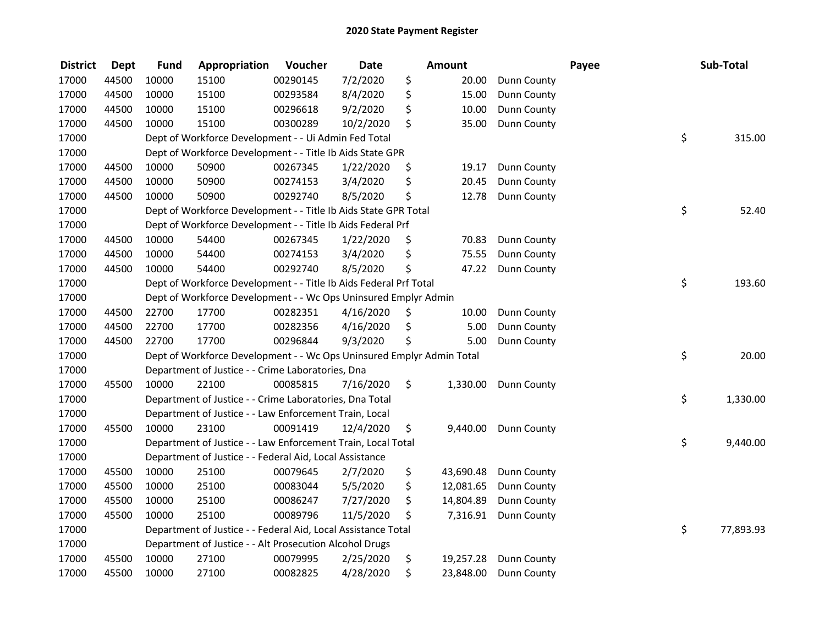| <b>District</b> | <b>Dept</b> | <b>Fund</b> | Appropriation                                                         | Voucher  | <b>Date</b> | Amount          |                    | Payee | Sub-Total       |
|-----------------|-------------|-------------|-----------------------------------------------------------------------|----------|-------------|-----------------|--------------------|-------|-----------------|
| 17000           | 44500       | 10000       | 15100                                                                 | 00290145 | 7/2/2020    | \$<br>20.00     | Dunn County        |       |                 |
| 17000           | 44500       | 10000       | 15100                                                                 | 00293584 | 8/4/2020    | \$<br>15.00     | Dunn County        |       |                 |
| 17000           | 44500       | 10000       | 15100                                                                 | 00296618 | 9/2/2020    | \$<br>10.00     | Dunn County        |       |                 |
| 17000           | 44500       | 10000       | 15100                                                                 | 00300289 | 10/2/2020   | \$<br>35.00     | Dunn County        |       |                 |
| 17000           |             |             | Dept of Workforce Development - - Ui Admin Fed Total                  |          |             |                 |                    |       | \$<br>315.00    |
| 17000           |             |             | Dept of Workforce Development - - Title Ib Aids State GPR             |          |             |                 |                    |       |                 |
| 17000           | 44500       | 10000       | 50900                                                                 | 00267345 | 1/22/2020   | \$<br>19.17     | <b>Dunn County</b> |       |                 |
| 17000           | 44500       | 10000       | 50900                                                                 | 00274153 | 3/4/2020    | \$<br>20.45     | Dunn County        |       |                 |
| 17000           | 44500       | 10000       | 50900                                                                 | 00292740 | 8/5/2020    | \$<br>12.78     | Dunn County        |       |                 |
| 17000           |             |             | Dept of Workforce Development - - Title Ib Aids State GPR Total       |          |             |                 |                    |       | \$<br>52.40     |
| 17000           |             |             | Dept of Workforce Development - - Title Ib Aids Federal Prf           |          |             |                 |                    |       |                 |
| 17000           | 44500       | 10000       | 54400                                                                 | 00267345 | 1/22/2020   | \$<br>70.83     | Dunn County        |       |                 |
| 17000           | 44500       | 10000       | 54400                                                                 | 00274153 | 3/4/2020    | \$<br>75.55     | Dunn County        |       |                 |
| 17000           | 44500       | 10000       | 54400                                                                 | 00292740 | 8/5/2020    | \$<br>47.22     | Dunn County        |       |                 |
| 17000           |             |             | Dept of Workforce Development - - Title Ib Aids Federal Prf Total     |          |             |                 |                    |       | \$<br>193.60    |
| 17000           |             |             | Dept of Workforce Development - - Wc Ops Uninsured Emplyr Admin       |          |             |                 |                    |       |                 |
| 17000           | 44500       | 22700       | 17700                                                                 | 00282351 | 4/16/2020   | \$<br>10.00     | Dunn County        |       |                 |
| 17000           | 44500       | 22700       | 17700                                                                 | 00282356 | 4/16/2020   | \$<br>5.00      | Dunn County        |       |                 |
| 17000           | 44500       | 22700       | 17700                                                                 | 00296844 | 9/3/2020    | \$<br>5.00      | Dunn County        |       |                 |
| 17000           |             |             | Dept of Workforce Development - - Wc Ops Uninsured Emplyr Admin Total |          |             |                 |                    |       | \$<br>20.00     |
| 17000           |             |             | Department of Justice - - Crime Laboratories, Dna                     |          |             |                 |                    |       |                 |
| 17000           | 45500       | 10000       | 22100                                                                 | 00085815 | 7/16/2020   | \$<br>1,330.00  | <b>Dunn County</b> |       |                 |
| 17000           |             |             | Department of Justice - - Crime Laboratories, Dna Total               |          |             |                 |                    |       | \$<br>1,330.00  |
| 17000           |             |             | Department of Justice - - Law Enforcement Train, Local                |          |             |                 |                    |       |                 |
| 17000           | 45500       | 10000       | 23100                                                                 | 00091419 | 12/4/2020   | \$<br>9,440.00  | <b>Dunn County</b> |       |                 |
| 17000           |             |             | Department of Justice - - Law Enforcement Train, Local Total          |          |             |                 |                    |       | \$<br>9,440.00  |
| 17000           |             |             | Department of Justice - - Federal Aid, Local Assistance               |          |             |                 |                    |       |                 |
| 17000           | 45500       | 10000       | 25100                                                                 | 00079645 | 2/7/2020    | \$<br>43,690.48 | Dunn County        |       |                 |
| 17000           | 45500       | 10000       | 25100                                                                 | 00083044 | 5/5/2020    | \$<br>12,081.65 | Dunn County        |       |                 |
| 17000           | 45500       | 10000       | 25100                                                                 | 00086247 | 7/27/2020   | \$<br>14,804.89 | Dunn County        |       |                 |
| 17000           | 45500       | 10000       | 25100                                                                 | 00089796 | 11/5/2020   | \$<br>7,316.91  | <b>Dunn County</b> |       |                 |
| 17000           |             |             | Department of Justice - - Federal Aid, Local Assistance Total         |          |             |                 |                    |       | \$<br>77,893.93 |
| 17000           |             |             | Department of Justice - - Alt Prosecution Alcohol Drugs               |          |             |                 |                    |       |                 |
| 17000           | 45500       | 10000       | 27100                                                                 | 00079995 | 2/25/2020   | \$<br>19,257.28 | Dunn County        |       |                 |
| 17000           | 45500       | 10000       | 27100                                                                 | 00082825 | 4/28/2020   | \$<br>23,848.00 | <b>Dunn County</b> |       |                 |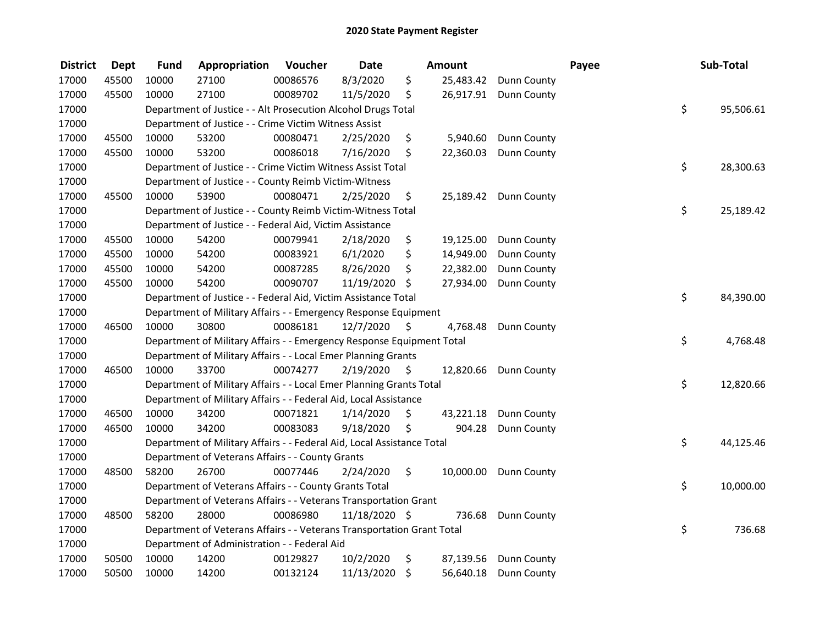| <b>District</b> | <b>Dept</b> | <b>Fund</b> | Appropriation                                                          | Voucher  | <b>Date</b>   |    | <b>Amount</b> |                       | Payee | Sub-Total       |
|-----------------|-------------|-------------|------------------------------------------------------------------------|----------|---------------|----|---------------|-----------------------|-------|-----------------|
| 17000           | 45500       | 10000       | 27100                                                                  | 00086576 | 8/3/2020      | \$ | 25,483.42     | <b>Dunn County</b>    |       |                 |
| 17000           | 45500       | 10000       | 27100                                                                  | 00089702 | 11/5/2020     | \$ |               | 26,917.91 Dunn County |       |                 |
| 17000           |             |             | Department of Justice - - Alt Prosecution Alcohol Drugs Total          |          |               |    |               |                       |       | \$<br>95,506.61 |
| 17000           |             |             | Department of Justice - - Crime Victim Witness Assist                  |          |               |    |               |                       |       |                 |
| 17000           | 45500       | 10000       | 53200                                                                  | 00080471 | 2/25/2020     | \$ | 5,940.60      | Dunn County           |       |                 |
| 17000           | 45500       | 10000       | 53200                                                                  | 00086018 | 7/16/2020     | \$ | 22,360.03     | Dunn County           |       |                 |
| 17000           |             |             | Department of Justice - - Crime Victim Witness Assist Total            |          |               |    |               |                       |       | \$<br>28,300.63 |
| 17000           |             |             | Department of Justice - - County Reimb Victim-Witness                  |          |               |    |               |                       |       |                 |
| 17000           | 45500       | 10000       | 53900                                                                  | 00080471 | 2/25/2020     | \$ |               | 25,189.42 Dunn County |       |                 |
| 17000           |             |             | Department of Justice - - County Reimb Victim-Witness Total            |          |               |    |               |                       |       | \$<br>25,189.42 |
| 17000           |             |             | Department of Justice - - Federal Aid, Victim Assistance               |          |               |    |               |                       |       |                 |
| 17000           | 45500       | 10000       | 54200                                                                  | 00079941 | 2/18/2020     | \$ | 19,125.00     | Dunn County           |       |                 |
| 17000           | 45500       | 10000       | 54200                                                                  | 00083921 | 6/1/2020      | \$ | 14,949.00     | Dunn County           |       |                 |
| 17000           | 45500       | 10000       | 54200                                                                  | 00087285 | 8/26/2020     | \$ | 22,382.00     | Dunn County           |       |                 |
| 17000           | 45500       | 10000       | 54200                                                                  | 00090707 | 11/19/2020    | \$ | 27,934.00     | Dunn County           |       |                 |
| 17000           |             |             | Department of Justice - - Federal Aid, Victim Assistance Total         |          |               |    |               |                       |       | \$<br>84,390.00 |
| 17000           |             |             | Department of Military Affairs - - Emergency Response Equipment        |          |               |    |               |                       |       |                 |
| 17000           | 46500       | 10000       | 30800                                                                  | 00086181 | 12/7/2020     | -S | 4,768.48      | Dunn County           |       |                 |
| 17000           |             |             | Department of Military Affairs - - Emergency Response Equipment Total  |          |               |    |               |                       |       | \$<br>4,768.48  |
| 17000           |             |             | Department of Military Affairs - - Local Emer Planning Grants          |          |               |    |               |                       |       |                 |
| 17000           | 46500       | 10000       | 33700                                                                  | 00074277 | 2/19/2020     | \$ | 12,820.66     | <b>Dunn County</b>    |       |                 |
| 17000           |             |             | Department of Military Affairs - - Local Emer Planning Grants Total    |          |               |    |               |                       |       | \$<br>12,820.66 |
| 17000           |             |             | Department of Military Affairs - - Federal Aid, Local Assistance       |          |               |    |               |                       |       |                 |
| 17000           | 46500       | 10000       | 34200                                                                  | 00071821 | 1/14/2020     | \$ | 43,221.18     | Dunn County           |       |                 |
| 17000           | 46500       | 10000       | 34200                                                                  | 00083083 | 9/18/2020     | \$ | 904.28        | Dunn County           |       |                 |
| 17000           |             |             | Department of Military Affairs - - Federal Aid, Local Assistance Total |          |               |    |               |                       |       | \$<br>44,125.46 |
| 17000           |             |             | Department of Veterans Affairs - - County Grants                       |          |               |    |               |                       |       |                 |
| 17000           | 48500       | 58200       | 26700                                                                  | 00077446 | 2/24/2020     | \$ | 10,000.00     | <b>Dunn County</b>    |       |                 |
| 17000           |             |             | Department of Veterans Affairs - - County Grants Total                 |          |               |    |               |                       |       | \$<br>10,000.00 |
| 17000           |             |             | Department of Veterans Affairs - - Veterans Transportation Grant       |          |               |    |               |                       |       |                 |
| 17000           | 48500       | 58200       | 28000                                                                  | 00086980 | 11/18/2020 \$ |    | 736.68        | Dunn County           |       |                 |
| 17000           |             |             | Department of Veterans Affairs - - Veterans Transportation Grant Total |          |               |    |               |                       |       | \$<br>736.68    |
| 17000           |             |             | Department of Administration - - Federal Aid                           |          |               |    |               |                       |       |                 |
| 17000           | 50500       | 10000       | 14200                                                                  | 00129827 | 10/2/2020     | \$ | 87,139.56     | Dunn County           |       |                 |
| 17000           | 50500       | 10000       | 14200                                                                  | 00132124 | 11/13/2020    | \$ | 56,640.18     | Dunn County           |       |                 |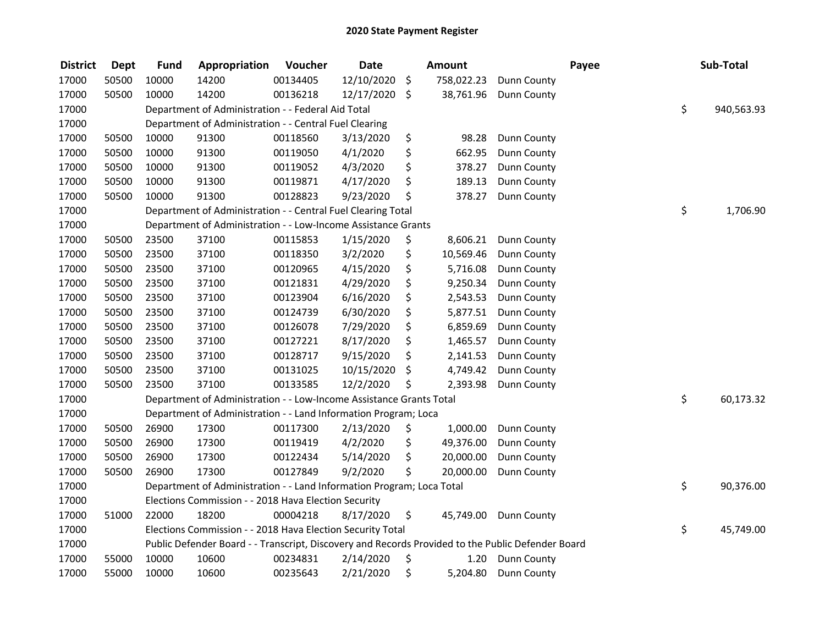| <b>District</b> | <b>Dept</b> | <b>Fund</b> | Appropriation                                                                                     | Voucher  | <b>Date</b> |             | Amount     |             | Payee | Sub-Total        |
|-----------------|-------------|-------------|---------------------------------------------------------------------------------------------------|----------|-------------|-------------|------------|-------------|-------|------------------|
| 17000           | 50500       | 10000       | 14200                                                                                             | 00134405 | 12/10/2020  | \$          | 758,022.23 | Dunn County |       |                  |
| 17000           | 50500       | 10000       | 14200                                                                                             | 00136218 | 12/17/2020  | \$          | 38,761.96  | Dunn County |       |                  |
| 17000           |             |             | Department of Administration - - Federal Aid Total                                                |          |             |             |            |             |       | \$<br>940,563.93 |
| 17000           |             |             | Department of Administration - - Central Fuel Clearing                                            |          |             |             |            |             |       |                  |
| 17000           | 50500       | 10000       | 91300                                                                                             | 00118560 | 3/13/2020   | \$          | 98.28      | Dunn County |       |                  |
| 17000           | 50500       | 10000       | 91300                                                                                             | 00119050 | 4/1/2020    | \$          | 662.95     | Dunn County |       |                  |
| 17000           | 50500       | 10000       | 91300                                                                                             | 00119052 | 4/3/2020    | \$          | 378.27     | Dunn County |       |                  |
| 17000           | 50500       | 10000       | 91300                                                                                             | 00119871 | 4/17/2020   | \$          | 189.13     | Dunn County |       |                  |
| 17000           | 50500       | 10000       | 91300                                                                                             | 00128823 | 9/23/2020   | \$          | 378.27     | Dunn County |       |                  |
| 17000           |             |             | Department of Administration - - Central Fuel Clearing Total                                      |          |             |             |            |             |       | \$<br>1,706.90   |
| 17000           |             |             | Department of Administration - - Low-Income Assistance Grants                                     |          |             |             |            |             |       |                  |
| 17000           | 50500       | 23500       | 37100                                                                                             | 00115853 | 1/15/2020   | \$          | 8,606.21   | Dunn County |       |                  |
| 17000           | 50500       | 23500       | 37100                                                                                             | 00118350 | 3/2/2020    | \$          | 10,569.46  | Dunn County |       |                  |
| 17000           | 50500       | 23500       | 37100                                                                                             | 00120965 | 4/15/2020   | \$          | 5,716.08   | Dunn County |       |                  |
| 17000           | 50500       | 23500       | 37100                                                                                             | 00121831 | 4/29/2020   | \$          | 9,250.34   | Dunn County |       |                  |
| 17000           | 50500       | 23500       | 37100                                                                                             | 00123904 | 6/16/2020   | \$          | 2,543.53   | Dunn County |       |                  |
| 17000           | 50500       | 23500       | 37100                                                                                             | 00124739 | 6/30/2020   | \$          | 5,877.51   | Dunn County |       |                  |
| 17000           | 50500       | 23500       | 37100                                                                                             | 00126078 | 7/29/2020   | \$          | 6,859.69   | Dunn County |       |                  |
| 17000           | 50500       | 23500       | 37100                                                                                             | 00127221 | 8/17/2020   | \$          | 1,465.57   | Dunn County |       |                  |
| 17000           | 50500       | 23500       | 37100                                                                                             | 00128717 | 9/15/2020   | \$          | 2,141.53   | Dunn County |       |                  |
| 17000           | 50500       | 23500       | 37100                                                                                             | 00131025 | 10/15/2020  | \$          | 4,749.42   | Dunn County |       |                  |
| 17000           | 50500       | 23500       | 37100                                                                                             | 00133585 | 12/2/2020   | \$          | 2,393.98   | Dunn County |       |                  |
| 17000           |             |             | Department of Administration - - Low-Income Assistance Grants Total                               |          |             |             |            |             |       | \$<br>60,173.32  |
| 17000           |             |             | Department of Administration - - Land Information Program; Loca                                   |          |             |             |            |             |       |                  |
| 17000           | 50500       | 26900       | 17300                                                                                             | 00117300 | 2/13/2020   | \$          | 1,000.00   | Dunn County |       |                  |
| 17000           | 50500       | 26900       | 17300                                                                                             | 00119419 | 4/2/2020    | \$          | 49,376.00  | Dunn County |       |                  |
| 17000           | 50500       | 26900       | 17300                                                                                             | 00122434 | 5/14/2020   | \$          | 20,000.00  | Dunn County |       |                  |
| 17000           | 50500       | 26900       | 17300                                                                                             | 00127849 | 9/2/2020    | \$          | 20,000.00  | Dunn County |       |                  |
| 17000           |             |             | Department of Administration - - Land Information Program; Loca Total                             |          |             |             |            |             |       | \$<br>90,376.00  |
| 17000           |             |             | Elections Commission - - 2018 Hava Election Security                                              |          |             |             |            |             |       |                  |
| 17000           | 51000       | 22000       | 18200                                                                                             | 00004218 | 8/17/2020   | $\varsigma$ | 45,749.00  | Dunn County |       |                  |
| 17000           |             |             | Elections Commission - - 2018 Hava Election Security Total                                        |          |             |             |            |             |       | \$<br>45,749.00  |
| 17000           |             |             | Public Defender Board - - Transcript, Discovery and Records Provided to the Public Defender Board |          |             |             |            |             |       |                  |
| 17000           | 55000       | 10000       | 10600                                                                                             | 00234831 | 2/14/2020   | \$          | 1.20       | Dunn County |       |                  |
| 17000           | 55000       | 10000       | 10600                                                                                             | 00235643 | 2/21/2020   | \$          | 5,204.80   | Dunn County |       |                  |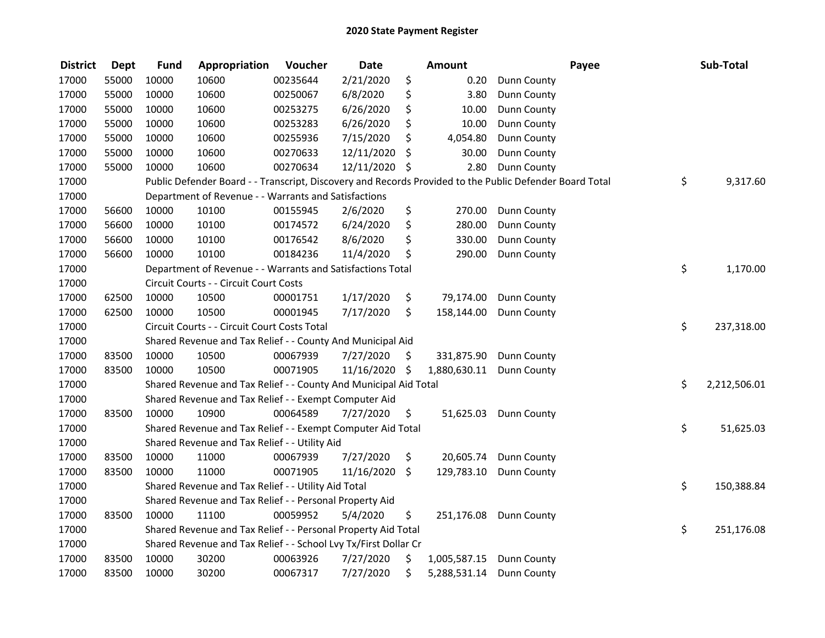| <b>District</b> | <b>Dept</b> | <b>Fund</b> | Appropriation                                                                                           | Voucher  | <b>Date</b> |      | <b>Amount</b> |                    | Payee | Sub-Total          |
|-----------------|-------------|-------------|---------------------------------------------------------------------------------------------------------|----------|-------------|------|---------------|--------------------|-------|--------------------|
| 17000           | 55000       | 10000       | 10600                                                                                                   | 00235644 | 2/21/2020   | \$   | 0.20          | Dunn County        |       |                    |
| 17000           | 55000       | 10000       | 10600                                                                                                   | 00250067 | 6/8/2020    | \$   | 3.80          | Dunn County        |       |                    |
| 17000           | 55000       | 10000       | 10600                                                                                                   | 00253275 | 6/26/2020   | \$   | 10.00         | Dunn County        |       |                    |
| 17000           | 55000       | 10000       | 10600                                                                                                   | 00253283 | 6/26/2020   | \$   | 10.00         | Dunn County        |       |                    |
| 17000           | 55000       | 10000       | 10600                                                                                                   | 00255936 | 7/15/2020   | \$   | 4,054.80      | Dunn County        |       |                    |
| 17000           | 55000       | 10000       | 10600                                                                                                   | 00270633 | 12/11/2020  | \$   | 30.00         | Dunn County        |       |                    |
| 17000           | 55000       | 10000       | 10600                                                                                                   | 00270634 | 12/11/2020  | \$   | 2.80          | Dunn County        |       |                    |
| 17000           |             |             | Public Defender Board - - Transcript, Discovery and Records Provided to the Public Defender Board Total |          |             |      |               |                    |       | \$<br>9,317.60     |
| 17000           |             |             | Department of Revenue - - Warrants and Satisfactions                                                    |          |             |      |               |                    |       |                    |
| 17000           | 56600       | 10000       | 10100                                                                                                   | 00155945 | 2/6/2020    | \$   | 270.00        | Dunn County        |       |                    |
| 17000           | 56600       | 10000       | 10100                                                                                                   | 00174572 | 6/24/2020   | \$   | 280.00        | Dunn County        |       |                    |
| 17000           | 56600       | 10000       | 10100                                                                                                   | 00176542 | 8/6/2020    | \$   | 330.00        | Dunn County        |       |                    |
| 17000           | 56600       | 10000       | 10100                                                                                                   | 00184236 | 11/4/2020   | \$   | 290.00        | Dunn County        |       |                    |
| 17000           |             |             | Department of Revenue - - Warrants and Satisfactions Total                                              |          |             |      |               |                    |       | \$<br>1,170.00     |
| 17000           |             |             | Circuit Courts - - Circuit Court Costs                                                                  |          |             |      |               |                    |       |                    |
| 17000           | 62500       | 10000       | 10500                                                                                                   | 00001751 | 1/17/2020   | \$   | 79,174.00     | Dunn County        |       |                    |
| 17000           | 62500       | 10000       | 10500                                                                                                   | 00001945 | 7/17/2020   | \$   | 158,144.00    | Dunn County        |       |                    |
| 17000           |             |             | Circuit Courts - - Circuit Court Costs Total                                                            |          |             |      |               |                    |       | \$<br>237,318.00   |
| 17000           |             |             | Shared Revenue and Tax Relief - - County And Municipal Aid                                              |          |             |      |               |                    |       |                    |
| 17000           | 83500       | 10000       | 10500                                                                                                   | 00067939 | 7/27/2020   | \$   | 331,875.90    | <b>Dunn County</b> |       |                    |
| 17000           | 83500       | 10000       | 10500                                                                                                   | 00071905 | 11/16/2020  | - \$ | 1,880,630.11  | Dunn County        |       |                    |
| 17000           |             |             | Shared Revenue and Tax Relief - - County And Municipal Aid Total                                        |          |             |      |               |                    |       | \$<br>2,212,506.01 |
| 17000           |             |             | Shared Revenue and Tax Relief - - Exempt Computer Aid                                                   |          |             |      |               |                    |       |                    |
| 17000           | 83500       | 10000       | 10900                                                                                                   | 00064589 | 7/27/2020   | \$.  | 51,625.03     | Dunn County        |       |                    |
| 17000           |             |             | Shared Revenue and Tax Relief - - Exempt Computer Aid Total                                             |          |             |      |               |                    |       | \$<br>51,625.03    |
| 17000           |             |             | Shared Revenue and Tax Relief - - Utility Aid                                                           |          |             |      |               |                    |       |                    |
| 17000           | 83500       | 10000       | 11000                                                                                                   | 00067939 | 7/27/2020   | \$   | 20,605.74     | Dunn County        |       |                    |
| 17000           | 83500       | 10000       | 11000                                                                                                   | 00071905 | 11/16/2020  | \$   | 129,783.10    | Dunn County        |       |                    |
| 17000           |             |             | Shared Revenue and Tax Relief - - Utility Aid Total                                                     |          |             |      |               |                    |       | \$<br>150,388.84   |
| 17000           |             |             | Shared Revenue and Tax Relief - - Personal Property Aid                                                 |          |             |      |               |                    |       |                    |
| 17000           | 83500       | 10000       | 11100                                                                                                   | 00059952 | 5/4/2020    | \$   | 251,176.08    | <b>Dunn County</b> |       |                    |
| 17000           |             |             | Shared Revenue and Tax Relief - - Personal Property Aid Total                                           |          |             |      |               |                    |       | \$<br>251,176.08   |
| 17000           |             |             | Shared Revenue and Tax Relief - - School Lvy Tx/First Dollar Cr                                         |          |             |      |               |                    |       |                    |
| 17000           | 83500       | 10000       | 30200                                                                                                   | 00063926 | 7/27/2020   | \$   | 1,005,587.15  | Dunn County        |       |                    |
| 17000           | 83500       | 10000       | 30200                                                                                                   | 00067317 | 7/27/2020   | \$   | 5,288,531.14  | Dunn County        |       |                    |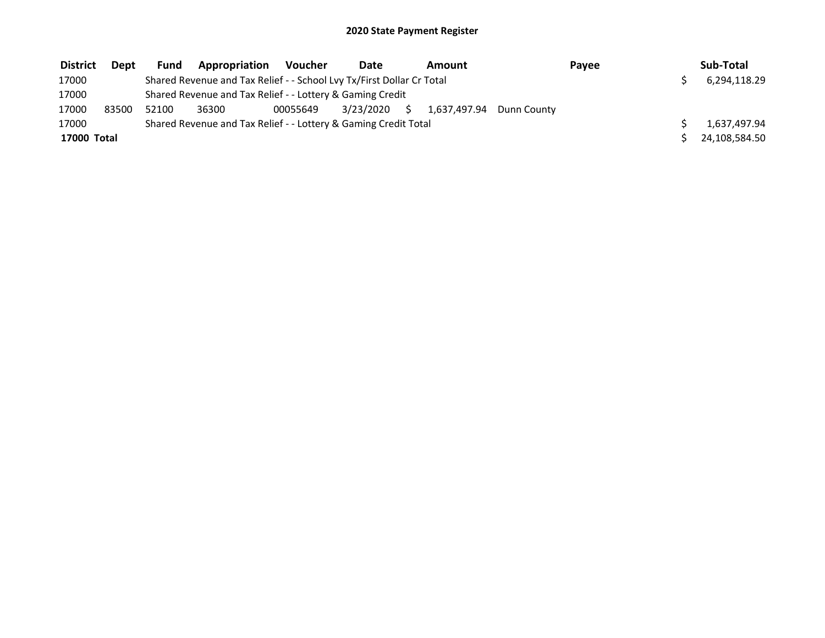| <b>District</b> | Dept  | Fund  | <b>Appropriation</b>                                                  | Voucher  | Date      |    | Amount                   | Payee | Sub-Total     |
|-----------------|-------|-------|-----------------------------------------------------------------------|----------|-----------|----|--------------------------|-------|---------------|
| 17000           |       |       | Shared Revenue and Tax Relief - - School Lvy Tx/First Dollar Cr Total |          |           |    |                          |       | 6,294,118.29  |
| 17000           |       |       | Shared Revenue and Tax Relief - - Lottery & Gaming Credit             |          |           |    |                          |       |               |
| 17000           | 83500 | 52100 | 36300                                                                 | 00055649 | 3/23/2020 | Ŝ. | 1.637.497.94 Dunn County |       |               |
| 17000           |       |       | Shared Revenue and Tax Relief - - Lottery & Gaming Credit Total       |          |           |    |                          |       | 1,637,497.94  |
| 17000 Total     |       |       |                                                                       |          |           |    |                          |       | 24.108.584.50 |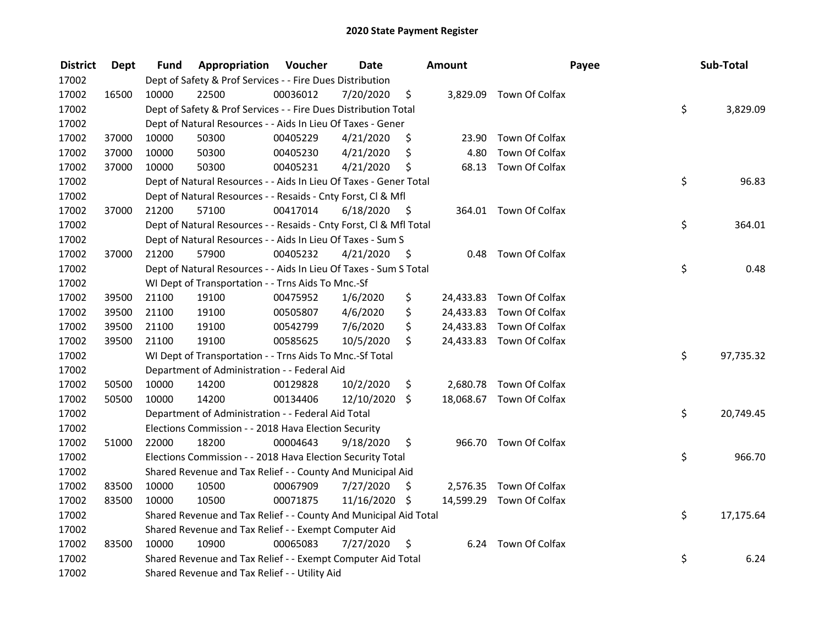| <b>District</b> | Dept  | Fund  | Appropriation                                                      | Voucher  | <b>Date</b>   |      | Amount |                          | Payee | Sub-Total |
|-----------------|-------|-------|--------------------------------------------------------------------|----------|---------------|------|--------|--------------------------|-------|-----------|
| 17002           |       |       | Dept of Safety & Prof Services - - Fire Dues Distribution          |          |               |      |        |                          |       |           |
| 17002           | 16500 | 10000 | 22500                                                              | 00036012 | 7/20/2020     | \$   |        | 3,829.09 Town Of Colfax  |       |           |
| 17002           |       |       | Dept of Safety & Prof Services - - Fire Dues Distribution Total    |          |               |      |        |                          | \$    | 3,829.09  |
| 17002           |       |       | Dept of Natural Resources - - Aids In Lieu Of Taxes - Gener        |          |               |      |        |                          |       |           |
| 17002           | 37000 | 10000 | 50300                                                              | 00405229 | 4/21/2020     | \$   | 23.90  | Town Of Colfax           |       |           |
| 17002           | 37000 | 10000 | 50300                                                              | 00405230 | 4/21/2020     | \$   | 4.80   | Town Of Colfax           |       |           |
| 17002           | 37000 | 10000 | 50300                                                              | 00405231 | 4/21/2020     | \$   |        | 68.13 Town Of Colfax     |       |           |
| 17002           |       |       | Dept of Natural Resources - - Aids In Lieu Of Taxes - Gener Total  |          |               |      |        |                          | \$    | 96.83     |
| 17002           |       |       | Dept of Natural Resources - - Resaids - Cnty Forst, Cl & Mfl       |          |               |      |        |                          |       |           |
| 17002           | 37000 | 21200 | 57100                                                              | 00417014 | 6/18/2020     | - \$ |        | 364.01 Town Of Colfax    |       |           |
| 17002           |       |       | Dept of Natural Resources - - Resaids - Cnty Forst, Cl & Mfl Total |          |               |      |        |                          | \$    | 364.01    |
| 17002           |       |       | Dept of Natural Resources - - Aids In Lieu Of Taxes - Sum S        |          |               |      |        |                          |       |           |
| 17002           | 37000 | 21200 | 57900                                                              | 00405232 | 4/21/2020     | -\$  |        | 0.48 Town Of Colfax      |       |           |
| 17002           |       |       | Dept of Natural Resources - - Aids In Lieu Of Taxes - Sum S Total  |          |               |      |        |                          | \$    | 0.48      |
| 17002           |       |       | WI Dept of Transportation - - Trns Aids To Mnc.-Sf                 |          |               |      |        |                          |       |           |
| 17002           | 39500 | 21100 | 19100                                                              | 00475952 | 1/6/2020      | \$   |        | 24,433.83 Town Of Colfax |       |           |
| 17002           | 39500 | 21100 | 19100                                                              | 00505807 | 4/6/2020      | \$   |        | 24,433.83 Town Of Colfax |       |           |
| 17002           | 39500 | 21100 | 19100                                                              | 00542799 | 7/6/2020      | \$   |        | 24,433.83 Town Of Colfax |       |           |
| 17002           | 39500 | 21100 | 19100                                                              | 00585625 | 10/5/2020     | \$   |        | 24,433.83 Town Of Colfax |       |           |
| 17002           |       |       | WI Dept of Transportation - - Trns Aids To Mnc.-Sf Total           |          |               |      |        |                          | \$    | 97,735.32 |
| 17002           |       |       | Department of Administration - - Federal Aid                       |          |               |      |        |                          |       |           |
| 17002           | 50500 | 10000 | 14200                                                              | 00129828 | 10/2/2020     | \$   |        | 2,680.78 Town Of Colfax  |       |           |
| 17002           | 50500 | 10000 | 14200                                                              | 00134406 | 12/10/2020 \$ |      |        | 18,068.67 Town Of Colfax |       |           |
| 17002           |       |       | Department of Administration - - Federal Aid Total                 |          |               |      |        |                          | \$    | 20,749.45 |
| 17002           |       |       | Elections Commission - - 2018 Hava Election Security               |          |               |      |        |                          |       |           |
| 17002           | 51000 | 22000 | 18200                                                              | 00004643 | 9/18/2020     | \$   |        | 966.70 Town Of Colfax    |       |           |
| 17002           |       |       | Elections Commission - - 2018 Hava Election Security Total         |          |               |      |        |                          | \$    | 966.70    |
| 17002           |       |       | Shared Revenue and Tax Relief - - County And Municipal Aid         |          |               |      |        |                          |       |           |
| 17002           | 83500 | 10000 | 10500                                                              | 00067909 | 7/27/2020     | \$   |        | 2,576.35 Town Of Colfax  |       |           |
| 17002           | 83500 | 10000 | 10500                                                              | 00071875 | 11/16/2020 \$ |      |        | 14,599.29 Town Of Colfax |       |           |
| 17002           |       |       | Shared Revenue and Tax Relief - - County And Municipal Aid Total   |          |               |      |        |                          | \$    | 17,175.64 |
| 17002           |       |       | Shared Revenue and Tax Relief - - Exempt Computer Aid              |          |               |      |        |                          |       |           |
| 17002           | 83500 | 10000 | 10900                                                              | 00065083 | 7/27/2020     | \$   |        | 6.24 Town Of Colfax      |       |           |
| 17002           |       |       | Shared Revenue and Tax Relief - - Exempt Computer Aid Total        |          |               |      |        |                          | \$    | 6.24      |
| 17002           |       |       | Shared Revenue and Tax Relief - - Utility Aid                      |          |               |      |        |                          |       |           |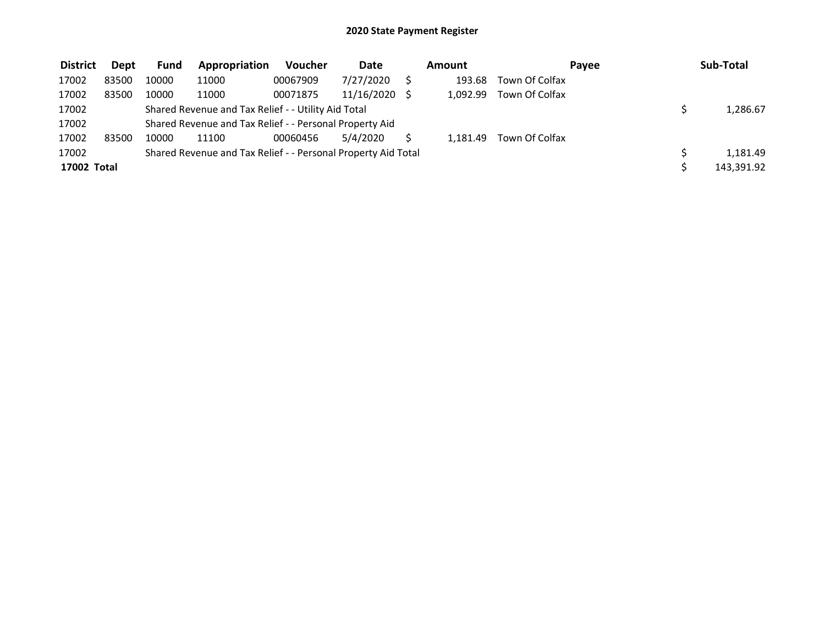| <b>District</b> | <b>Dept</b> | Fund  | Appropriation                                                 | Voucher  | Date       | Amount   |                | Pavee | Sub-Total  |
|-----------------|-------------|-------|---------------------------------------------------------------|----------|------------|----------|----------------|-------|------------|
| 17002           | 83500       | 10000 | 11000                                                         | 00067909 | 7/27/2020  | 193.68   | Town Of Colfax |       |            |
| 17002           | 83500       | 10000 | 11000                                                         | 00071875 | 11/16/2020 | 1.092.99 | Town Of Colfax |       |            |
| 17002           |             |       | Shared Revenue and Tax Relief - - Utility Aid Total           |          |            |          |                |       | 1,286.67   |
| 17002           |             |       | Shared Revenue and Tax Relief - - Personal Property Aid       |          |            |          |                |       |            |
| 17002           | 83500       | 10000 | 11100                                                         | 00060456 | 5/4/2020   | 1.181.49 | Town Of Colfax |       |            |
| 17002           |             |       | Shared Revenue and Tax Relief - - Personal Property Aid Total |          |            |          |                |       | 1,181.49   |
| 17002 Total     |             |       |                                                               |          |            |          |                |       | 143,391.92 |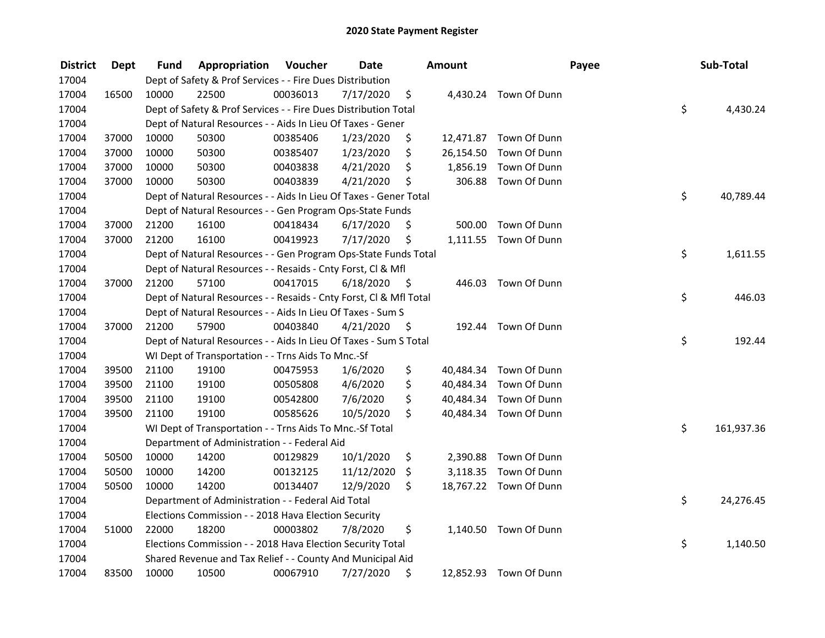| <b>District</b> | <b>Dept</b> | Fund  | Appropriation                                                      | Voucher  | <b>Date</b> |      | Amount    |                        | Payee | Sub-Total        |
|-----------------|-------------|-------|--------------------------------------------------------------------|----------|-------------|------|-----------|------------------------|-------|------------------|
| 17004           |             |       | Dept of Safety & Prof Services - - Fire Dues Distribution          |          |             |      |           |                        |       |                  |
| 17004           | 16500       | 10000 | 22500                                                              | 00036013 | 7/17/2020   | \$   |           | 4,430.24 Town Of Dunn  |       |                  |
| 17004           |             |       | Dept of Safety & Prof Services - - Fire Dues Distribution Total    |          |             |      |           |                        |       | \$<br>4,430.24   |
| 17004           |             |       | Dept of Natural Resources - - Aids In Lieu Of Taxes - Gener        |          |             |      |           |                        |       |                  |
| 17004           | 37000       | 10000 | 50300                                                              | 00385406 | 1/23/2020   | \$   |           | 12,471.87 Town Of Dunn |       |                  |
| 17004           | 37000       | 10000 | 50300                                                              | 00385407 | 1/23/2020   | \$   | 26,154.50 | Town Of Dunn           |       |                  |
| 17004           | 37000       | 10000 | 50300                                                              | 00403838 | 4/21/2020   | \$   |           | 1,856.19 Town Of Dunn  |       |                  |
| 17004           | 37000       | 10000 | 50300                                                              | 00403839 | 4/21/2020   | \$   | 306.88    | Town Of Dunn           |       |                  |
| 17004           |             |       | Dept of Natural Resources - - Aids In Lieu Of Taxes - Gener Total  |          |             |      |           |                        |       | \$<br>40,789.44  |
| 17004           |             |       | Dept of Natural Resources - - Gen Program Ops-State Funds          |          |             |      |           |                        |       |                  |
| 17004           | 37000       | 21200 | 16100                                                              | 00418434 | 6/17/2020   | \$   | 500.00    | Town Of Dunn           |       |                  |
| 17004           | 37000       | 21200 | 16100                                                              | 00419923 | 7/17/2020   | \$   |           | 1,111.55 Town Of Dunn  |       |                  |
| 17004           |             |       | Dept of Natural Resources - - Gen Program Ops-State Funds Total    |          |             |      |           |                        |       | \$<br>1,611.55   |
| 17004           |             |       | Dept of Natural Resources - - Resaids - Cnty Forst, Cl & Mfl       |          |             |      |           |                        |       |                  |
| 17004           | 37000       | 21200 | 57100                                                              | 00417015 | 6/18/2020   | - \$ | 446.03    | Town Of Dunn           |       |                  |
| 17004           |             |       | Dept of Natural Resources - - Resaids - Cnty Forst, Cl & Mfl Total |          |             |      |           |                        |       | \$<br>446.03     |
| 17004           |             |       | Dept of Natural Resources - - Aids In Lieu Of Taxes - Sum S        |          |             |      |           |                        |       |                  |
| 17004           | 37000       | 21200 | 57900                                                              | 00403840 | 4/21/2020   | - \$ | 192.44    | Town Of Dunn           |       |                  |
| 17004           |             |       | Dept of Natural Resources - - Aids In Lieu Of Taxes - Sum S Total  |          |             |      |           |                        |       | \$<br>192.44     |
| 17004           |             |       | WI Dept of Transportation - - Trns Aids To Mnc.-Sf                 |          |             |      |           |                        |       |                  |
| 17004           | 39500       | 21100 | 19100                                                              | 00475953 | 1/6/2020    | \$   |           | 40,484.34 Town Of Dunn |       |                  |
| 17004           | 39500       | 21100 | 19100                                                              | 00505808 | 4/6/2020    | \$   |           | 40,484.34 Town Of Dunn |       |                  |
| 17004           | 39500       | 21100 | 19100                                                              | 00542800 | 7/6/2020    | \$   |           | 40,484.34 Town Of Dunn |       |                  |
| 17004           | 39500       | 21100 | 19100                                                              | 00585626 | 10/5/2020   | \$.  |           | 40,484.34 Town Of Dunn |       |                  |
| 17004           |             |       | WI Dept of Transportation - - Trns Aids To Mnc.-Sf Total           |          |             |      |           |                        |       | \$<br>161,937.36 |
| 17004           |             |       | Department of Administration - - Federal Aid                       |          |             |      |           |                        |       |                  |
| 17004           | 50500       | 10000 | 14200                                                              | 00129829 | 10/1/2020   | \$   | 2,390.88  | Town Of Dunn           |       |                  |
| 17004           | 50500       | 10000 | 14200                                                              | 00132125 | 11/12/2020  | \$   |           | 3,118.35 Town Of Dunn  |       |                  |
| 17004           | 50500       | 10000 | 14200                                                              | 00134407 | 12/9/2020   | \$   |           | 18,767.22 Town Of Dunn |       |                  |
| 17004           |             |       | Department of Administration - - Federal Aid Total                 |          |             |      |           |                        |       | \$<br>24,276.45  |
| 17004           |             |       | Elections Commission - - 2018 Hava Election Security               |          |             |      |           |                        |       |                  |
| 17004           | 51000       | 22000 | 18200                                                              | 00003802 | 7/8/2020    | \$   |           | 1,140.50 Town Of Dunn  |       |                  |
| 17004           |             |       | Elections Commission - - 2018 Hava Election Security Total         |          |             |      |           |                        |       | \$<br>1,140.50   |
| 17004           |             |       | Shared Revenue and Tax Relief - - County And Municipal Aid         |          |             |      |           |                        |       |                  |
| 17004           | 83500       | 10000 | 10500                                                              | 00067910 | 7/27/2020   | \$   |           | 12,852.93 Town Of Dunn |       |                  |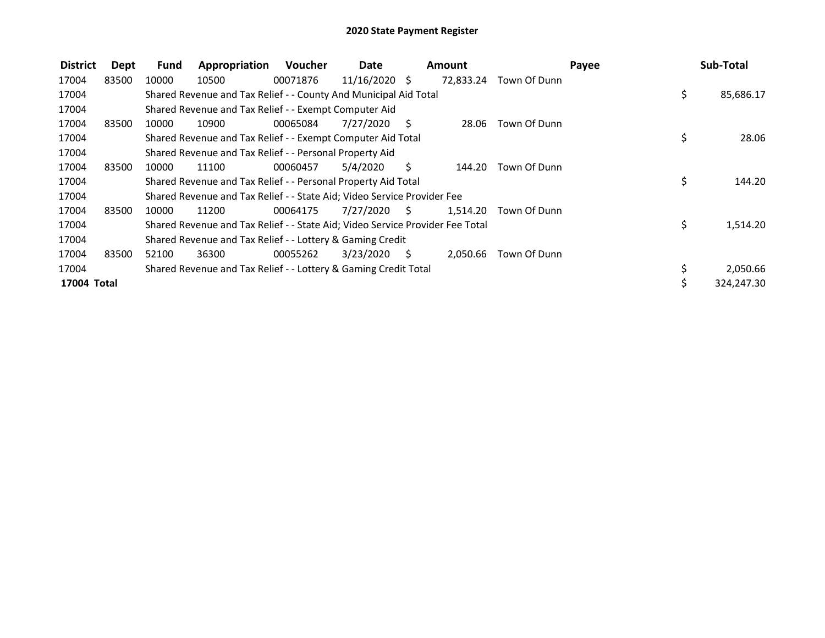| <b>District</b> | Dept  | Fund  | Appropriation                                                                 | Voucher  | Date          |      | Amount    |              | Payee | Sub-Total  |
|-----------------|-------|-------|-------------------------------------------------------------------------------|----------|---------------|------|-----------|--------------|-------|------------|
| 17004           | 83500 | 10000 | 10500                                                                         | 00071876 | 11/16/2020 \$ |      | 72,833.24 | Town Of Dunn |       |            |
| 17004           |       |       | Shared Revenue and Tax Relief - - County And Municipal Aid Total              |          |               |      |           |              | \$.   | 85,686.17  |
| 17004           |       |       | Shared Revenue and Tax Relief - - Exempt Computer Aid                         |          |               |      |           |              |       |            |
| 17004           | 83500 | 10000 | 10900                                                                         | 00065084 | 7/27/2020     | - S  | 28.06     | Town Of Dunn |       |            |
| 17004           |       |       | Shared Revenue and Tax Relief - - Exempt Computer Aid Total                   |          |               |      |           |              | \$    | 28.06      |
| 17004           |       |       | Shared Revenue and Tax Relief - - Personal Property Aid                       |          |               |      |           |              |       |            |
| 17004           | 83500 | 10000 | 11100                                                                         | 00060457 | 5/4/2020      | S.   | 144.20    | Town Of Dunn |       |            |
| 17004           |       |       | Shared Revenue and Tax Relief - - Personal Property Aid Total                 |          |               |      |           |              | \$    | 144.20     |
| 17004           |       |       | Shared Revenue and Tax Relief - - State Aid; Video Service Provider Fee       |          |               |      |           |              |       |            |
| 17004           | 83500 | 10000 | 11200                                                                         | 00064175 | 7/27/2020     | - \$ | 1,514.20  | Town Of Dunn |       |            |
| 17004           |       |       | Shared Revenue and Tax Relief - - State Aid; Video Service Provider Fee Total |          |               |      |           |              | \$    | 1,514.20   |
| 17004           |       |       | Shared Revenue and Tax Relief - - Lottery & Gaming Credit                     |          |               |      |           |              |       |            |
| 17004           | 83500 | 52100 | 36300                                                                         | 00055262 | 3/23/2020     | S.   | 2,050.66  | Town Of Dunn |       |            |
| 17004           |       |       | Shared Revenue and Tax Relief - - Lottery & Gaming Credit Total               |          |               |      |           |              |       | 2,050.66   |
| 17004 Total     |       |       |                                                                               |          |               |      |           |              | Ś.    | 324,247.30 |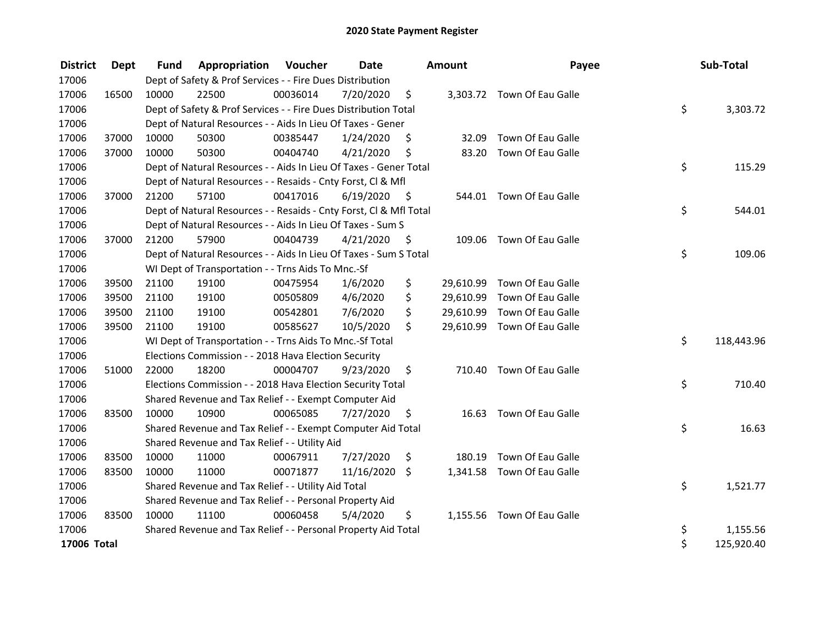| <b>District</b> | Dept  | <b>Fund</b> | Appropriation                                                      | Voucher  | Date       |      | <b>Amount</b> | Payee                       | Sub-Total        |
|-----------------|-------|-------------|--------------------------------------------------------------------|----------|------------|------|---------------|-----------------------------|------------------|
| 17006           |       |             | Dept of Safety & Prof Services - - Fire Dues Distribution          |          |            |      |               |                             |                  |
| 17006           | 16500 | 10000       | 22500                                                              | 00036014 | 7/20/2020  | \$   |               | 3,303.72 Town Of Eau Galle  |                  |
| 17006           |       |             | Dept of Safety & Prof Services - - Fire Dues Distribution Total    |          |            |      |               |                             | \$<br>3,303.72   |
| 17006           |       |             | Dept of Natural Resources - - Aids In Lieu Of Taxes - Gener        |          |            |      |               |                             |                  |
| 17006           | 37000 | 10000       | 50300                                                              | 00385447 | 1/24/2020  | \$   | 32.09         | Town Of Eau Galle           |                  |
| 17006           | 37000 | 10000       | 50300                                                              | 00404740 | 4/21/2020  | \$   | 83.20         | Town Of Eau Galle           |                  |
| 17006           |       |             | Dept of Natural Resources - - Aids In Lieu Of Taxes - Gener Total  |          |            |      |               |                             | \$<br>115.29     |
| 17006           |       |             | Dept of Natural Resources - - Resaids - Cnty Forst, CI & Mfl       |          |            |      |               |                             |                  |
| 17006           | 37000 | 21200       | 57100                                                              | 00417016 | 6/19/2020  | - \$ |               | 544.01 Town Of Eau Galle    |                  |
| 17006           |       |             | Dept of Natural Resources - - Resaids - Cnty Forst, Cl & Mfl Total |          |            |      |               |                             | \$<br>544.01     |
| 17006           |       |             | Dept of Natural Resources - - Aids In Lieu Of Taxes - Sum S        |          |            |      |               |                             |                  |
| 17006           | 37000 | 21200       | 57900                                                              | 00404739 | 4/21/2020  | - \$ |               | 109.06 Town Of Eau Galle    |                  |
| 17006           |       |             | Dept of Natural Resources - - Aids In Lieu Of Taxes - Sum S Total  |          |            |      |               |                             | \$<br>109.06     |
| 17006           |       |             | WI Dept of Transportation - - Trns Aids To Mnc.-Sf                 |          |            |      |               |                             |                  |
| 17006           | 39500 | 21100       | 19100                                                              | 00475954 | 1/6/2020   | \$   | 29,610.99     | Town Of Eau Galle           |                  |
| 17006           | 39500 | 21100       | 19100                                                              | 00505809 | 4/6/2020   | \$   | 29,610.99     | Town Of Eau Galle           |                  |
| 17006           | 39500 | 21100       | 19100                                                              | 00542801 | 7/6/2020   | \$   | 29,610.99     | Town Of Eau Galle           |                  |
| 17006           | 39500 | 21100       | 19100                                                              | 00585627 | 10/5/2020  | \$   |               | 29,610.99 Town Of Eau Galle |                  |
| 17006           |       |             | WI Dept of Transportation - - Trns Aids To Mnc.-Sf Total           |          |            |      |               |                             | \$<br>118,443.96 |
| 17006           |       |             | Elections Commission - - 2018 Hava Election Security               |          |            |      |               |                             |                  |
| 17006           | 51000 | 22000       | 18200                                                              | 00004707 | 9/23/2020  | \$   |               | 710.40 Town Of Eau Galle    |                  |
| 17006           |       |             | Elections Commission - - 2018 Hava Election Security Total         |          |            |      |               |                             | \$<br>710.40     |
| 17006           |       |             | Shared Revenue and Tax Relief - - Exempt Computer Aid              |          |            |      |               |                             |                  |
| 17006           | 83500 | 10000       | 10900                                                              | 00065085 | 7/27/2020  | \$   |               | 16.63 Town Of Eau Galle     |                  |
| 17006           |       |             | Shared Revenue and Tax Relief - - Exempt Computer Aid Total        |          |            |      |               |                             | \$<br>16.63      |
| 17006           |       |             | Shared Revenue and Tax Relief - - Utility Aid                      |          |            |      |               |                             |                  |
| 17006           | 83500 | 10000       | 11000                                                              | 00067911 | 7/27/2020  | \$   | 180.19        | Town Of Eau Galle           |                  |
| 17006           | 83500 | 10000       | 11000                                                              | 00071877 | 11/16/2020 | \$   |               | 1,341.58 Town Of Eau Galle  |                  |
| 17006           |       |             | Shared Revenue and Tax Relief - - Utility Aid Total                |          |            |      |               |                             | \$<br>1,521.77   |
| 17006           |       |             | Shared Revenue and Tax Relief - - Personal Property Aid            |          |            |      |               |                             |                  |
| 17006           | 83500 | 10000       | 11100                                                              | 00060458 | 5/4/2020   | \$   |               | 1,155.56 Town Of Eau Galle  |                  |
| 17006           |       |             | Shared Revenue and Tax Relief - - Personal Property Aid Total      |          |            |      |               |                             | \$<br>1,155.56   |
| 17006 Total     |       |             |                                                                    |          |            |      |               |                             | \$<br>125,920.40 |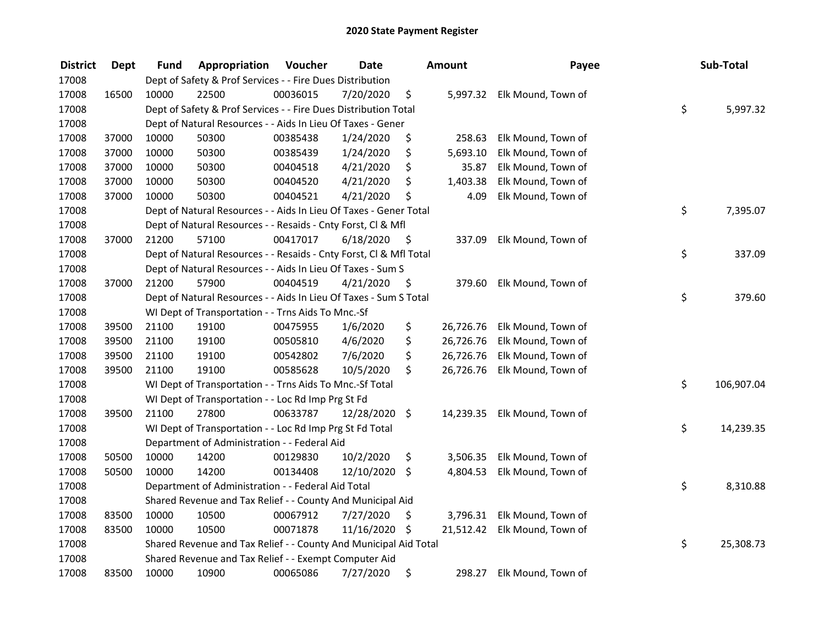| <b>District</b> | Dept  | Fund  | Appropriation                                                      | Voucher  | <b>Date</b> |      | Amount    | Payee                        | Sub-Total        |
|-----------------|-------|-------|--------------------------------------------------------------------|----------|-------------|------|-----------|------------------------------|------------------|
| 17008           |       |       | Dept of Safety & Prof Services - - Fire Dues Distribution          |          |             |      |           |                              |                  |
| 17008           | 16500 | 10000 | 22500                                                              | 00036015 | 7/20/2020   | \$   |           | 5,997.32 Elk Mound, Town of  |                  |
| 17008           |       |       | Dept of Safety & Prof Services - - Fire Dues Distribution Total    |          |             |      |           |                              | \$<br>5,997.32   |
| 17008           |       |       | Dept of Natural Resources - - Aids In Lieu Of Taxes - Gener        |          |             |      |           |                              |                  |
| 17008           | 37000 | 10000 | 50300                                                              | 00385438 | 1/24/2020   | \$   | 258.63    | Elk Mound, Town of           |                  |
| 17008           | 37000 | 10000 | 50300                                                              | 00385439 | 1/24/2020   | \$   | 5,693.10  | Elk Mound, Town of           |                  |
| 17008           | 37000 | 10000 | 50300                                                              | 00404518 | 4/21/2020   | \$   | 35.87     | Elk Mound, Town of           |                  |
| 17008           | 37000 | 10000 | 50300                                                              | 00404520 | 4/21/2020   | \$   | 1,403.38  | Elk Mound, Town of           |                  |
| 17008           | 37000 | 10000 | 50300                                                              | 00404521 | 4/21/2020   | \$   | 4.09      | Elk Mound, Town of           |                  |
| 17008           |       |       | Dept of Natural Resources - - Aids In Lieu Of Taxes - Gener Total  |          |             |      |           |                              | \$<br>7,395.07   |
| 17008           |       |       | Dept of Natural Resources - - Resaids - Cnty Forst, Cl & Mfl       |          |             |      |           |                              |                  |
| 17008           | 37000 | 21200 | 57100                                                              | 00417017 | 6/18/2020   | - \$ | 337.09    | Elk Mound, Town of           |                  |
| 17008           |       |       | Dept of Natural Resources - - Resaids - Cnty Forst, Cl & Mfl Total |          |             |      |           |                              | \$<br>337.09     |
| 17008           |       |       | Dept of Natural Resources - - Aids In Lieu Of Taxes - Sum S        |          |             |      |           |                              |                  |
| 17008           | 37000 | 21200 | 57900                                                              | 00404519 | 4/21/2020   | \$   | 379.60    | Elk Mound, Town of           |                  |
| 17008           |       |       | Dept of Natural Resources - - Aids In Lieu Of Taxes - Sum S Total  |          |             |      |           |                              | \$<br>379.60     |
| 17008           |       |       | WI Dept of Transportation - - Trns Aids To Mnc.-Sf                 |          |             |      |           |                              |                  |
| 17008           | 39500 | 21100 | 19100                                                              | 00475955 | 1/6/2020    | \$   | 26,726.76 | Elk Mound, Town of           |                  |
| 17008           | 39500 | 21100 | 19100                                                              | 00505810 | 4/6/2020    | \$   | 26,726.76 | Elk Mound, Town of           |                  |
| 17008           | 39500 | 21100 | 19100                                                              | 00542802 | 7/6/2020    | \$   | 26,726.76 | Elk Mound, Town of           |                  |
| 17008           | 39500 | 21100 | 19100                                                              | 00585628 | 10/5/2020   | \$   | 26,726.76 | Elk Mound, Town of           |                  |
| 17008           |       |       | WI Dept of Transportation - - Trns Aids To Mnc.-Sf Total           |          |             |      |           |                              | \$<br>106,907.04 |
| 17008           |       |       | WI Dept of Transportation - - Loc Rd Imp Prg St Fd                 |          |             |      |           |                              |                  |
| 17008           | 39500 | 21100 | 27800                                                              | 00633787 | 12/28/2020  | \$   | 14,239.35 | Elk Mound, Town of           |                  |
| 17008           |       |       | WI Dept of Transportation - - Loc Rd Imp Prg St Fd Total           |          |             |      |           |                              | \$<br>14,239.35  |
| 17008           |       |       | Department of Administration - - Federal Aid                       |          |             |      |           |                              |                  |
| 17008           | 50500 | 10000 | 14200                                                              | 00129830 | 10/2/2020   | \$   | 3,506.35  | Elk Mound, Town of           |                  |
| 17008           | 50500 | 10000 | 14200                                                              | 00134408 | 12/10/2020  | \$   | 4,804.53  | Elk Mound, Town of           |                  |
| 17008           |       |       | Department of Administration - - Federal Aid Total                 |          |             |      |           |                              | \$<br>8,310.88   |
| 17008           |       |       | Shared Revenue and Tax Relief - - County And Municipal Aid         |          |             |      |           |                              |                  |
| 17008           | 83500 | 10000 | 10500                                                              | 00067912 | 7/27/2020   | \$   | 3,796.31  | Elk Mound, Town of           |                  |
| 17008           | 83500 | 10000 | 10500                                                              | 00071878 | 11/16/2020  | \$   |           | 21,512.42 Elk Mound, Town of |                  |
| 17008           |       |       | Shared Revenue and Tax Relief - - County And Municipal Aid Total   |          |             |      |           |                              | \$<br>25,308.73  |
| 17008           |       |       | Shared Revenue and Tax Relief - - Exempt Computer Aid              |          |             |      |           |                              |                  |
| 17008           | 83500 | 10000 | 10900                                                              | 00065086 | 7/27/2020   | \$   | 298.27    | Elk Mound, Town of           |                  |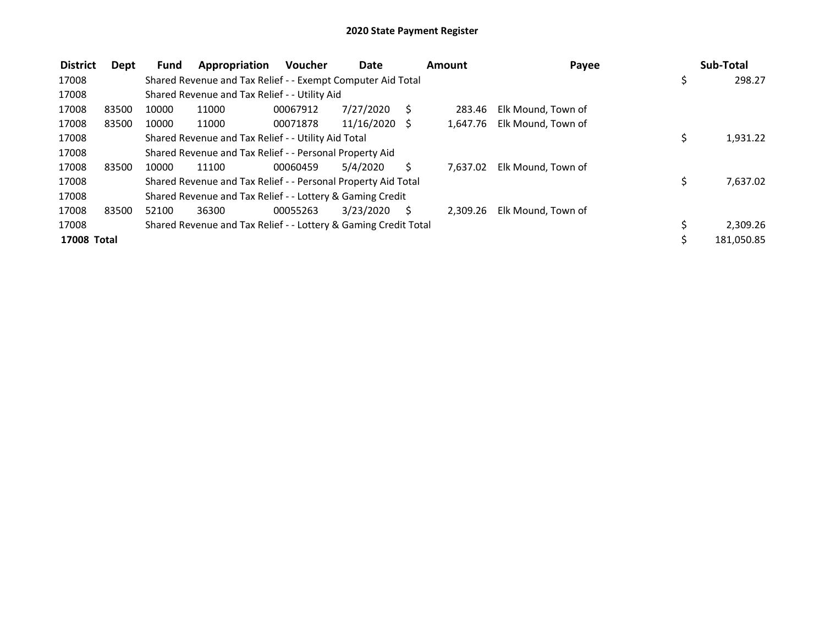| <b>District</b>    | Dept  | Fund  | Appropriation                                                   | <b>Voucher</b> | <b>Date</b>     |    | Amount   | Payee              | Sub-Total      |
|--------------------|-------|-------|-----------------------------------------------------------------|----------------|-----------------|----|----------|--------------------|----------------|
| 17008              |       |       | Shared Revenue and Tax Relief - - Exempt Computer Aid Total     |                |                 |    |          |                    | \$<br>298.27   |
| 17008              |       |       | Shared Revenue and Tax Relief - - Utility Aid                   |                |                 |    |          |                    |                |
| 17008              | 83500 | 10000 | 11000                                                           | 00067912       | 7/27/2020       | -S | 283.46   | Elk Mound, Town of |                |
| 17008              | 83500 | 10000 | 11000                                                           | 00071878       | $11/16/2020$ \$ |    | 1,647.76 | Elk Mound, Town of |                |
| 17008              |       |       | Shared Revenue and Tax Relief - - Utility Aid Total             |                |                 |    |          |                    | \$<br>1,931.22 |
| 17008              |       |       | Shared Revenue and Tax Relief - - Personal Property Aid         |                |                 |    |          |                    |                |
| 17008              | 83500 | 10000 | 11100                                                           | 00060459       | 5/4/2020        | S  | 7.637.02 | Elk Mound, Town of |                |
| 17008              |       |       | Shared Revenue and Tax Relief - - Personal Property Aid Total   |                |                 |    |          |                    | \$<br>7,637.02 |
| 17008              |       |       | Shared Revenue and Tax Relief - - Lottery & Gaming Credit       |                |                 |    |          |                    |                |
| 17008              | 83500 | 52100 | 36300                                                           | 00055263       | 3/23/2020       | S  | 2.309.26 | Elk Mound, Town of |                |
| 17008              |       |       | Shared Revenue and Tax Relief - - Lottery & Gaming Credit Total |                |                 |    |          |                    | 2,309.26       |
| <b>17008 Total</b> |       |       |                                                                 |                |                 |    |          |                    | 181,050.85     |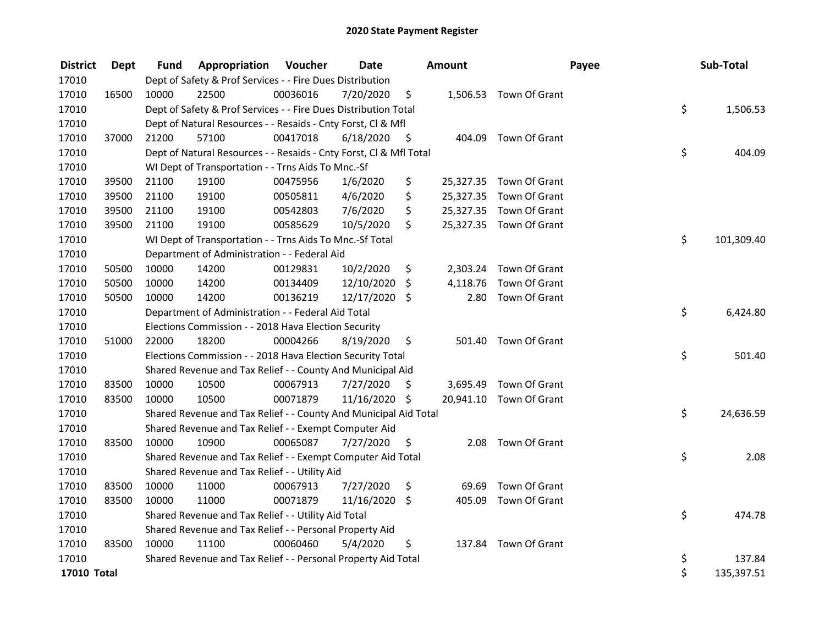| <b>District</b> | <b>Dept</b> | Fund  | Appropriation                                                      | Voucher  | <b>Date</b>   |      | Amount   |                         | Payee | Sub-Total  |
|-----------------|-------------|-------|--------------------------------------------------------------------|----------|---------------|------|----------|-------------------------|-------|------------|
| 17010           |             |       | Dept of Safety & Prof Services - - Fire Dues Distribution          |          |               |      |          |                         |       |            |
| 17010           | 16500       | 10000 | 22500                                                              | 00036016 | 7/20/2020     | \$   |          | 1,506.53 Town Of Grant  |       |            |
| 17010           |             |       | Dept of Safety & Prof Services - - Fire Dues Distribution Total    |          |               |      |          |                         | \$    | 1,506.53   |
| 17010           |             |       | Dept of Natural Resources - - Resaids - Cnty Forst, Cl & Mfl       |          |               |      |          |                         |       |            |
| 17010           | 37000       | 21200 | 57100                                                              | 00417018 | 6/18/2020     | - \$ |          | 404.09 Town Of Grant    |       |            |
| 17010           |             |       | Dept of Natural Resources - - Resaids - Cnty Forst, Cl & Mfl Total |          |               |      |          |                         | \$    | 404.09     |
| 17010           |             |       | WI Dept of Transportation - - Trns Aids To Mnc.-Sf                 |          |               |      |          |                         |       |            |
| 17010           | 39500       | 21100 | 19100                                                              | 00475956 | 1/6/2020      | \$   |          | 25,327.35 Town Of Grant |       |            |
| 17010           | 39500       | 21100 | 19100                                                              | 00505811 | 4/6/2020      | \$   |          | 25,327.35 Town Of Grant |       |            |
| 17010           | 39500       | 21100 | 19100                                                              | 00542803 | 7/6/2020      | \$   |          | 25,327.35 Town Of Grant |       |            |
| 17010           | 39500       | 21100 | 19100                                                              | 00585629 | 10/5/2020     | \$   |          | 25,327.35 Town Of Grant |       |            |
| 17010           |             |       | WI Dept of Transportation - - Trns Aids To Mnc.-Sf Total           |          |               |      |          |                         | \$    | 101,309.40 |
| 17010           |             |       | Department of Administration - - Federal Aid                       |          |               |      |          |                         |       |            |
| 17010           | 50500       | 10000 | 14200                                                              | 00129831 | 10/2/2020     | \$   | 2,303.24 | Town Of Grant           |       |            |
| 17010           | 50500       | 10000 | 14200                                                              | 00134409 | 12/10/2020    | \$   | 4,118.76 | Town Of Grant           |       |            |
| 17010           | 50500       | 10000 | 14200                                                              | 00136219 | 12/17/2020    | Ŝ.   | 2.80     | Town Of Grant           |       |            |
| 17010           |             |       | Department of Administration - - Federal Aid Total                 |          |               |      |          |                         | \$    | 6,424.80   |
| 17010           |             |       | Elections Commission - - 2018 Hava Election Security               |          |               |      |          |                         |       |            |
| 17010           | 51000       | 22000 | 18200                                                              | 00004266 | 8/19/2020     | \$   | 501.40   | Town Of Grant           |       |            |
| 17010           |             |       | Elections Commission - - 2018 Hava Election Security Total         |          |               |      |          |                         | \$    | 501.40     |
| 17010           |             |       | Shared Revenue and Tax Relief - - County And Municipal Aid         |          |               |      |          |                         |       |            |
| 17010           | 83500       | 10000 | 10500                                                              | 00067913 | 7/27/2020     | \$   | 3,695.49 | Town Of Grant           |       |            |
| 17010           | 83500       | 10000 | 10500                                                              | 00071879 | 11/16/2020 \$ |      |          | 20,941.10 Town Of Grant |       |            |
| 17010           |             |       | Shared Revenue and Tax Relief - - County And Municipal Aid Total   |          |               |      |          |                         | \$    | 24,636.59  |
| 17010           |             |       | Shared Revenue and Tax Relief - - Exempt Computer Aid              |          |               |      |          |                         |       |            |
| 17010           | 83500       | 10000 | 10900                                                              | 00065087 | 7/27/2020     | \$   | 2.08     | Town Of Grant           |       |            |
| 17010           |             |       | Shared Revenue and Tax Relief - - Exempt Computer Aid Total        |          |               |      |          |                         | \$    | 2.08       |
| 17010           |             |       | Shared Revenue and Tax Relief - - Utility Aid                      |          |               |      |          |                         |       |            |
| 17010           | 83500       | 10000 | 11000                                                              | 00067913 | 7/27/2020     | \$   | 69.69    | Town Of Grant           |       |            |
| 17010           | 83500       | 10000 | 11000                                                              | 00071879 | 11/16/2020    | \$   | 405.09   | Town Of Grant           |       |            |
| 17010           |             |       | Shared Revenue and Tax Relief - - Utility Aid Total                |          |               |      |          |                         | \$    | 474.78     |
| 17010           |             |       | Shared Revenue and Tax Relief - - Personal Property Aid            |          |               |      |          |                         |       |            |
| 17010           | 83500       | 10000 | 11100                                                              | 00060460 | 5/4/2020      | \$   |          | 137.84 Town Of Grant    |       |            |
| 17010           |             |       | Shared Revenue and Tax Relief - - Personal Property Aid Total      |          |               |      |          |                         | \$    | 137.84     |
| 17010 Total     |             |       |                                                                    |          |               |      |          |                         | \$    | 135,397.51 |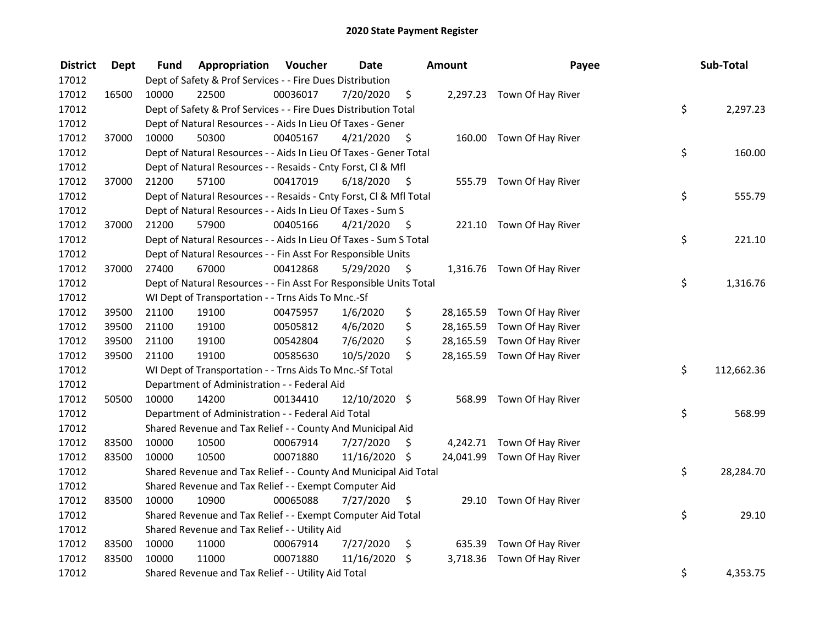| <b>District</b> | <b>Dept</b> | Fund  | Appropriation                                                      | Voucher  | <b>Date</b>   |      | <b>Amount</b> | Payee                       | Sub-Total        |
|-----------------|-------------|-------|--------------------------------------------------------------------|----------|---------------|------|---------------|-----------------------------|------------------|
| 17012           |             |       | Dept of Safety & Prof Services - - Fire Dues Distribution          |          |               |      |               |                             |                  |
| 17012           | 16500       | 10000 | 22500                                                              | 00036017 | 7/20/2020     | \$   |               | 2,297.23 Town Of Hay River  |                  |
| 17012           |             |       | Dept of Safety & Prof Services - - Fire Dues Distribution Total    |          |               |      |               |                             | \$<br>2,297.23   |
| 17012           |             |       | Dept of Natural Resources - - Aids In Lieu Of Taxes - Gener        |          |               |      |               |                             |                  |
| 17012           | 37000       | 10000 | 50300                                                              | 00405167 | 4/21/2020     | - \$ |               | 160.00 Town Of Hay River    |                  |
| 17012           |             |       | Dept of Natural Resources - - Aids In Lieu Of Taxes - Gener Total  |          |               |      |               |                             | \$<br>160.00     |
| 17012           |             |       | Dept of Natural Resources - - Resaids - Cnty Forst, CI & Mfl       |          |               |      |               |                             |                  |
| 17012           | 37000       | 21200 | 57100                                                              | 00417019 | 6/18/2020     | - \$ |               | 555.79 Town Of Hay River    |                  |
| 17012           |             |       | Dept of Natural Resources - - Resaids - Cnty Forst, Cl & Mfl Total |          |               |      |               |                             | \$<br>555.79     |
| 17012           |             |       | Dept of Natural Resources - - Aids In Lieu Of Taxes - Sum S        |          |               |      |               |                             |                  |
| 17012           | 37000       | 21200 | 57900                                                              | 00405166 | 4/21/2020     | - S  |               | 221.10 Town Of Hay River    |                  |
| 17012           |             |       | Dept of Natural Resources - - Aids In Lieu Of Taxes - Sum S Total  |          |               |      |               |                             | \$<br>221.10     |
| 17012           |             |       | Dept of Natural Resources - - Fin Asst For Responsible Units       |          |               |      |               |                             |                  |
| 17012           | 37000       | 27400 | 67000                                                              | 00412868 | 5/29/2020     | \$   |               | 1,316.76 Town Of Hay River  |                  |
| 17012           |             |       | Dept of Natural Resources - - Fin Asst For Responsible Units Total |          |               |      |               |                             | \$<br>1,316.76   |
| 17012           |             |       | WI Dept of Transportation - - Trns Aids To Mnc.-Sf                 |          |               |      |               |                             |                  |
| 17012           | 39500       | 21100 | 19100                                                              | 00475957 | 1/6/2020      | \$   |               | 28,165.59 Town Of Hay River |                  |
| 17012           | 39500       | 21100 | 19100                                                              | 00505812 | 4/6/2020      | \$   |               | 28,165.59 Town Of Hay River |                  |
| 17012           | 39500       | 21100 | 19100                                                              | 00542804 | 7/6/2020      | \$   |               | 28,165.59 Town Of Hay River |                  |
| 17012           | 39500       | 21100 | 19100                                                              | 00585630 | 10/5/2020     | \$   |               | 28,165.59 Town Of Hay River |                  |
| 17012           |             |       | WI Dept of Transportation - - Trns Aids To Mnc.-Sf Total           |          |               |      |               |                             | \$<br>112,662.36 |
| 17012           |             |       | Department of Administration - - Federal Aid                       |          |               |      |               |                             |                  |
| 17012           | 50500       | 10000 | 14200                                                              | 00134410 | 12/10/2020 \$ |      |               | 568.99 Town Of Hay River    |                  |
| 17012           |             |       | Department of Administration - - Federal Aid Total                 |          |               |      |               |                             | \$<br>568.99     |
| 17012           |             |       | Shared Revenue and Tax Relief - - County And Municipal Aid         |          |               |      |               |                             |                  |
| 17012           | 83500       | 10000 | 10500                                                              | 00067914 | 7/27/2020     | S    |               | 4,242.71 Town Of Hay River  |                  |
| 17012           | 83500       | 10000 | 10500                                                              | 00071880 | 11/16/2020 \$ |      |               | 24,041.99 Town Of Hay River |                  |
| 17012           |             |       | Shared Revenue and Tax Relief - - County And Municipal Aid Total   |          |               |      |               |                             | \$<br>28,284.70  |
| 17012           |             |       | Shared Revenue and Tax Relief - - Exempt Computer Aid              |          |               |      |               |                             |                  |
| 17012           | 83500       | 10000 | 10900                                                              | 00065088 | 7/27/2020     | \$   |               | 29.10 Town Of Hay River     |                  |
| 17012           |             |       | Shared Revenue and Tax Relief - - Exempt Computer Aid Total        |          |               |      |               |                             | \$<br>29.10      |
| 17012           |             |       | Shared Revenue and Tax Relief - - Utility Aid                      |          |               |      |               |                             |                  |
| 17012           | 83500       | 10000 | 11000                                                              | 00067914 | 7/27/2020     | \$   |               | 635.39 Town Of Hay River    |                  |
| 17012           | 83500       | 10000 | 11000                                                              | 00071880 | 11/16/2020    | \$   | 3,718.36      | Town Of Hay River           |                  |
| 17012           |             |       | Shared Revenue and Tax Relief - - Utility Aid Total                |          |               |      |               |                             | \$<br>4,353.75   |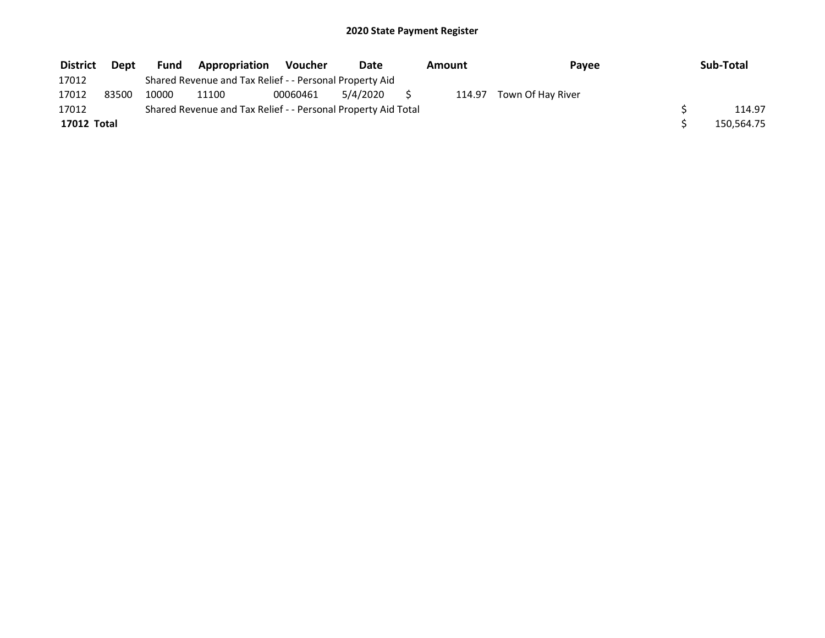| <b>District</b> | Dept  | Fund  | <b>Appropriation</b>                                          | <b>Voucher</b> | Date     | Amount | Payee             | Sub-Total  |
|-----------------|-------|-------|---------------------------------------------------------------|----------------|----------|--------|-------------------|------------|
| 17012           |       |       | Shared Revenue and Tax Relief - - Personal Property Aid       |                |          |        |                   |            |
| 17012           | 83500 | 10000 | 11100                                                         | 00060461       | 5/4/2020 | 114.97 | Town Of Hay River |            |
| 17012           |       |       | Shared Revenue and Tax Relief - - Personal Property Aid Total |                |          |        |                   | 114.97     |
| 17012 Total     |       |       |                                                               |                |          |        |                   | 150,564.75 |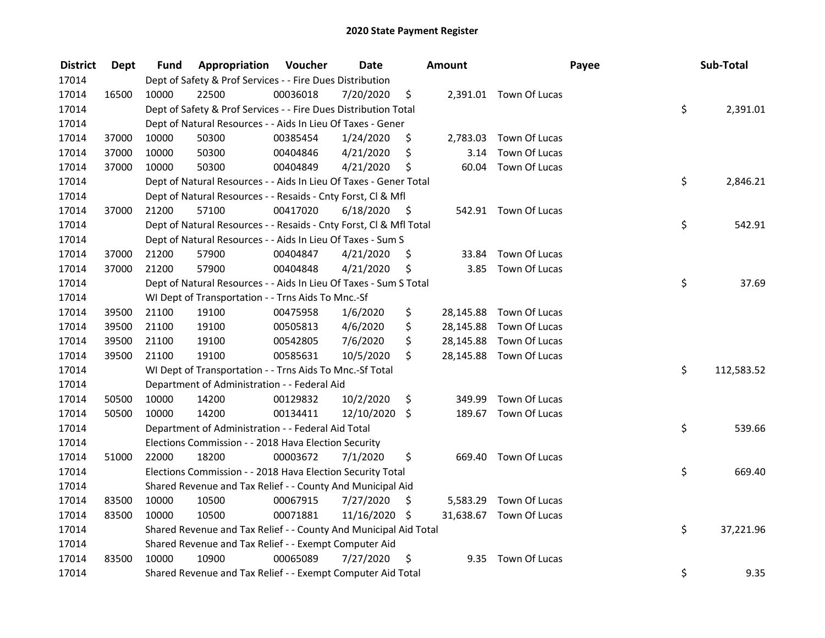| <b>District</b> | <b>Dept</b> | Fund  | Appropriation                                                      | Voucher  | <b>Date</b>   |      | Amount    |                         | Payee | Sub-Total  |
|-----------------|-------------|-------|--------------------------------------------------------------------|----------|---------------|------|-----------|-------------------------|-------|------------|
| 17014           |             |       | Dept of Safety & Prof Services - - Fire Dues Distribution          |          |               |      |           |                         |       |            |
| 17014           | 16500       | 10000 | 22500                                                              | 00036018 | 7/20/2020     | \$   |           | 2,391.01 Town Of Lucas  |       |            |
| 17014           |             |       | Dept of Safety & Prof Services - - Fire Dues Distribution Total    |          |               |      |           |                         | \$    | 2,391.01   |
| 17014           |             |       | Dept of Natural Resources - - Aids In Lieu Of Taxes - Gener        |          |               |      |           |                         |       |            |
| 17014           | 37000       | 10000 | 50300                                                              | 00385454 | 1/24/2020     | \$   |           | 2,783.03 Town Of Lucas  |       |            |
| 17014           | 37000       | 10000 | 50300                                                              | 00404846 | 4/21/2020     | \$   | 3.14      | Town Of Lucas           |       |            |
| 17014           | 37000       | 10000 | 50300                                                              | 00404849 | 4/21/2020     | \$   |           | 60.04 Town Of Lucas     |       |            |
| 17014           |             |       | Dept of Natural Resources - - Aids In Lieu Of Taxes - Gener Total  |          |               |      |           |                         | \$    | 2,846.21   |
| 17014           |             |       | Dept of Natural Resources - - Resaids - Cnty Forst, Cl & Mfl       |          |               |      |           |                         |       |            |
| 17014           | 37000       | 21200 | 57100                                                              | 00417020 | 6/18/2020     | - \$ |           | 542.91 Town Of Lucas    |       |            |
| 17014           |             |       | Dept of Natural Resources - - Resaids - Cnty Forst, Cl & Mfl Total |          |               |      |           |                         | \$    | 542.91     |
| 17014           |             |       | Dept of Natural Resources - - Aids In Lieu Of Taxes - Sum S        |          |               |      |           |                         |       |            |
| 17014           | 37000       | 21200 | 57900                                                              | 00404847 | 4/21/2020     | \$   | 33.84     | Town Of Lucas           |       |            |
| 17014           | 37000       | 21200 | 57900                                                              | 00404848 | 4/21/2020     | \$   | 3.85      | Town Of Lucas           |       |            |
| 17014           |             |       | Dept of Natural Resources - - Aids In Lieu Of Taxes - Sum S Total  |          |               |      |           |                         | \$    | 37.69      |
| 17014           |             |       | WI Dept of Transportation - - Trns Aids To Mnc.-Sf                 |          |               |      |           |                         |       |            |
| 17014           | 39500       | 21100 | 19100                                                              | 00475958 | 1/6/2020      | \$   | 28,145.88 | Town Of Lucas           |       |            |
| 17014           | 39500       | 21100 | 19100                                                              | 00505813 | 4/6/2020      | \$   |           | 28,145.88 Town Of Lucas |       |            |
| 17014           | 39500       | 21100 | 19100                                                              | 00542805 | 7/6/2020      | \$   |           | 28,145.88 Town Of Lucas |       |            |
| 17014           | 39500       | 21100 | 19100                                                              | 00585631 | 10/5/2020     | Ś.   |           | 28,145.88 Town Of Lucas |       |            |
| 17014           |             |       | WI Dept of Transportation - - Trns Aids To Mnc.-Sf Total           |          |               |      |           |                         | \$    | 112,583.52 |
| 17014           |             |       | Department of Administration - - Federal Aid                       |          |               |      |           |                         |       |            |
| 17014           | 50500       | 10000 | 14200                                                              | 00129832 | 10/2/2020     | \$   | 349.99    | Town Of Lucas           |       |            |
| 17014           | 50500       | 10000 | 14200                                                              | 00134411 | 12/10/2020 \$ |      |           | 189.67 Town Of Lucas    |       |            |
| 17014           |             |       | Department of Administration - - Federal Aid Total                 |          |               |      |           |                         | \$    | 539.66     |
| 17014           |             |       | Elections Commission - - 2018 Hava Election Security               |          |               |      |           |                         |       |            |
| 17014           | 51000       | 22000 | 18200                                                              | 00003672 | 7/1/2020      | \$   |           | 669.40 Town Of Lucas    |       |            |
| 17014           |             |       | Elections Commission - - 2018 Hava Election Security Total         |          |               |      |           |                         | \$    | 669.40     |
| 17014           |             |       | Shared Revenue and Tax Relief - - County And Municipal Aid         |          |               |      |           |                         |       |            |
| 17014           | 83500       | 10000 | 10500                                                              | 00067915 | 7/27/2020     | \$   | 5,583.29  | Town Of Lucas           |       |            |
| 17014           | 83500       | 10000 | 10500                                                              | 00071881 | 11/16/2020 \$ |      |           | 31,638.67 Town Of Lucas |       |            |
| 17014           |             |       | Shared Revenue and Tax Relief - - County And Municipal Aid Total   |          |               |      |           |                         | \$    | 37,221.96  |
| 17014           |             |       | Shared Revenue and Tax Relief - - Exempt Computer Aid              |          |               |      |           |                         |       |            |
| 17014           | 83500       | 10000 | 10900                                                              | 00065089 | 7/27/2020     | \$   | 9.35      | Town Of Lucas           |       |            |
| 17014           |             |       | Shared Revenue and Tax Relief - - Exempt Computer Aid Total        |          |               |      |           |                         | \$    | 9.35       |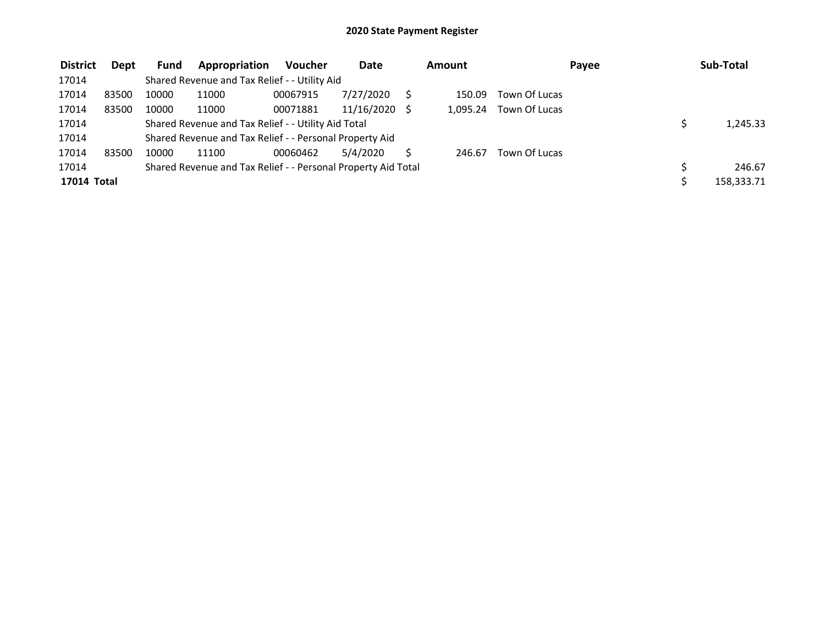| <b>District</b> | <b>Dept</b> | <b>Fund</b> | Appropriation                                                 | <b>Voucher</b> | <b>Date</b> | Amount   |               | Payee | Sub-Total  |
|-----------------|-------------|-------------|---------------------------------------------------------------|----------------|-------------|----------|---------------|-------|------------|
| 17014           |             |             | Shared Revenue and Tax Relief - - Utility Aid                 |                |             |          |               |       |            |
| 17014           | 83500       | 10000       | 11000                                                         | 00067915       | 7/27/2020   | 150.09   | Town Of Lucas |       |            |
| 17014           | 83500       | 10000       | 11000                                                         | 00071881       | 11/16/2020  | 1.095.24 | Town Of Lucas |       |            |
| 17014           |             |             | Shared Revenue and Tax Relief - - Utility Aid Total           |                |             |          |               |       | 1,245.33   |
| 17014           |             |             | Shared Revenue and Tax Relief - - Personal Property Aid       |                |             |          |               |       |            |
| 17014           | 83500       | 10000       | 11100                                                         | 00060462       | 5/4/2020    | 246.67   | Town Of Lucas |       |            |
| 17014           |             |             | Shared Revenue and Tax Relief - - Personal Property Aid Total |                |             |          |               |       | 246.67     |
| 17014 Total     |             |             |                                                               |                |             |          |               |       | 158,333.71 |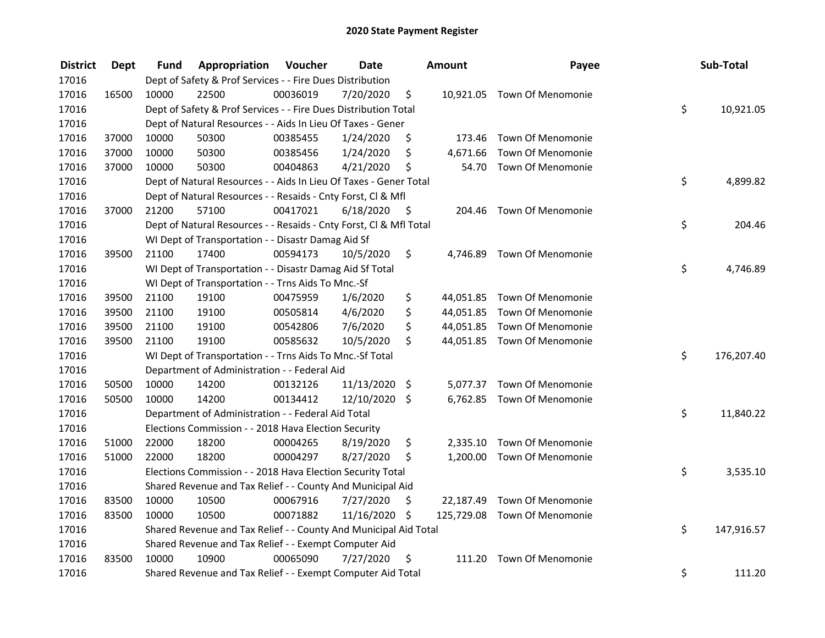| <b>District</b> | <b>Dept</b> | Fund  | Appropriation                                                      | Voucher  | <b>Date</b>   |      | <b>Amount</b> | Payee                        | Sub-Total        |
|-----------------|-------------|-------|--------------------------------------------------------------------|----------|---------------|------|---------------|------------------------------|------------------|
| 17016           |             |       | Dept of Safety & Prof Services - - Fire Dues Distribution          |          |               |      |               |                              |                  |
| 17016           | 16500       | 10000 | 22500                                                              | 00036019 | 7/20/2020     | \$   |               | 10,921.05 Town Of Menomonie  |                  |
| 17016           |             |       | Dept of Safety & Prof Services - - Fire Dues Distribution Total    |          |               |      |               |                              | \$<br>10,921.05  |
| 17016           |             |       | Dept of Natural Resources - - Aids In Lieu Of Taxes - Gener        |          |               |      |               |                              |                  |
| 17016           | 37000       | 10000 | 50300                                                              | 00385455 | 1/24/2020     | \$   | 173.46        | <b>Town Of Menomonie</b>     |                  |
| 17016           | 37000       | 10000 | 50300                                                              | 00385456 | 1/24/2020     | \$   | 4,671.66      | Town Of Menomonie            |                  |
| 17016           | 37000       | 10000 | 50300                                                              | 00404863 | 4/21/2020     | \$   | 54.70         | <b>Town Of Menomonie</b>     |                  |
| 17016           |             |       | Dept of Natural Resources - - Aids In Lieu Of Taxes - Gener Total  |          |               |      |               |                              | \$<br>4,899.82   |
| 17016           |             |       | Dept of Natural Resources - - Resaids - Cnty Forst, Cl & Mfl       |          |               |      |               |                              |                  |
| 17016           | 37000       | 21200 | 57100                                                              | 00417021 | 6/18/2020     | - \$ |               | 204.46 Town Of Menomonie     |                  |
| 17016           |             |       | Dept of Natural Resources - - Resaids - Cnty Forst, Cl & Mfl Total |          |               |      |               |                              | \$<br>204.46     |
| 17016           |             |       | WI Dept of Transportation - - Disastr Damag Aid Sf                 |          |               |      |               |                              |                  |
| 17016           | 39500       | 21100 | 17400                                                              | 00594173 | 10/5/2020     | \$   | 4,746.89      | Town Of Menomonie            |                  |
| 17016           |             |       | WI Dept of Transportation - - Disastr Damag Aid Sf Total           |          |               |      |               |                              | \$<br>4,746.89   |
| 17016           |             |       | WI Dept of Transportation - - Trns Aids To Mnc.-Sf                 |          |               |      |               |                              |                  |
| 17016           | 39500       | 21100 | 19100                                                              | 00475959 | 1/6/2020      | \$   | 44,051.85     | Town Of Menomonie            |                  |
| 17016           | 39500       | 21100 | 19100                                                              | 00505814 | 4/6/2020      | \$   |               | 44,051.85 Town Of Menomonie  |                  |
| 17016           | 39500       | 21100 | 19100                                                              | 00542806 | 7/6/2020      | \$   |               | 44,051.85 Town Of Menomonie  |                  |
| 17016           | 39500       | 21100 | 19100                                                              | 00585632 | 10/5/2020     | \$   |               | 44,051.85 Town Of Menomonie  |                  |
| 17016           |             |       | WI Dept of Transportation - - Trns Aids To Mnc.-Sf Total           |          |               |      |               |                              | \$<br>176,207.40 |
| 17016           |             |       | Department of Administration - - Federal Aid                       |          |               |      |               |                              |                  |
| 17016           | 50500       | 10000 | 14200                                                              | 00132126 | 11/13/2020    | \$   |               | 5,077.37 Town Of Menomonie   |                  |
| 17016           | 50500       | 10000 | 14200                                                              | 00134412 | 12/10/2020 \$ |      |               | 6,762.85 Town Of Menomonie   |                  |
| 17016           |             |       | Department of Administration - - Federal Aid Total                 |          |               |      |               |                              | \$<br>11,840.22  |
| 17016           |             |       | Elections Commission - - 2018 Hava Election Security               |          |               |      |               |                              |                  |
| 17016           | 51000       | 22000 | 18200                                                              | 00004265 | 8/19/2020     | \$   | 2,335.10      | <b>Town Of Menomonie</b>     |                  |
| 17016           | 51000       | 22000 | 18200                                                              | 00004297 | 8/27/2020     | \$   |               | 1,200.00 Town Of Menomonie   |                  |
| 17016           |             |       | Elections Commission - - 2018 Hava Election Security Total         |          |               |      |               |                              | \$<br>3,535.10   |
| 17016           |             |       | Shared Revenue and Tax Relief - - County And Municipal Aid         |          |               |      |               |                              |                  |
| 17016           | 83500       | 10000 | 10500                                                              | 00067916 | 7/27/2020     | \$   | 22,187.49     | Town Of Menomonie            |                  |
| 17016           | 83500       | 10000 | 10500                                                              | 00071882 | 11/16/2020 \$ |      |               | 125,729.08 Town Of Menomonie |                  |
| 17016           |             |       | Shared Revenue and Tax Relief - - County And Municipal Aid Total   |          |               |      |               |                              | \$<br>147,916.57 |
| 17016           |             |       | Shared Revenue and Tax Relief - - Exempt Computer Aid              |          |               |      |               |                              |                  |
| 17016           | 83500       | 10000 | 10900                                                              | 00065090 | 7/27/2020     | \$   | 111.20        | Town Of Menomonie            |                  |
| 17016           |             |       | Shared Revenue and Tax Relief - - Exempt Computer Aid Total        |          |               |      |               |                              | \$<br>111.20     |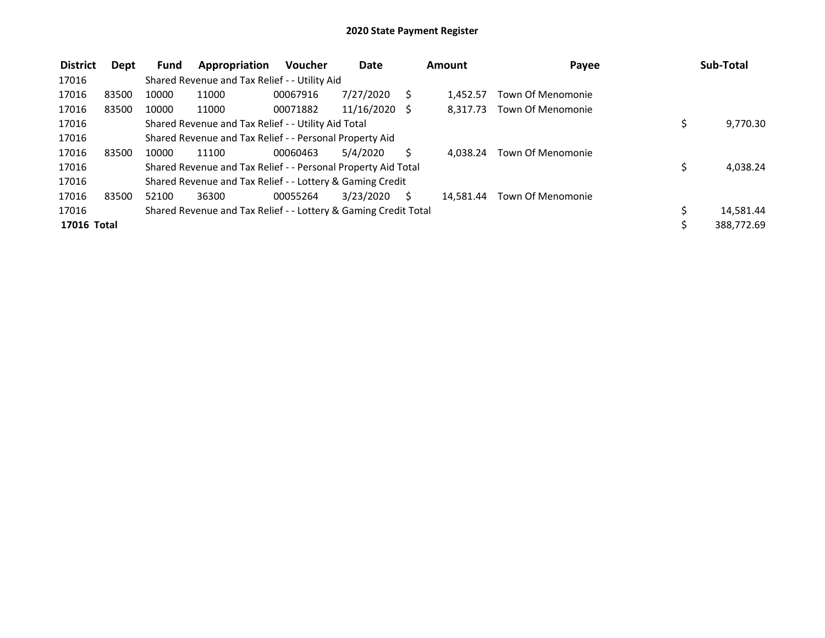| <b>District</b> | Dept  | <b>Fund</b> | Appropriation                                                   | <b>Voucher</b> | <b>Date</b> |    | Amount    | Payee                    |    | Sub-Total  |
|-----------------|-------|-------------|-----------------------------------------------------------------|----------------|-------------|----|-----------|--------------------------|----|------------|
| 17016           |       |             | Shared Revenue and Tax Relief - - Utility Aid                   |                |             |    |           |                          |    |            |
| 17016           | 83500 | 10000       | 11000                                                           | 00067916       | 7/27/2020   |    | 1.452.57  | <b>Town Of Menomonie</b> |    |            |
| 17016           | 83500 | 10000       | 11000                                                           | 00071882       | 11/16/2020  | -S | 8.317.73  | Town Of Menomonie        |    |            |
| 17016           |       |             | Shared Revenue and Tax Relief - - Utility Aid Total             |                |             |    |           |                          | \$ | 9,770.30   |
| 17016           |       |             | Shared Revenue and Tax Relief - - Personal Property Aid         |                |             |    |           |                          |    |            |
| 17016           | 83500 | 10000       | 11100                                                           | 00060463       | 5/4/2020    |    | 4.038.24  | Town Of Menomonie        |    |            |
| 17016           |       |             | Shared Revenue and Tax Relief - - Personal Property Aid Total   |                |             |    |           |                          | Ś  | 4,038.24   |
| 17016           |       |             | Shared Revenue and Tax Relief - - Lottery & Gaming Credit       |                |             |    |           |                          |    |            |
| 17016           | 83500 | 52100       | 36300                                                           | 00055264       | 3/23/2020   |    | 14.581.44 | Town Of Menomonie        |    |            |
| 17016           |       |             | Shared Revenue and Tax Relief - - Lottery & Gaming Credit Total |                |             |    |           |                          |    | 14,581.44  |
| 17016 Total     |       |             |                                                                 |                |             |    |           |                          |    | 388,772.69 |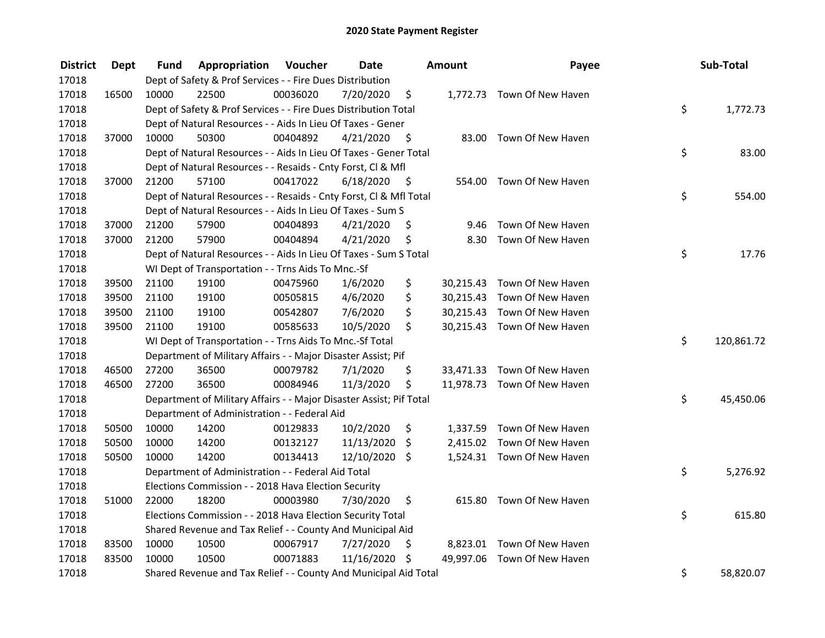| <b>District</b> | <b>Dept</b> | Fund  | Appropriation                                                       | Voucher  | <b>Date</b> |      | Amount    | Payee                       | Sub-Total        |
|-----------------|-------------|-------|---------------------------------------------------------------------|----------|-------------|------|-----------|-----------------------------|------------------|
| 17018           |             |       | Dept of Safety & Prof Services - - Fire Dues Distribution           |          |             |      |           |                             |                  |
| 17018           | 16500       | 10000 | 22500                                                               | 00036020 | 7/20/2020   | \$   |           | 1,772.73 Town Of New Haven  |                  |
| 17018           |             |       | Dept of Safety & Prof Services - - Fire Dues Distribution Total     |          |             |      |           |                             | \$<br>1,772.73   |
| 17018           |             |       | Dept of Natural Resources - - Aids In Lieu Of Taxes - Gener         |          |             |      |           |                             |                  |
| 17018           | 37000       | 10000 | 50300                                                               | 00404892 | 4/21/2020   | - \$ |           | 83.00 Town Of New Haven     |                  |
| 17018           |             |       | Dept of Natural Resources - - Aids In Lieu Of Taxes - Gener Total   |          |             |      |           |                             | \$<br>83.00      |
| 17018           |             |       | Dept of Natural Resources - - Resaids - Cnty Forst, Cl & Mfl        |          |             |      |           |                             |                  |
| 17018           | 37000       | 21200 | 57100                                                               | 00417022 | 6/18/2020   | - \$ |           | 554.00 Town Of New Haven    |                  |
| 17018           |             |       | Dept of Natural Resources - - Resaids - Cnty Forst, Cl & Mfl Total  |          |             |      |           |                             | \$<br>554.00     |
| 17018           |             |       | Dept of Natural Resources - - Aids In Lieu Of Taxes - Sum S         |          |             |      |           |                             |                  |
| 17018           | 37000       | 21200 | 57900                                                               | 00404893 | 4/21/2020   | \$   | 9.46      | Town Of New Haven           |                  |
| 17018           | 37000       | 21200 | 57900                                                               | 00404894 | 4/21/2020   | \$   | 8.30      | Town Of New Haven           |                  |
| 17018           |             |       | Dept of Natural Resources - - Aids In Lieu Of Taxes - Sum S Total   |          |             |      |           |                             | \$<br>17.76      |
| 17018           |             |       | WI Dept of Transportation - - Trns Aids To Mnc.-Sf                  |          |             |      |           |                             |                  |
| 17018           | 39500       | 21100 | 19100                                                               | 00475960 | 1/6/2020    | \$   | 30,215.43 | Town Of New Haven           |                  |
| 17018           | 39500       | 21100 | 19100                                                               | 00505815 | 4/6/2020    | \$   |           | 30,215.43 Town Of New Haven |                  |
| 17018           | 39500       | 21100 | 19100                                                               | 00542807 | 7/6/2020    | \$   |           | 30,215.43 Town Of New Haven |                  |
| 17018           | 39500       | 21100 | 19100                                                               | 00585633 | 10/5/2020   | \$   |           | 30,215.43 Town Of New Haven |                  |
| 17018           |             |       | WI Dept of Transportation - - Trns Aids To Mnc.-Sf Total            |          |             |      |           |                             | \$<br>120,861.72 |
| 17018           |             |       | Department of Military Affairs - - Major Disaster Assist; Pif       |          |             |      |           |                             |                  |
| 17018           | 46500       | 27200 | 36500                                                               | 00079782 | 7/1/2020    | \$   |           | 33,471.33 Town Of New Haven |                  |
| 17018           | 46500       | 27200 | 36500                                                               | 00084946 | 11/3/2020   | \$   |           | 11,978.73 Town Of New Haven |                  |
| 17018           |             |       | Department of Military Affairs - - Major Disaster Assist; Pif Total |          |             |      |           |                             | \$<br>45,450.06  |
| 17018           |             |       | Department of Administration - - Federal Aid                        |          |             |      |           |                             |                  |
| 17018           | 50500       | 10000 | 14200                                                               | 00129833 | 10/2/2020   | \$   |           | 1,337.59 Town Of New Haven  |                  |
| 17018           | 50500       | 10000 | 14200                                                               | 00132127 | 11/13/2020  | \$   |           | 2,415.02 Town Of New Haven  |                  |
| 17018           | 50500       | 10000 | 14200                                                               | 00134413 | 12/10/2020  | \$   |           | 1,524.31 Town Of New Haven  |                  |
| 17018           |             |       | Department of Administration - - Federal Aid Total                  |          |             |      |           |                             | \$<br>5,276.92   |
| 17018           |             |       | Elections Commission - - 2018 Hava Election Security                |          |             |      |           |                             |                  |
| 17018           | 51000       | 22000 | 18200                                                               | 00003980 | 7/30/2020   | \$   |           | 615.80 Town Of New Haven    |                  |
| 17018           |             |       | Elections Commission - - 2018 Hava Election Security Total          |          |             |      |           |                             | \$<br>615.80     |
| 17018           |             |       | Shared Revenue and Tax Relief - - County And Municipal Aid          |          |             |      |           |                             |                  |
| 17018           | 83500       | 10000 | 10500                                                               | 00067917 | 7/27/2020   | \$   |           | 8,823.01 Town Of New Haven  |                  |
| 17018           | 83500       | 10000 | 10500                                                               | 00071883 | 11/16/2020  | \$   |           | 49,997.06 Town Of New Haven |                  |
| 17018           |             |       | Shared Revenue and Tax Relief - - County And Municipal Aid Total    |          |             |      |           |                             | \$<br>58,820.07  |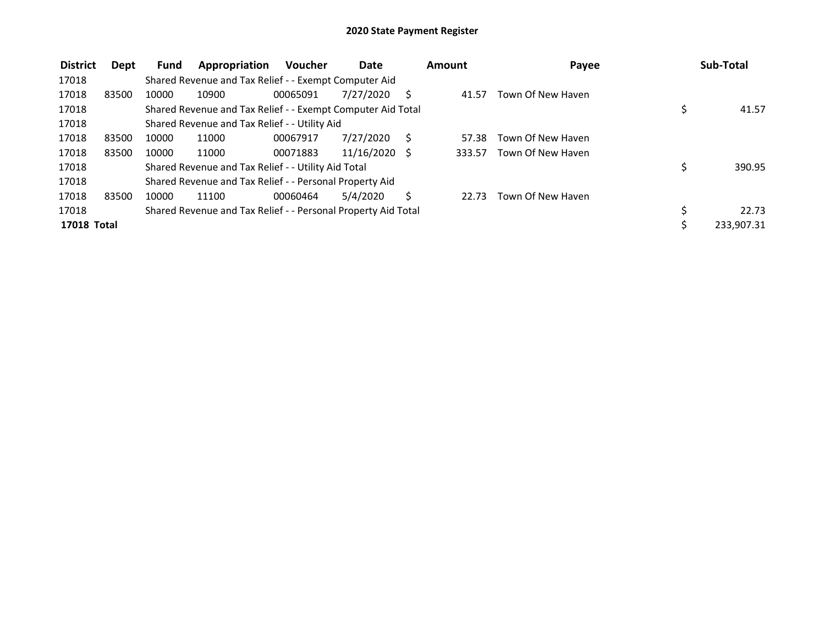| <b>District</b>    | Dept  | <b>Fund</b> | Appropriation                                                 | <b>Voucher</b> | <b>Date</b> |   | Amount | Payee             | Sub-Total    |
|--------------------|-------|-------------|---------------------------------------------------------------|----------------|-------------|---|--------|-------------------|--------------|
| 17018              |       |             | Shared Revenue and Tax Relief - - Exempt Computer Aid         |                |             |   |        |                   |              |
| 17018              | 83500 | 10000       | 10900                                                         | 00065091       | 7/27/2020   |   | 41.57  | Town Of New Haven |              |
| 17018              |       |             | Shared Revenue and Tax Relief - - Exempt Computer Aid Total   |                |             |   |        |                   | 41.57        |
| 17018              |       |             | Shared Revenue and Tax Relief - - Utility Aid                 |                |             |   |        |                   |              |
| 17018              | 83500 | 10000       | 11000                                                         | 00067917       | 7/27/2020   | S | 57.38  | Town Of New Haven |              |
| 17018              | 83500 | 10000       | 11000                                                         | 00071883       | 11/16/2020  |   | 333.57 | Town Of New Haven |              |
| 17018              |       |             | Shared Revenue and Tax Relief - - Utility Aid Total           |                |             |   |        |                   | \$<br>390.95 |
| 17018              |       |             | Shared Revenue and Tax Relief - - Personal Property Aid       |                |             |   |        |                   |              |
| 17018              | 83500 | 10000       | 11100                                                         | 00060464       | 5/4/2020    |   | 22.73  | Town Of New Haven |              |
| 17018              |       |             | Shared Revenue and Tax Relief - - Personal Property Aid Total |                |             |   |        |                   | 22.73        |
| <b>17018 Total</b> |       |             |                                                               |                |             |   |        |                   | 233,907.31   |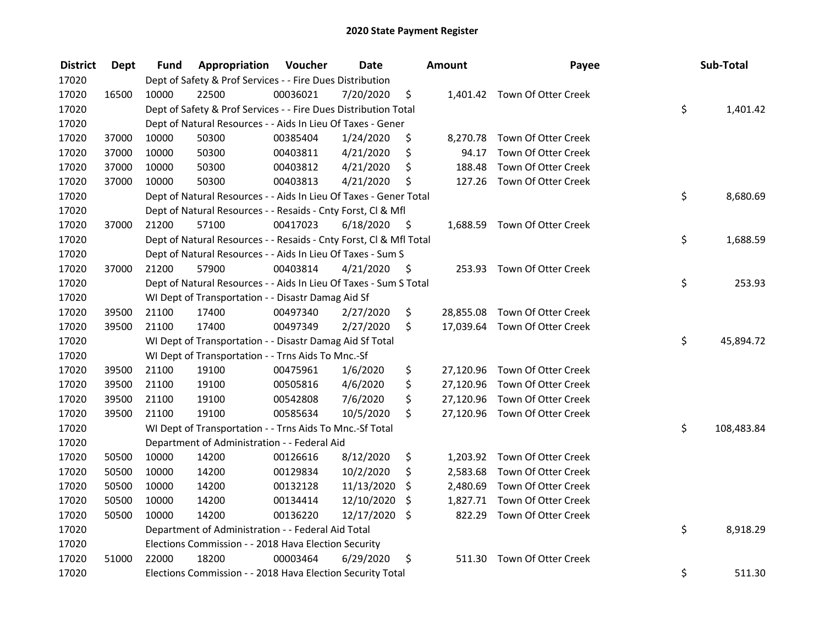| <b>District</b> | <b>Dept</b> | Fund  | Appropriation                                                      | Voucher  | <b>Date</b> |      | Amount    | Payee                         | Sub-Total        |
|-----------------|-------------|-------|--------------------------------------------------------------------|----------|-------------|------|-----------|-------------------------------|------------------|
| 17020           |             |       | Dept of Safety & Prof Services - - Fire Dues Distribution          |          |             |      |           |                               |                  |
| 17020           | 16500       | 10000 | 22500                                                              | 00036021 | 7/20/2020   | \$   |           | 1,401.42 Town Of Otter Creek  |                  |
| 17020           |             |       | Dept of Safety & Prof Services - - Fire Dues Distribution Total    |          |             |      |           |                               | \$<br>1,401.42   |
| 17020           |             |       | Dept of Natural Resources - - Aids In Lieu Of Taxes - Gener        |          |             |      |           |                               |                  |
| 17020           | 37000       | 10000 | 50300                                                              | 00385404 | 1/24/2020   | \$   |           | 8,270.78 Town Of Otter Creek  |                  |
| 17020           | 37000       | 10000 | 50300                                                              | 00403811 | 4/21/2020   | \$   | 94.17     | Town Of Otter Creek           |                  |
| 17020           | 37000       | 10000 | 50300                                                              | 00403812 | 4/21/2020   | \$   | 188.48    | Town Of Otter Creek           |                  |
| 17020           | 37000       | 10000 | 50300                                                              | 00403813 | 4/21/2020   | \$   |           | 127.26 Town Of Otter Creek    |                  |
| 17020           |             |       | Dept of Natural Resources - - Aids In Lieu Of Taxes - Gener Total  |          |             |      |           |                               | \$<br>8,680.69   |
| 17020           |             |       | Dept of Natural Resources - - Resaids - Cnty Forst, Cl & Mfl       |          |             |      |           |                               |                  |
| 17020           | 37000       | 21200 | 57100                                                              | 00417023 | 6/18/2020   | - \$ |           | 1,688.59 Town Of Otter Creek  |                  |
| 17020           |             |       | Dept of Natural Resources - - Resaids - Cnty Forst, CI & Mfl Total |          |             |      |           |                               | \$<br>1,688.59   |
| 17020           |             |       | Dept of Natural Resources - - Aids In Lieu Of Taxes - Sum S        |          |             |      |           |                               |                  |
| 17020           | 37000       | 21200 | 57900                                                              | 00403814 | 4/21/2020   | -\$  | 253.93    | Town Of Otter Creek           |                  |
| 17020           |             |       | Dept of Natural Resources - - Aids In Lieu Of Taxes - Sum S Total  |          |             |      |           |                               | \$<br>253.93     |
| 17020           |             |       | WI Dept of Transportation - - Disastr Damag Aid Sf                 |          |             |      |           |                               |                  |
| 17020           | 39500       | 21100 | 17400                                                              | 00497340 | 2/27/2020   | \$   |           | 28,855.08 Town Of Otter Creek |                  |
| 17020           | 39500       | 21100 | 17400                                                              | 00497349 | 2/27/2020   | \$   |           | 17,039.64 Town Of Otter Creek |                  |
| 17020           |             |       | WI Dept of Transportation - - Disastr Damag Aid Sf Total           |          |             |      |           |                               | \$<br>45,894.72  |
| 17020           |             |       | WI Dept of Transportation - - Trns Aids To Mnc.-Sf                 |          |             |      |           |                               |                  |
| 17020           | 39500       | 21100 | 19100                                                              | 00475961 | 1/6/2020    | \$   |           | 27,120.96 Town Of Otter Creek |                  |
| 17020           | 39500       | 21100 | 19100                                                              | 00505816 | 4/6/2020    | \$   |           | 27,120.96 Town Of Otter Creek |                  |
| 17020           | 39500       | 21100 | 19100                                                              | 00542808 | 7/6/2020    | \$   | 27,120.96 | Town Of Otter Creek           |                  |
| 17020           | 39500       | 21100 | 19100                                                              | 00585634 | 10/5/2020   | \$   |           | 27,120.96 Town Of Otter Creek |                  |
| 17020           |             |       | WI Dept of Transportation - - Trns Aids To Mnc.-Sf Total           |          |             |      |           |                               | \$<br>108,483.84 |
| 17020           |             |       | Department of Administration - - Federal Aid                       |          |             |      |           |                               |                  |
| 17020           | 50500       | 10000 | 14200                                                              | 00126616 | 8/12/2020   | \$   |           | 1,203.92 Town Of Otter Creek  |                  |
| 17020           | 50500       | 10000 | 14200                                                              | 00129834 | 10/2/2020   | \$   | 2,583.68  | Town Of Otter Creek           |                  |
| 17020           | 50500       | 10000 | 14200                                                              | 00132128 | 11/13/2020  | \$   | 2,480.69  | Town Of Otter Creek           |                  |
| 17020           | 50500       | 10000 | 14200                                                              | 00134414 | 12/10/2020  | \$   | 1,827.71  | Town Of Otter Creek           |                  |
| 17020           | 50500       | 10000 | 14200                                                              | 00136220 | 12/17/2020  | \$   | 822.29    | Town Of Otter Creek           |                  |
| 17020           |             |       | Department of Administration - - Federal Aid Total                 |          |             |      |           |                               | \$<br>8,918.29   |
| 17020           |             |       | Elections Commission - - 2018 Hava Election Security               |          |             |      |           |                               |                  |
| 17020           | 51000       | 22000 | 18200                                                              | 00003464 | 6/29/2020   | \$   | 511.30    | Town Of Otter Creek           |                  |
| 17020           |             |       | Elections Commission - - 2018 Hava Election Security Total         |          |             |      |           |                               | \$<br>511.30     |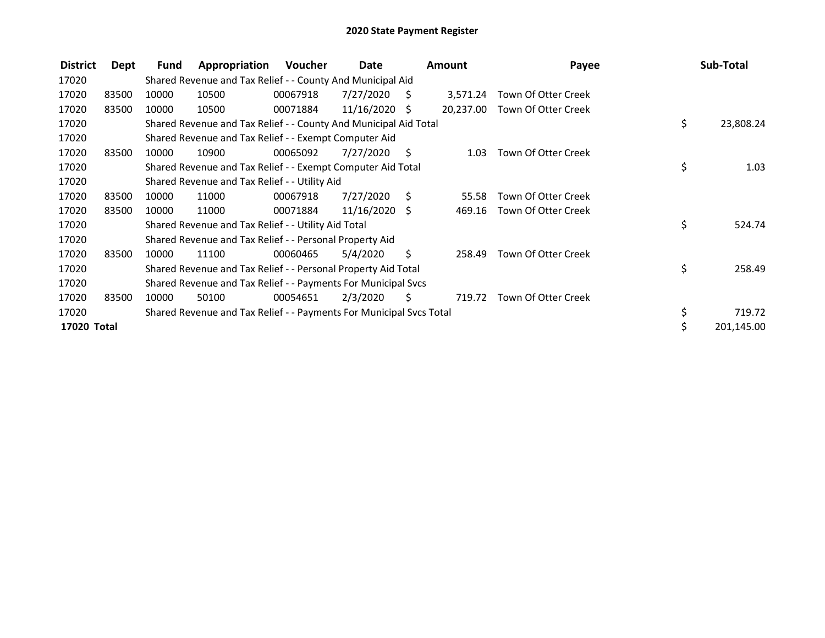| <b>District</b> | Dept  | Fund  | Appropriation                                                       | Voucher  | Date            |     | <b>Amount</b> | Payee               | Sub-Total       |
|-----------------|-------|-------|---------------------------------------------------------------------|----------|-----------------|-----|---------------|---------------------|-----------------|
| 17020           |       |       | Shared Revenue and Tax Relief - - County And Municipal Aid          |          |                 |     |               |                     |                 |
| 17020           | 83500 | 10000 | 10500                                                               | 00067918 | 7/27/2020       | S.  | 3,571.24      | Town Of Otter Creek |                 |
| 17020           | 83500 | 10000 | 10500                                                               | 00071884 | $11/16/2020$ \$ |     | 20,237.00     | Town Of Otter Creek |                 |
| 17020           |       |       | Shared Revenue and Tax Relief - - County And Municipal Aid Total    |          |                 |     |               |                     | \$<br>23,808.24 |
| 17020           |       |       | Shared Revenue and Tax Relief - - Exempt Computer Aid               |          |                 |     |               |                     |                 |
| 17020           | 83500 | 10000 | 10900                                                               | 00065092 | 7/27/2020       | -\$ | 1.03          | Town Of Otter Creek |                 |
| 17020           |       |       | Shared Revenue and Tax Relief - - Exempt Computer Aid Total         |          |                 |     |               |                     | \$<br>1.03      |
| 17020           |       |       | Shared Revenue and Tax Relief - - Utility Aid                       |          |                 |     |               |                     |                 |
| 17020           | 83500 | 10000 | 11000                                                               | 00067918 | 7/27/2020       | - S | 55.58         | Town Of Otter Creek |                 |
| 17020           | 83500 | 10000 | 11000                                                               | 00071884 | $11/16/2020$ \$ |     | 469.16        | Town Of Otter Creek |                 |
| 17020           |       |       | Shared Revenue and Tax Relief - - Utility Aid Total                 |          |                 |     |               |                     | \$<br>524.74    |
| 17020           |       |       | Shared Revenue and Tax Relief - - Personal Property Aid             |          |                 |     |               |                     |                 |
| 17020           | 83500 | 10000 | 11100                                                               | 00060465 | 5/4/2020        | \$  | 258.49        | Town Of Otter Creek |                 |
| 17020           |       |       | Shared Revenue and Tax Relief - - Personal Property Aid Total       |          |                 |     |               |                     | \$<br>258.49    |
| 17020           |       |       | Shared Revenue and Tax Relief - - Payments For Municipal Svcs       |          |                 |     |               |                     |                 |
| 17020           | 83500 | 10000 | 50100                                                               | 00054651 | 2/3/2020        | S   | 719.72        | Town Of Otter Creek |                 |
| 17020           |       |       | Shared Revenue and Tax Relief - - Payments For Municipal Svcs Total |          |                 |     |               |                     | \$<br>719.72    |
| 17020 Total     |       |       |                                                                     |          |                 |     |               |                     | 201,145.00      |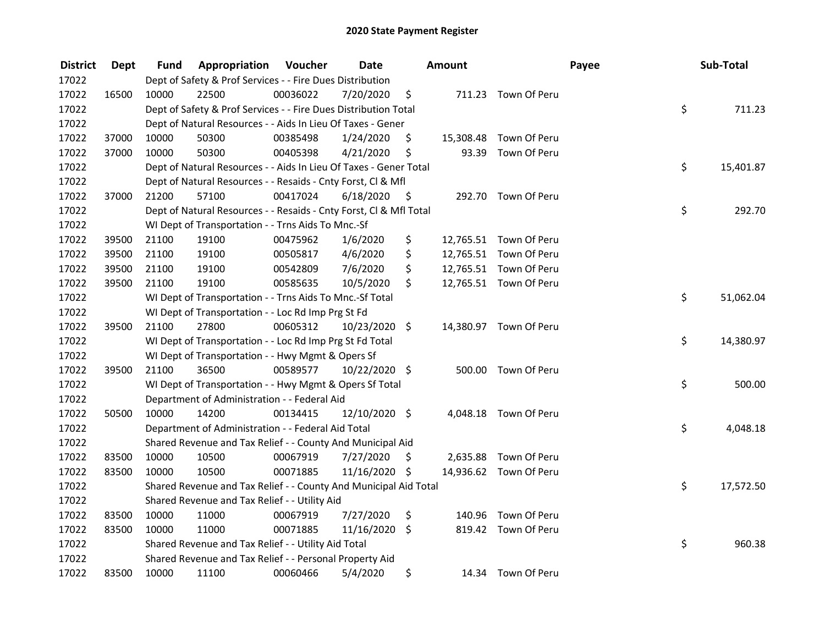| <b>District</b> | Dept  | Fund  | Appropriation                                                      | Voucher  | <b>Date</b>   |      | <b>Amount</b> |                        | Payee | Sub-Total       |
|-----------------|-------|-------|--------------------------------------------------------------------|----------|---------------|------|---------------|------------------------|-------|-----------------|
| 17022           |       |       | Dept of Safety & Prof Services - - Fire Dues Distribution          |          |               |      |               |                        |       |                 |
| 17022           | 16500 | 10000 | 22500                                                              | 00036022 | 7/20/2020     | \$   |               | 711.23 Town Of Peru    |       |                 |
| 17022           |       |       | Dept of Safety & Prof Services - - Fire Dues Distribution Total    |          |               |      |               |                        |       | \$<br>711.23    |
| 17022           |       |       | Dept of Natural Resources - - Aids In Lieu Of Taxes - Gener        |          |               |      |               |                        |       |                 |
| 17022           | 37000 | 10000 | 50300                                                              | 00385498 | 1/24/2020     | \$   | 15,308.48     | Town Of Peru           |       |                 |
| 17022           | 37000 | 10000 | 50300                                                              | 00405398 | 4/21/2020     | \$   | 93.39         | Town Of Peru           |       |                 |
| 17022           |       |       | Dept of Natural Resources - - Aids In Lieu Of Taxes - Gener Total  |          |               |      |               |                        |       | \$<br>15,401.87 |
| 17022           |       |       | Dept of Natural Resources - - Resaids - Cnty Forst, Cl & Mfl       |          |               |      |               |                        |       |                 |
| 17022           | 37000 | 21200 | 57100                                                              | 00417024 | 6/18/2020     | - \$ |               | 292.70 Town Of Peru    |       |                 |
| 17022           |       |       | Dept of Natural Resources - - Resaids - Cnty Forst, Cl & Mfl Total |          |               |      |               |                        |       | \$<br>292.70    |
| 17022           |       |       | WI Dept of Transportation - - Trns Aids To Mnc.-Sf                 |          |               |      |               |                        |       |                 |
| 17022           | 39500 | 21100 | 19100                                                              | 00475962 | 1/6/2020      | \$   |               | 12,765.51 Town Of Peru |       |                 |
| 17022           | 39500 | 21100 | 19100                                                              | 00505817 | 4/6/2020      | \$   |               | 12,765.51 Town Of Peru |       |                 |
| 17022           | 39500 | 21100 | 19100                                                              | 00542809 | 7/6/2020      | \$   |               | 12,765.51 Town Of Peru |       |                 |
| 17022           | 39500 | 21100 | 19100                                                              | 00585635 | 10/5/2020     | \$   |               | 12,765.51 Town Of Peru |       |                 |
| 17022           |       |       | WI Dept of Transportation - - Trns Aids To Mnc.-Sf Total           |          |               |      |               |                        |       | \$<br>51,062.04 |
| 17022           |       |       | WI Dept of Transportation - - Loc Rd Imp Prg St Fd                 |          |               |      |               |                        |       |                 |
| 17022           | 39500 | 21100 | 27800                                                              | 00605312 | 10/23/2020 \$ |      |               | 14,380.97 Town Of Peru |       |                 |
| 17022           |       |       | WI Dept of Transportation - - Loc Rd Imp Prg St Fd Total           |          |               |      |               |                        |       | \$<br>14,380.97 |
| 17022           |       |       | WI Dept of Transportation - - Hwy Mgmt & Opers Sf                  |          |               |      |               |                        |       |                 |
| 17022           | 39500 | 21100 | 36500                                                              | 00589577 | 10/22/2020 \$ |      |               | 500.00 Town Of Peru    |       |                 |
| 17022           |       |       | WI Dept of Transportation - - Hwy Mgmt & Opers Sf Total            |          |               |      |               |                        |       | \$<br>500.00    |
| 17022           |       |       | Department of Administration - - Federal Aid                       |          |               |      |               |                        |       |                 |
| 17022           | 50500 | 10000 | 14200                                                              | 00134415 | 12/10/2020 \$ |      | 4,048.18      | Town Of Peru           |       |                 |
| 17022           |       |       | Department of Administration - - Federal Aid Total                 |          |               |      |               |                        |       | \$<br>4,048.18  |
| 17022           |       |       | Shared Revenue and Tax Relief - - County And Municipal Aid         |          |               |      |               |                        |       |                 |
| 17022           | 83500 | 10000 | 10500                                                              | 00067919 | 7/27/2020     | \$   | 2,635.88      | Town Of Peru           |       |                 |
| 17022           | 83500 | 10000 | 10500                                                              | 00071885 | 11/16/2020 \$ |      |               | 14,936.62 Town Of Peru |       |                 |
| 17022           |       |       | Shared Revenue and Tax Relief - - County And Municipal Aid Total   |          |               |      |               |                        |       | \$<br>17,572.50 |
| 17022           |       |       | Shared Revenue and Tax Relief - - Utility Aid                      |          |               |      |               |                        |       |                 |
| 17022           | 83500 | 10000 | 11000                                                              | 00067919 | 7/27/2020     | \$   | 140.96        | Town Of Peru           |       |                 |
| 17022           | 83500 | 10000 | 11000                                                              | 00071885 | 11/16/2020 \$ |      |               | 819.42 Town Of Peru    |       |                 |
| 17022           |       |       | Shared Revenue and Tax Relief - - Utility Aid Total                |          |               |      |               |                        |       | \$<br>960.38    |
| 17022           |       |       | Shared Revenue and Tax Relief - - Personal Property Aid            |          |               |      |               |                        |       |                 |
| 17022           | 83500 | 10000 | 11100                                                              | 00060466 | 5/4/2020      | \$   |               | 14.34 Town Of Peru     |       |                 |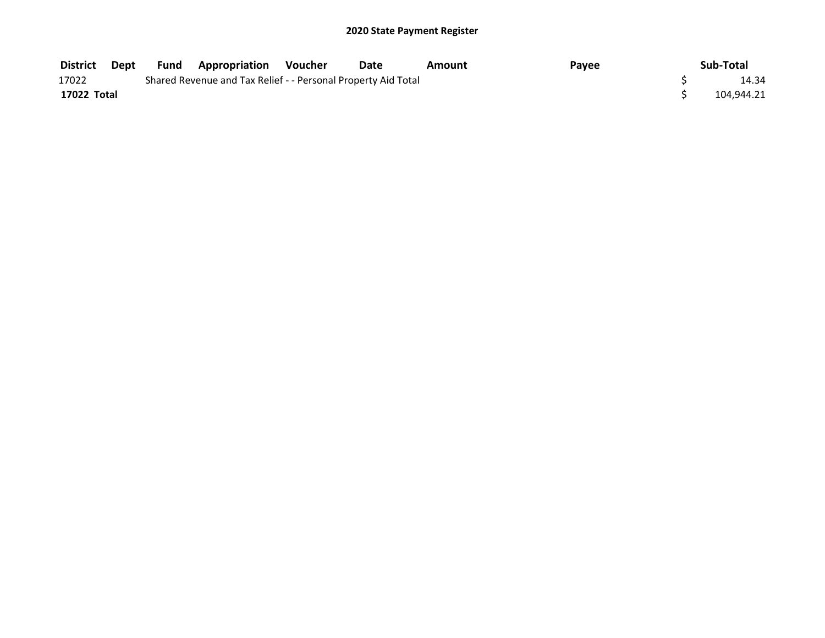| District    | Dept | Fund | <b>Appropriation Voucher</b>                                  | Date | Amount | Payee | Sub-Total  |
|-------------|------|------|---------------------------------------------------------------|------|--------|-------|------------|
| 17022       |      |      | Shared Revenue and Tax Relief - - Personal Property Aid Total |      |        |       | 14.34      |
| 17022 Total |      |      |                                                               |      |        |       | 104,944.21 |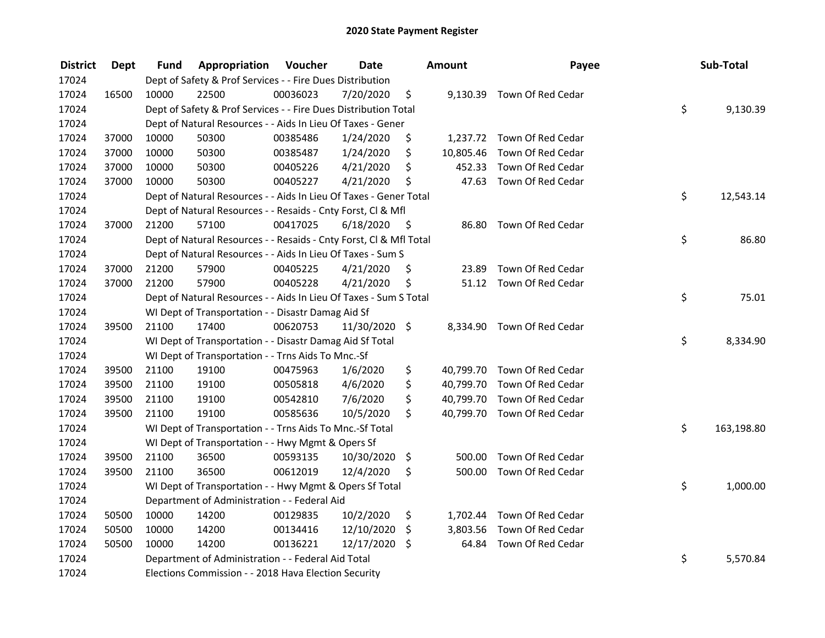| <b>District</b> | <b>Dept</b> | Fund  | Appropriation                                                      | Voucher  | <b>Date</b>   |      | <b>Amount</b> | Payee                       | Sub-Total        |
|-----------------|-------------|-------|--------------------------------------------------------------------|----------|---------------|------|---------------|-----------------------------|------------------|
| 17024           |             |       | Dept of Safety & Prof Services - - Fire Dues Distribution          |          |               |      |               |                             |                  |
| 17024           | 16500       | 10000 | 22500                                                              | 00036023 | 7/20/2020     | \$   |               | 9,130.39 Town Of Red Cedar  |                  |
| 17024           |             |       | Dept of Safety & Prof Services - - Fire Dues Distribution Total    |          |               |      |               |                             | \$<br>9,130.39   |
| 17024           |             |       | Dept of Natural Resources - - Aids In Lieu Of Taxes - Gener        |          |               |      |               |                             |                  |
| 17024           | 37000       | 10000 | 50300                                                              | 00385486 | 1/24/2020     | \$   |               | 1,237.72 Town Of Red Cedar  |                  |
| 17024           | 37000       | 10000 | 50300                                                              | 00385487 | 1/24/2020     | \$   | 10,805.46     | Town Of Red Cedar           |                  |
| 17024           | 37000       | 10000 | 50300                                                              | 00405226 | 4/21/2020     | \$   |               | 452.33 Town Of Red Cedar    |                  |
| 17024           | 37000       | 10000 | 50300                                                              | 00405227 | 4/21/2020     | \$   |               | 47.63 Town Of Red Cedar     |                  |
| 17024           |             |       | Dept of Natural Resources - - Aids In Lieu Of Taxes - Gener Total  |          |               |      |               |                             | \$<br>12,543.14  |
| 17024           |             |       | Dept of Natural Resources - - Resaids - Cnty Forst, Cl & Mfl       |          |               |      |               |                             |                  |
| 17024           | 37000       | 21200 | 57100                                                              | 00417025 | 6/18/2020     | - \$ | 86.80         | Town Of Red Cedar           |                  |
| 17024           |             |       | Dept of Natural Resources - - Resaids - Cnty Forst, Cl & Mfl Total |          |               |      |               |                             | \$<br>86.80      |
| 17024           |             |       | Dept of Natural Resources - - Aids In Lieu Of Taxes - Sum S        |          |               |      |               |                             |                  |
| 17024           | 37000       | 21200 | 57900                                                              | 00405225 | 4/21/2020     | \$.  | 23.89         | Town Of Red Cedar           |                  |
| 17024           | 37000       | 21200 | 57900                                                              | 00405228 | 4/21/2020     | \$   |               | 51.12 Town Of Red Cedar     |                  |
| 17024           |             |       | Dept of Natural Resources - - Aids In Lieu Of Taxes - Sum S Total  |          |               |      |               |                             | \$<br>75.01      |
| 17024           |             |       | WI Dept of Transportation - - Disastr Damag Aid Sf                 |          |               |      |               |                             |                  |
| 17024           | 39500       | 21100 | 17400                                                              | 00620753 | 11/30/2020 \$ |      | 8,334.90      | Town Of Red Cedar           |                  |
| 17024           |             |       | WI Dept of Transportation - - Disastr Damag Aid Sf Total           |          |               |      |               |                             | \$<br>8,334.90   |
| 17024           |             |       | WI Dept of Transportation - - Trns Aids To Mnc.-Sf                 |          |               |      |               |                             |                  |
| 17024           | 39500       | 21100 | 19100                                                              | 00475963 | 1/6/2020      | \$   |               | 40,799.70 Town Of Red Cedar |                  |
| 17024           | 39500       | 21100 | 19100                                                              | 00505818 | 4/6/2020      | \$   |               | 40,799.70 Town Of Red Cedar |                  |
| 17024           | 39500       | 21100 | 19100                                                              | 00542810 | 7/6/2020      | \$   | 40,799.70     | Town Of Red Cedar           |                  |
| 17024           | 39500       | 21100 | 19100                                                              | 00585636 | 10/5/2020     | \$.  |               | 40,799.70 Town Of Red Cedar |                  |
| 17024           |             |       | WI Dept of Transportation - - Trns Aids To Mnc.-Sf Total           |          |               |      |               |                             | \$<br>163,198.80 |
| 17024           |             |       | WI Dept of Transportation - - Hwy Mgmt & Opers Sf                  |          |               |      |               |                             |                  |
| 17024           | 39500       | 21100 | 36500                                                              | 00593135 | 10/30/2020    | \$   | 500.00        | Town Of Red Cedar           |                  |
| 17024           | 39500       | 21100 | 36500                                                              | 00612019 | 12/4/2020     | \$   | 500.00        | Town Of Red Cedar           |                  |
| 17024           |             |       | WI Dept of Transportation - - Hwy Mgmt & Opers Sf Total            |          |               |      |               |                             | \$<br>1,000.00   |
| 17024           |             |       | Department of Administration - - Federal Aid                       |          |               |      |               |                             |                  |
| 17024           | 50500       | 10000 | 14200                                                              | 00129835 | 10/2/2020     | \$   |               | 1,702.44 Town Of Red Cedar  |                  |
| 17024           | 50500       | 10000 | 14200                                                              | 00134416 | 12/10/2020    | \$   |               | 3,803.56 Town Of Red Cedar  |                  |
| 17024           | 50500       | 10000 | 14200                                                              | 00136221 | 12/17/2020 \$ |      | 64.84         | Town Of Red Cedar           |                  |
| 17024           |             |       | Department of Administration - - Federal Aid Total                 |          |               |      |               |                             | \$<br>5,570.84   |
| 17024           |             |       | Elections Commission - - 2018 Hava Election Security               |          |               |      |               |                             |                  |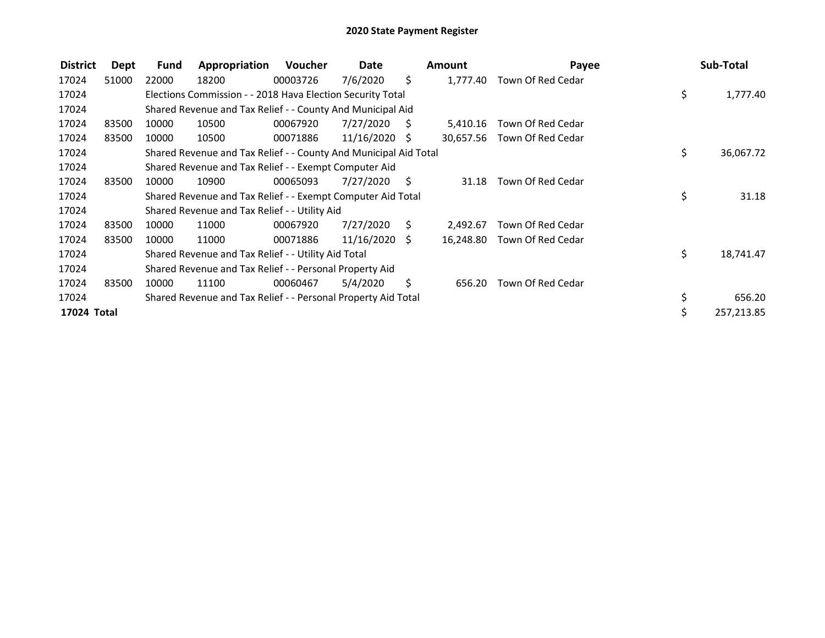| <b>District</b> | Dept  | Fund  | Appropriation                                                    | Voucher  | Date            |     | <b>Amount</b> | Payee             | Sub-Total       |
|-----------------|-------|-------|------------------------------------------------------------------|----------|-----------------|-----|---------------|-------------------|-----------------|
| 17024           | 51000 | 22000 | 18200                                                            | 00003726 | 7/6/2020        | \$  | 1,777.40      | Town Of Red Cedar |                 |
| 17024           |       |       | Elections Commission - - 2018 Hava Election Security Total       |          |                 |     |               |                   | \$<br>1,777.40  |
| 17024           |       |       | Shared Revenue and Tax Relief - - County And Municipal Aid       |          |                 |     |               |                   |                 |
| 17024           | 83500 | 10000 | 10500                                                            | 00067920 | 7/27/2020       | S.  | 5,410.16      | Town Of Red Cedar |                 |
| 17024           | 83500 | 10000 | 10500                                                            | 00071886 | $11/16/2020$ \$ |     | 30,657.56     | Town Of Red Cedar |                 |
| 17024           |       |       | Shared Revenue and Tax Relief - - County And Municipal Aid Total |          |                 |     |               |                   | \$<br>36,067.72 |
| 17024           |       |       | Shared Revenue and Tax Relief - - Exempt Computer Aid            |          |                 |     |               |                   |                 |
| 17024           | 83500 | 10000 | 10900                                                            | 00065093 | 7/27/2020       | - S | 31.18         | Town Of Red Cedar |                 |
| 17024           |       |       | Shared Revenue and Tax Relief - - Exempt Computer Aid Total      |          |                 |     |               |                   | \$<br>31.18     |
| 17024           |       |       | Shared Revenue and Tax Relief - - Utility Aid                    |          |                 |     |               |                   |                 |
| 17024           | 83500 | 10000 | 11000                                                            | 00067920 | 7/27/2020       | S.  | 2.492.67      | Town Of Red Cedar |                 |
| 17024           | 83500 | 10000 | 11000                                                            | 00071886 | $11/16/2020$ \$ |     | 16,248.80     | Town Of Red Cedar |                 |
| 17024           |       |       | Shared Revenue and Tax Relief - - Utility Aid Total              |          |                 |     |               |                   | \$<br>18,741.47 |
| 17024           |       |       | Shared Revenue and Tax Relief - - Personal Property Aid          |          |                 |     |               |                   |                 |
| 17024           | 83500 | 10000 | 11100                                                            | 00060467 | 5/4/2020        | Ś.  | 656.20        | Town Of Red Cedar |                 |
| 17024           |       |       | Shared Revenue and Tax Relief - - Personal Property Aid Total    |          |                 |     |               |                   | \$<br>656.20    |
| 17024 Total     |       |       |                                                                  |          |                 |     |               |                   | 257,213.85      |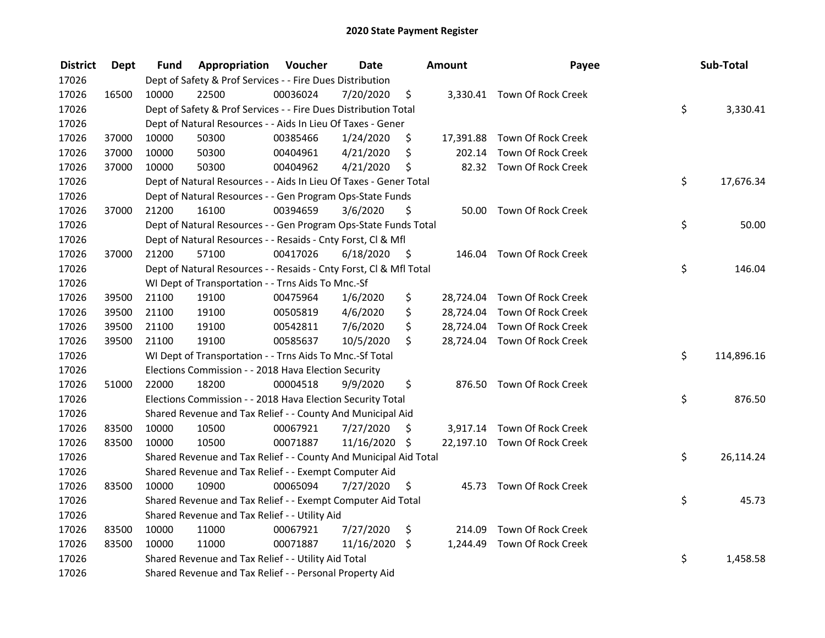| <b>District</b> | <b>Dept</b> | Fund  | Appropriation                                                      | Voucher  | <b>Date</b>   |      | Amount   | Payee                        | Sub-Total        |
|-----------------|-------------|-------|--------------------------------------------------------------------|----------|---------------|------|----------|------------------------------|------------------|
| 17026           |             |       | Dept of Safety & Prof Services - - Fire Dues Distribution          |          |               |      |          |                              |                  |
| 17026           | 16500       | 10000 | 22500                                                              | 00036024 | 7/20/2020     | \$   |          | 3,330.41 Town Of Rock Creek  |                  |
| 17026           |             |       | Dept of Safety & Prof Services - - Fire Dues Distribution Total    |          |               |      |          |                              | \$<br>3,330.41   |
| 17026           |             |       | Dept of Natural Resources - - Aids In Lieu Of Taxes - Gener        |          |               |      |          |                              |                  |
| 17026           | 37000       | 10000 | 50300                                                              | 00385466 | 1/24/2020     | \$   |          | 17,391.88 Town Of Rock Creek |                  |
| 17026           | 37000       | 10000 | 50300                                                              | 00404961 | 4/21/2020     | \$   |          | 202.14 Town Of Rock Creek    |                  |
| 17026           | 37000       | 10000 | 50300                                                              | 00404962 | 4/21/2020     | \$   |          | 82.32 Town Of Rock Creek     |                  |
| 17026           |             |       | Dept of Natural Resources - - Aids In Lieu Of Taxes - Gener Total  |          |               |      |          |                              | \$<br>17,676.34  |
| 17026           |             |       | Dept of Natural Resources - - Gen Program Ops-State Funds          |          |               |      |          |                              |                  |
| 17026           | 37000       | 21200 | 16100                                                              | 00394659 | 3/6/2020      | \$   |          | 50.00 Town Of Rock Creek     |                  |
| 17026           |             |       | Dept of Natural Resources - - Gen Program Ops-State Funds Total    |          |               |      |          |                              | \$<br>50.00      |
| 17026           |             |       | Dept of Natural Resources - - Resaids - Cnty Forst, Cl & Mfl       |          |               |      |          |                              |                  |
| 17026           | 37000       | 21200 | 57100                                                              | 00417026 | 6/18/2020     | - \$ |          | 146.04 Town Of Rock Creek    |                  |
| 17026           |             |       | Dept of Natural Resources - - Resaids - Cnty Forst, Cl & Mfl Total |          |               |      |          |                              | \$<br>146.04     |
| 17026           |             |       | WI Dept of Transportation - - Trns Aids To Mnc.-Sf                 |          |               |      |          |                              |                  |
| 17026           | 39500       | 21100 | 19100                                                              | 00475964 | 1/6/2020      | \$   |          | 28,724.04 Town Of Rock Creek |                  |
| 17026           | 39500       | 21100 | 19100                                                              | 00505819 | 4/6/2020      | \$   |          | 28,724.04 Town Of Rock Creek |                  |
| 17026           | 39500       | 21100 | 19100                                                              | 00542811 | 7/6/2020      | \$   |          | 28,724.04 Town Of Rock Creek |                  |
| 17026           | 39500       | 21100 | 19100                                                              | 00585637 | 10/5/2020     | \$   |          | 28,724.04 Town Of Rock Creek |                  |
| 17026           |             |       | WI Dept of Transportation - - Trns Aids To Mnc.-Sf Total           |          |               |      |          |                              | \$<br>114,896.16 |
| 17026           |             |       | Elections Commission - - 2018 Hava Election Security               |          |               |      |          |                              |                  |
| 17026           | 51000       | 22000 | 18200                                                              | 00004518 | 9/9/2020      | \$   |          | 876.50 Town Of Rock Creek    |                  |
| 17026           |             |       | Elections Commission - - 2018 Hava Election Security Total         |          |               |      |          |                              | \$<br>876.50     |
| 17026           |             |       | Shared Revenue and Tax Relief - - County And Municipal Aid         |          |               |      |          |                              |                  |
| 17026           | 83500       | 10000 | 10500                                                              | 00067921 | 7/27/2020     | S    |          | 3,917.14 Town Of Rock Creek  |                  |
| 17026           | 83500       | 10000 | 10500                                                              | 00071887 | 11/16/2020 \$ |      |          | 22,197.10 Town Of Rock Creek |                  |
| 17026           |             |       | Shared Revenue and Tax Relief - - County And Municipal Aid Total   |          |               |      |          |                              | \$<br>26,114.24  |
| 17026           |             |       | Shared Revenue and Tax Relief - - Exempt Computer Aid              |          |               |      |          |                              |                  |
| 17026           | 83500       | 10000 | 10900                                                              | 00065094 | 7/27/2020     | \$   |          | 45.73 Town Of Rock Creek     |                  |
| 17026           |             |       | Shared Revenue and Tax Relief - - Exempt Computer Aid Total        |          |               |      |          |                              | \$<br>45.73      |
| 17026           |             |       | Shared Revenue and Tax Relief - - Utility Aid                      |          |               |      |          |                              |                  |
| 17026           | 83500       | 10000 | 11000                                                              | 00067921 | 7/27/2020     | \$   | 214.09   | Town Of Rock Creek           |                  |
| 17026           | 83500       | 10000 | 11000                                                              | 00071887 | 11/16/2020    | \$   | 1,244.49 | Town Of Rock Creek           |                  |
| 17026           |             |       | Shared Revenue and Tax Relief - - Utility Aid Total                |          |               |      |          |                              | \$<br>1,458.58   |
| 17026           |             |       | Shared Revenue and Tax Relief - - Personal Property Aid            |          |               |      |          |                              |                  |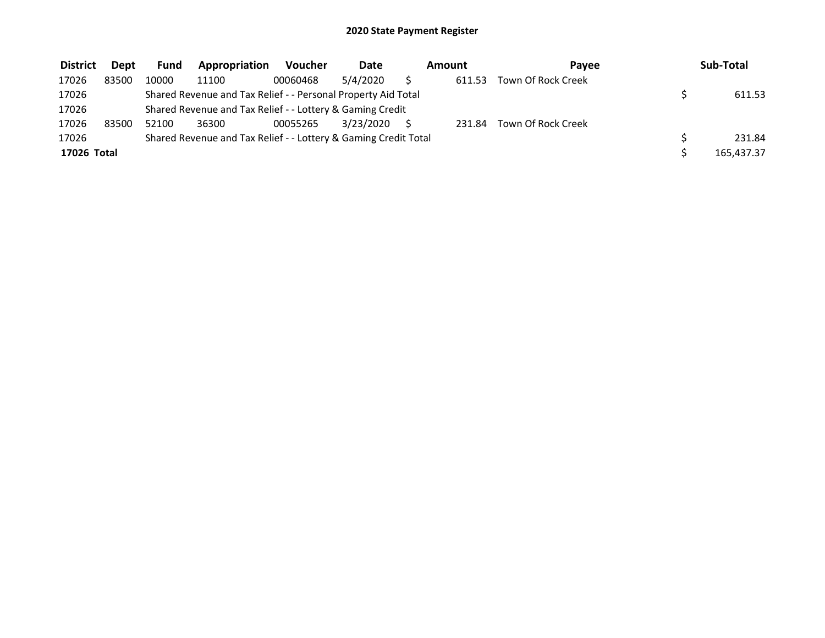| <b>District</b> | <b>Dept</b> | <b>Fund</b> | Appropriation                                                   | <b>Voucher</b> | <b>Date</b> | Amount |        | Pavee              |  | Sub-Total  |  |
|-----------------|-------------|-------------|-----------------------------------------------------------------|----------------|-------------|--------|--------|--------------------|--|------------|--|
| 17026           | 83500       | 10000       | 11100                                                           | 00060468       | 5/4/2020    |        | 611.53 | Town Of Rock Creek |  |            |  |
| 17026           |             |             | Shared Revenue and Tax Relief - - Personal Property Aid Total   |                |             |        |        |                    |  | 611.53     |  |
| 17026           |             |             | Shared Revenue and Tax Relief - - Lottery & Gaming Credit       |                |             |        |        |                    |  |            |  |
| 17026           | 83500       | 52100       | 36300                                                           | 00055265       | 3/23/2020   |        | 231.84 | Town Of Rock Creek |  |            |  |
| 17026           |             |             | Shared Revenue and Tax Relief - - Lottery & Gaming Credit Total |                |             |        |        |                    |  | 231.84     |  |
| 17026 Total     |             |             |                                                                 |                |             |        |        |                    |  | 165,437.37 |  |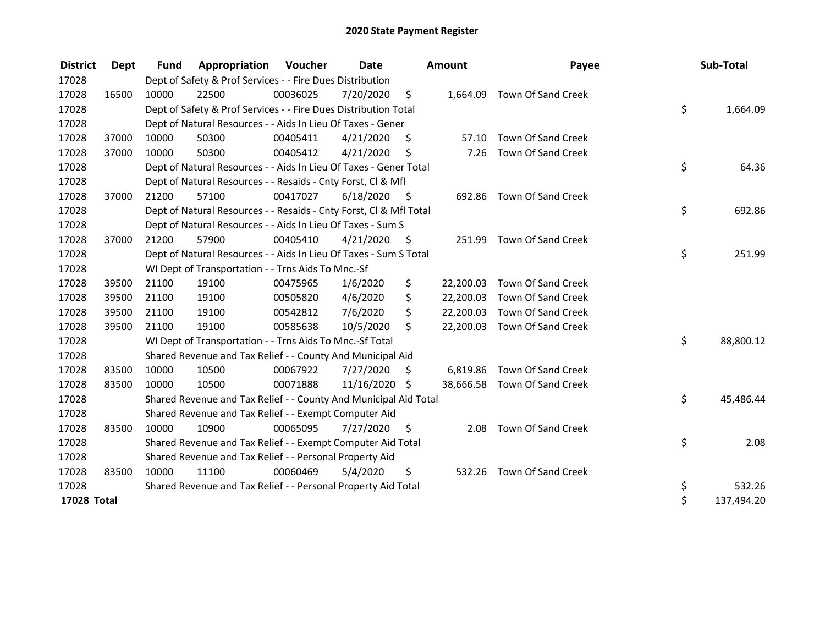| <b>District</b> | Dept  | <b>Fund</b> | Appropriation                                                      | Voucher  | Date       |      | <b>Amount</b> | Payee                        | Sub-Total        |
|-----------------|-------|-------------|--------------------------------------------------------------------|----------|------------|------|---------------|------------------------------|------------------|
| 17028           |       |             | Dept of Safety & Prof Services - - Fire Dues Distribution          |          |            |      |               |                              |                  |
| 17028           | 16500 | 10000       | 22500                                                              | 00036025 | 7/20/2020  | \$   | 1,664.09      | Town Of Sand Creek           |                  |
| 17028           |       |             | Dept of Safety & Prof Services - - Fire Dues Distribution Total    |          |            |      |               |                              | \$<br>1,664.09   |
| 17028           |       |             | Dept of Natural Resources - - Aids In Lieu Of Taxes - Gener        |          |            |      |               |                              |                  |
| 17028           | 37000 | 10000       | 50300                                                              | 00405411 | 4/21/2020  | \$   | 57.10         | Town Of Sand Creek           |                  |
| 17028           | 37000 | 10000       | 50300                                                              | 00405412 | 4/21/2020  | \$   | 7.26          | Town Of Sand Creek           |                  |
| 17028           |       |             | Dept of Natural Resources - - Aids In Lieu Of Taxes - Gener Total  |          |            |      |               |                              | \$<br>64.36      |
| 17028           |       |             | Dept of Natural Resources - - Resaids - Cnty Forst, CI & Mfl       |          |            |      |               |                              |                  |
| 17028           | 37000 | 21200       | 57100                                                              | 00417027 | 6/18/2020  | - \$ |               | 692.86 Town Of Sand Creek    |                  |
| 17028           |       |             | Dept of Natural Resources - - Resaids - Cnty Forst, Cl & Mfl Total |          |            |      |               |                              | \$<br>692.86     |
| 17028           |       |             | Dept of Natural Resources - - Aids In Lieu Of Taxes - Sum S        |          |            |      |               |                              |                  |
| 17028           | 37000 | 21200       | 57900                                                              | 00405410 | 4/21/2020  | \$   | 251.99        | Town Of Sand Creek           |                  |
| 17028           |       |             | Dept of Natural Resources - - Aids In Lieu Of Taxes - Sum S Total  |          |            |      |               |                              | \$<br>251.99     |
| 17028           |       |             | WI Dept of Transportation - - Trns Aids To Mnc.-Sf                 |          |            |      |               |                              |                  |
| 17028           | 39500 | 21100       | 19100                                                              | 00475965 | 1/6/2020   | \$   |               | 22,200.03 Town Of Sand Creek |                  |
| 17028           | 39500 | 21100       | 19100                                                              | 00505820 | 4/6/2020   | \$   | 22,200.03     | <b>Town Of Sand Creek</b>    |                  |
| 17028           | 39500 | 21100       | 19100                                                              | 00542812 | 7/6/2020   | \$   | 22,200.03     | Town Of Sand Creek           |                  |
| 17028           | 39500 | 21100       | 19100                                                              | 00585638 | 10/5/2020  | \$   |               | 22,200.03 Town Of Sand Creek |                  |
| 17028           |       |             | WI Dept of Transportation - - Trns Aids To Mnc.-Sf Total           |          |            |      |               |                              | \$<br>88,800.12  |
| 17028           |       |             | Shared Revenue and Tax Relief - - County And Municipal Aid         |          |            |      |               |                              |                  |
| 17028           | 83500 | 10000       | 10500                                                              | 00067922 | 7/27/2020  | S    |               | 6,819.86 Town Of Sand Creek  |                  |
| 17028           | 83500 | 10000       | 10500                                                              | 00071888 | 11/16/2020 | \$   |               | 38,666.58 Town Of Sand Creek |                  |
| 17028           |       |             | Shared Revenue and Tax Relief - - County And Municipal Aid Total   |          |            |      |               |                              | \$<br>45,486.44  |
| 17028           |       |             | Shared Revenue and Tax Relief - - Exempt Computer Aid              |          |            |      |               |                              |                  |
| 17028           | 83500 | 10000       | 10900                                                              | 00065095 | 7/27/2020  | \$   | 2.08          | Town Of Sand Creek           |                  |
| 17028           |       |             | Shared Revenue and Tax Relief - - Exempt Computer Aid Total        |          |            |      |               |                              | \$<br>2.08       |
| 17028           |       |             | Shared Revenue and Tax Relief - - Personal Property Aid            |          |            |      |               |                              |                  |
| 17028           | 83500 | 10000       | 11100                                                              | 00060469 | 5/4/2020   | \$   |               | 532.26 Town Of Sand Creek    |                  |
| 17028           |       |             | Shared Revenue and Tax Relief - - Personal Property Aid Total      |          |            |      |               |                              | \$<br>532.26     |
| 17028 Total     |       |             |                                                                    |          |            |      |               |                              | \$<br>137,494.20 |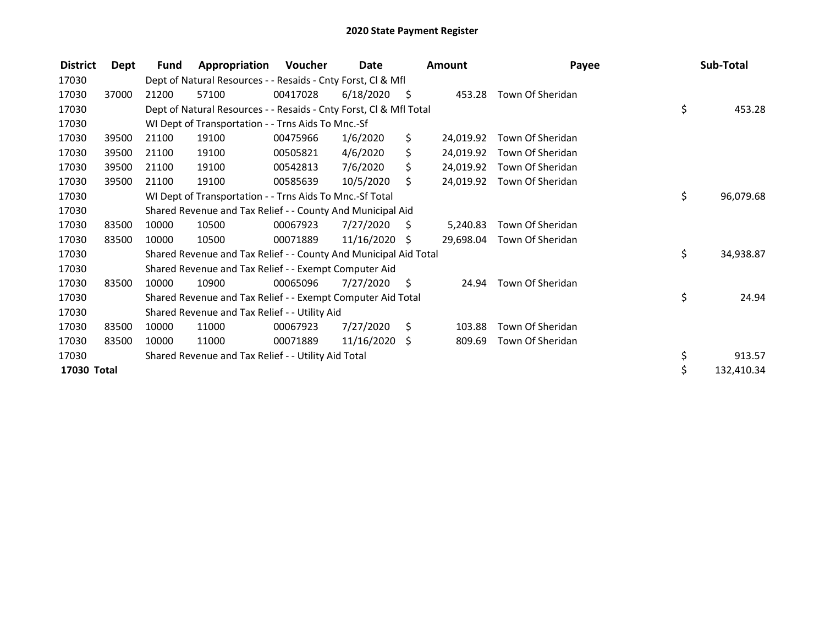| <b>District</b> | Dept  | <b>Fund</b> | Appropriation                                                      | Voucher  | Date            |      | Amount    | Payee            | Sub-Total        |
|-----------------|-------|-------------|--------------------------------------------------------------------|----------|-----------------|------|-----------|------------------|------------------|
| 17030           |       |             | Dept of Natural Resources - - Resaids - Cnty Forst, Cl & Mfl       |          |                 |      |           |                  |                  |
| 17030           | 37000 | 21200       | 57100                                                              | 00417028 | 6/18/2020       | - \$ | 453.28    | Town Of Sheridan |                  |
| 17030           |       |             | Dept of Natural Resources - - Resaids - Cnty Forst, Cl & Mfl Total |          |                 |      |           |                  | \$<br>453.28     |
| 17030           |       |             | WI Dept of Transportation - - Trns Aids To Mnc.-Sf                 |          |                 |      |           |                  |                  |
| 17030           | 39500 | 21100       | 19100                                                              | 00475966 | 1/6/2020        | \$.  | 24.019.92 | Town Of Sheridan |                  |
| 17030           | 39500 | 21100       | 19100                                                              | 00505821 | 4/6/2020        | \$.  | 24,019.92 | Town Of Sheridan |                  |
| 17030           | 39500 | 21100       | 19100                                                              | 00542813 | 7/6/2020        |      | 24,019.92 | Town Of Sheridan |                  |
| 17030           | 39500 | 21100       | 19100                                                              | 00585639 | 10/5/2020       | Ŝ.   | 24,019.92 | Town Of Sheridan |                  |
| 17030           |       |             | WI Dept of Transportation - - Trns Aids To Mnc.-Sf Total           |          |                 |      |           |                  | \$<br>96,079.68  |
| 17030           |       |             | Shared Revenue and Tax Relief - - County And Municipal Aid         |          |                 |      |           |                  |                  |
| 17030           | 83500 | 10000       | 10500                                                              | 00067923 | 7/27/2020       | S.   | 5.240.83  | Town Of Sheridan |                  |
| 17030           | 83500 | 10000       | 10500                                                              | 00071889 | 11/16/2020      | S    | 29,698.04 | Town Of Sheridan |                  |
| 17030           |       |             | Shared Revenue and Tax Relief - - County And Municipal Aid Total   |          |                 |      |           |                  | \$<br>34,938.87  |
| 17030           |       |             | Shared Revenue and Tax Relief - - Exempt Computer Aid              |          |                 |      |           |                  |                  |
| 17030           | 83500 | 10000       | 10900                                                              | 00065096 | 7/27/2020       | \$   | 24.94     | Town Of Sheridan |                  |
| 17030           |       |             | Shared Revenue and Tax Relief - - Exempt Computer Aid Total        |          |                 |      |           |                  | \$<br>24.94      |
| 17030           |       |             | Shared Revenue and Tax Relief - - Utility Aid                      |          |                 |      |           |                  |                  |
| 17030           | 83500 | 10000       | 11000                                                              | 00067923 | 7/27/2020       | Ŝ.   | 103.88    | Town Of Sheridan |                  |
| 17030           | 83500 | 10000       | 11000                                                              | 00071889 | $11/16/2020$ \$ |      | 809.69    | Town Of Sheridan |                  |
| 17030           |       |             | Shared Revenue and Tax Relief - - Utility Aid Total                |          |                 |      |           |                  | \$<br>913.57     |
| 17030 Total     |       |             |                                                                    |          |                 |      |           |                  | \$<br>132,410.34 |
|                 |       |             |                                                                    |          |                 |      |           |                  |                  |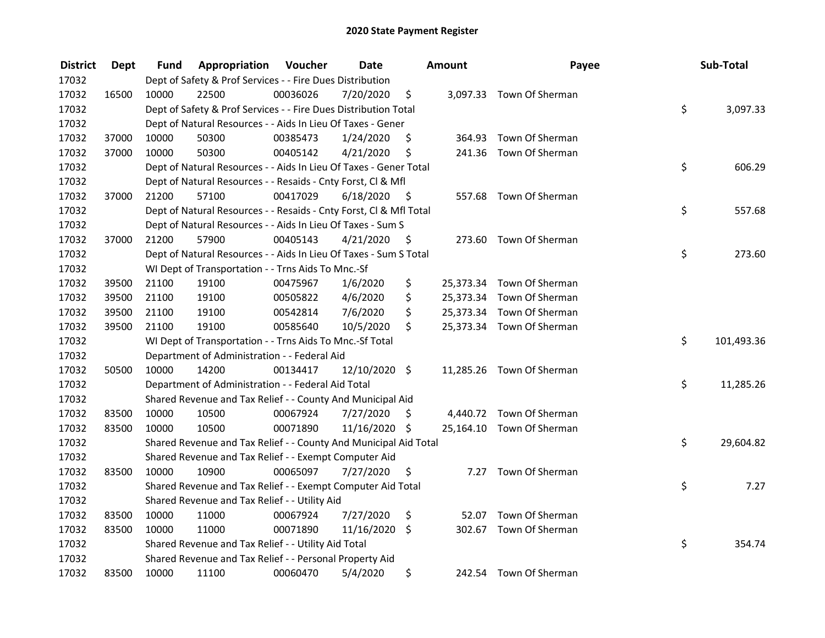| <b>District</b> | Dept  | Fund  | Appropriation                                                      | Voucher  | <b>Date</b>   |      | Amount | Payee                     | Sub-Total        |
|-----------------|-------|-------|--------------------------------------------------------------------|----------|---------------|------|--------|---------------------------|------------------|
| 17032           |       |       | Dept of Safety & Prof Services - - Fire Dues Distribution          |          |               |      |        |                           |                  |
| 17032           | 16500 | 10000 | 22500                                                              | 00036026 | 7/20/2020     | \$   |        | 3,097.33 Town Of Sherman  |                  |
| 17032           |       |       | Dept of Safety & Prof Services - - Fire Dues Distribution Total    |          |               |      |        |                           | \$<br>3,097.33   |
| 17032           |       |       | Dept of Natural Resources - - Aids In Lieu Of Taxes - Gener        |          |               |      |        |                           |                  |
| 17032           | 37000 | 10000 | 50300                                                              | 00385473 | 1/24/2020     | \$   | 364.93 | Town Of Sherman           |                  |
| 17032           | 37000 | 10000 | 50300                                                              | 00405142 | 4/21/2020     | \$   |        | 241.36 Town Of Sherman    |                  |
| 17032           |       |       | Dept of Natural Resources - - Aids In Lieu Of Taxes - Gener Total  |          |               |      |        |                           | \$<br>606.29     |
| 17032           |       |       | Dept of Natural Resources - - Resaids - Cnty Forst, Cl & Mfl       |          |               |      |        |                           |                  |
| 17032           | 37000 | 21200 | 57100                                                              | 00417029 | 6/18/2020     | - \$ |        | 557.68 Town Of Sherman    |                  |
| 17032           |       |       | Dept of Natural Resources - - Resaids - Cnty Forst, Cl & Mfl Total |          |               |      |        |                           | \$<br>557.68     |
| 17032           |       |       | Dept of Natural Resources - - Aids In Lieu Of Taxes - Sum S        |          |               |      |        |                           |                  |
| 17032           | 37000 | 21200 | 57900                                                              | 00405143 | 4/21/2020     | -S   |        | 273.60 Town Of Sherman    |                  |
| 17032           |       |       | Dept of Natural Resources - - Aids In Lieu Of Taxes - Sum S Total  |          |               |      |        |                           | \$<br>273.60     |
| 17032           |       |       | WI Dept of Transportation - - Trns Aids To Mnc.-Sf                 |          |               |      |        |                           |                  |
| 17032           | 39500 | 21100 | 19100                                                              | 00475967 | 1/6/2020      | \$   |        | 25,373.34 Town Of Sherman |                  |
| 17032           | 39500 | 21100 | 19100                                                              | 00505822 | 4/6/2020      | \$   |        | 25,373.34 Town Of Sherman |                  |
| 17032           | 39500 | 21100 | 19100                                                              | 00542814 | 7/6/2020      | \$   |        | 25,373.34 Town Of Sherman |                  |
| 17032           | 39500 | 21100 | 19100                                                              | 00585640 | 10/5/2020     | \$   |        | 25,373.34 Town Of Sherman |                  |
| 17032           |       |       | WI Dept of Transportation - - Trns Aids To Mnc.-Sf Total           |          |               |      |        |                           | \$<br>101,493.36 |
| 17032           |       |       | Department of Administration - - Federal Aid                       |          |               |      |        |                           |                  |
| 17032           | 50500 | 10000 | 14200                                                              | 00134417 | 12/10/2020 \$ |      |        | 11,285.26 Town Of Sherman |                  |
| 17032           |       |       | Department of Administration - - Federal Aid Total                 |          |               |      |        |                           | \$<br>11,285.26  |
| 17032           |       |       | Shared Revenue and Tax Relief - - County And Municipal Aid         |          |               |      |        |                           |                  |
| 17032           | 83500 | 10000 | 10500                                                              | 00067924 | 7/27/2020     | S.   |        | 4,440.72 Town Of Sherman  |                  |
| 17032           | 83500 | 10000 | 10500                                                              | 00071890 | 11/16/2020 \$ |      |        | 25,164.10 Town Of Sherman |                  |
| 17032           |       |       | Shared Revenue and Tax Relief - - County And Municipal Aid Total   |          |               |      |        |                           | \$<br>29,604.82  |
| 17032           |       |       | Shared Revenue and Tax Relief - - Exempt Computer Aid              |          |               |      |        |                           |                  |
| 17032           | 83500 | 10000 | 10900                                                              | 00065097 | 7/27/2020     | \$   |        | 7.27 Town Of Sherman      |                  |
| 17032           |       |       | Shared Revenue and Tax Relief - - Exempt Computer Aid Total        |          |               |      |        |                           | \$<br>7.27       |
| 17032           |       |       | Shared Revenue and Tax Relief - - Utility Aid                      |          |               |      |        |                           |                  |
| 17032           | 83500 | 10000 | 11000                                                              | 00067924 | 7/27/2020     | \$   | 52.07  | Town Of Sherman           |                  |
| 17032           | 83500 | 10000 | 11000                                                              | 00071890 | 11/16/2020    | - \$ |        | 302.67 Town Of Sherman    |                  |
| 17032           |       |       | Shared Revenue and Tax Relief - - Utility Aid Total                |          |               |      |        |                           | \$<br>354.74     |
| 17032           |       |       | Shared Revenue and Tax Relief - - Personal Property Aid            |          |               |      |        |                           |                  |
| 17032           | 83500 | 10000 | 11100                                                              | 00060470 | 5/4/2020      | \$   |        | 242.54 Town Of Sherman    |                  |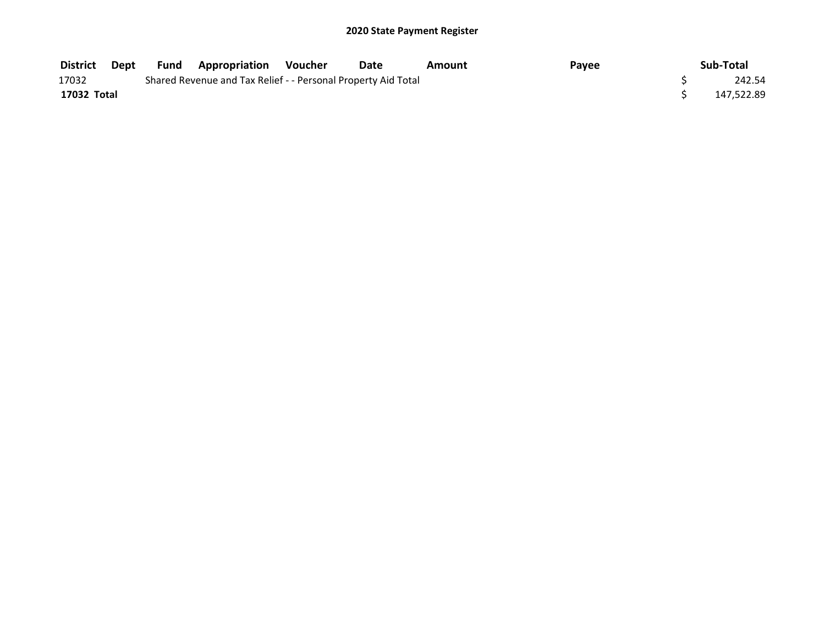| <b>District</b> | Dept | Fund | <b>Appropriation Voucher</b>                                  | Date | Amount | Payee | Sub-Total  |
|-----------------|------|------|---------------------------------------------------------------|------|--------|-------|------------|
| 17032           |      |      | Shared Revenue and Tax Relief - - Personal Property Aid Total |      |        |       | 242.54     |
| 17032 Total     |      |      |                                                               |      |        |       | 147,522.89 |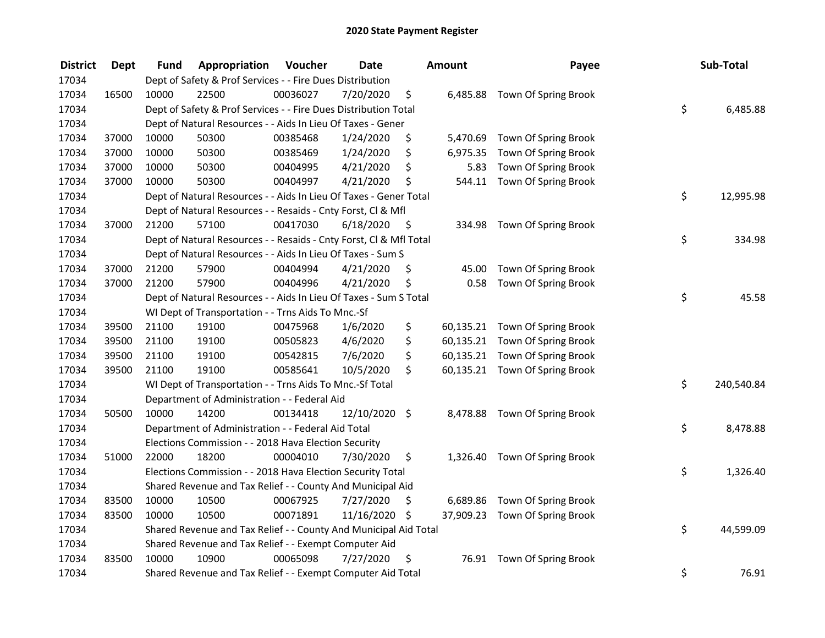| <b>District</b> | <b>Dept</b> | Fund  | Appropriation                                                      | Voucher  | <b>Date</b>   |      | <b>Amount</b> | Payee                          | Sub-Total        |
|-----------------|-------------|-------|--------------------------------------------------------------------|----------|---------------|------|---------------|--------------------------------|------------------|
| 17034           |             |       | Dept of Safety & Prof Services - - Fire Dues Distribution          |          |               |      |               |                                |                  |
| 17034           | 16500       | 10000 | 22500                                                              | 00036027 | 7/20/2020     | \$   |               | 6,485.88 Town Of Spring Brook  |                  |
| 17034           |             |       | Dept of Safety & Prof Services - - Fire Dues Distribution Total    |          |               |      |               |                                | \$<br>6,485.88   |
| 17034           |             |       | Dept of Natural Resources - - Aids In Lieu Of Taxes - Gener        |          |               |      |               |                                |                  |
| 17034           | 37000       | 10000 | 50300                                                              | 00385468 | 1/24/2020     | \$   | 5,470.69      | Town Of Spring Brook           |                  |
| 17034           | 37000       | 10000 | 50300                                                              | 00385469 | 1/24/2020     | \$   | 6,975.35      | Town Of Spring Brook           |                  |
| 17034           | 37000       | 10000 | 50300                                                              | 00404995 | 4/21/2020     | \$   | 5.83          | Town Of Spring Brook           |                  |
| 17034           | 37000       | 10000 | 50300                                                              | 00404997 | 4/21/2020     | \$   | 544.11        | Town Of Spring Brook           |                  |
| 17034           |             |       | Dept of Natural Resources - - Aids In Lieu Of Taxes - Gener Total  |          |               |      |               |                                | \$<br>12,995.98  |
| 17034           |             |       | Dept of Natural Resources - - Resaids - Cnty Forst, Cl & Mfl       |          |               |      |               |                                |                  |
| 17034           | 37000       | 21200 | 57100                                                              | 00417030 | 6/18/2020     | - \$ | 334.98        | Town Of Spring Brook           |                  |
| 17034           |             |       | Dept of Natural Resources - - Resaids - Cnty Forst, Cl & Mfl Total |          |               |      |               |                                | \$<br>334.98     |
| 17034           |             |       | Dept of Natural Resources - - Aids In Lieu Of Taxes - Sum S        |          |               |      |               |                                |                  |
| 17034           | 37000       | 21200 | 57900                                                              | 00404994 | 4/21/2020     | \$   | 45.00         | Town Of Spring Brook           |                  |
| 17034           | 37000       | 21200 | 57900                                                              | 00404996 | 4/21/2020     | \$   | 0.58          | Town Of Spring Brook           |                  |
| 17034           |             |       | Dept of Natural Resources - - Aids In Lieu Of Taxes - Sum S Total  |          |               |      |               |                                | \$<br>45.58      |
| 17034           |             |       | WI Dept of Transportation - - Trns Aids To Mnc.-Sf                 |          |               |      |               |                                |                  |
| 17034           | 39500       | 21100 | 19100                                                              | 00475968 | 1/6/2020      | \$   | 60,135.21     | Town Of Spring Brook           |                  |
| 17034           | 39500       | 21100 | 19100                                                              | 00505823 | 4/6/2020      | \$   |               | 60,135.21 Town Of Spring Brook |                  |
| 17034           | 39500       | 21100 | 19100                                                              | 00542815 | 7/6/2020      | \$   |               | 60,135.21 Town Of Spring Brook |                  |
| 17034           | 39500       | 21100 | 19100                                                              | 00585641 | 10/5/2020     | \$   |               | 60,135.21 Town Of Spring Brook |                  |
| 17034           |             |       | WI Dept of Transportation - - Trns Aids To Mnc.-Sf Total           |          |               |      |               |                                | \$<br>240,540.84 |
| 17034           |             |       | Department of Administration - - Federal Aid                       |          |               |      |               |                                |                  |
| 17034           | 50500       | 10000 | 14200                                                              | 00134418 | 12/10/2020 \$ |      |               | 8,478.88 Town Of Spring Brook  |                  |
| 17034           |             |       | Department of Administration - - Federal Aid Total                 |          |               |      |               |                                | \$<br>8,478.88   |
| 17034           |             |       | Elections Commission - - 2018 Hava Election Security               |          |               |      |               |                                |                  |
| 17034           | 51000       | 22000 | 18200                                                              | 00004010 | 7/30/2020     | \$   |               | 1,326.40 Town Of Spring Brook  |                  |
| 17034           |             |       | Elections Commission - - 2018 Hava Election Security Total         |          |               |      |               |                                | \$<br>1,326.40   |
| 17034           |             |       | Shared Revenue and Tax Relief - - County And Municipal Aid         |          |               |      |               |                                |                  |
| 17034           | 83500       | 10000 | 10500                                                              | 00067925 | 7/27/2020     | \$   | 6,689.86      | Town Of Spring Brook           |                  |
| 17034           | 83500       | 10000 | 10500                                                              | 00071891 | 11/16/2020 \$ |      |               | 37,909.23 Town Of Spring Brook |                  |
| 17034           |             |       | Shared Revenue and Tax Relief - - County And Municipal Aid Total   |          |               |      |               |                                | \$<br>44,599.09  |
| 17034           |             |       | Shared Revenue and Tax Relief - - Exempt Computer Aid              |          |               |      |               |                                |                  |
| 17034           | 83500       | 10000 | 10900                                                              | 00065098 | 7/27/2020     | \$   | 76.91         | Town Of Spring Brook           |                  |
| 17034           |             |       | Shared Revenue and Tax Relief - - Exempt Computer Aid Total        |          |               |      |               |                                | \$<br>76.91      |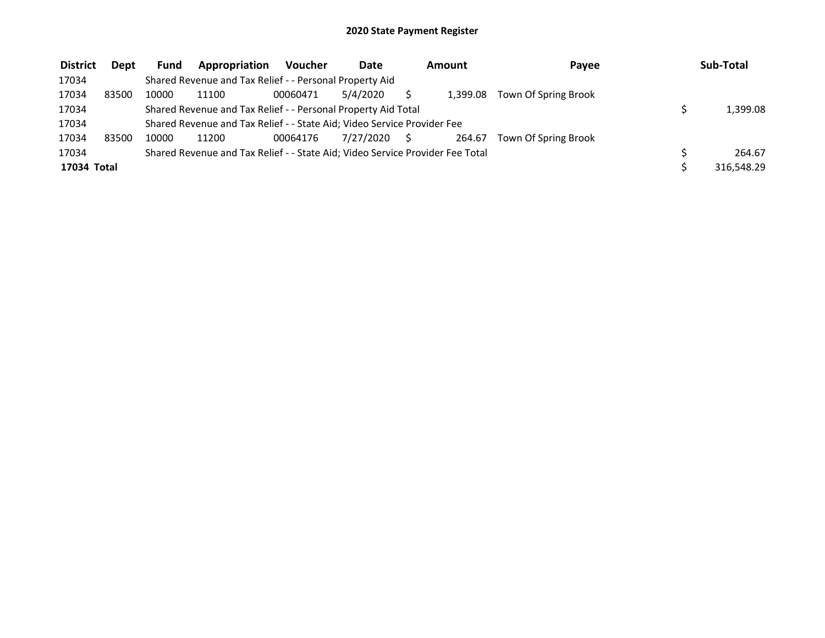| <b>District</b> | Dept  | <b>Fund</b> | Appropriation                                                                 | <b>Voucher</b> | <b>Date</b> | Amount |          | Payee                | Sub-Total  |
|-----------------|-------|-------------|-------------------------------------------------------------------------------|----------------|-------------|--------|----------|----------------------|------------|
| 17034           |       |             | Shared Revenue and Tax Relief - - Personal Property Aid                       |                |             |        |          |                      |            |
| 17034           | 83500 | 10000       | 11100                                                                         | 00060471       | 5/4/2020    |        | 1.399.08 | Town Of Spring Brook |            |
| 17034           |       |             | Shared Revenue and Tax Relief - - Personal Property Aid Total                 |                |             |        |          |                      | 1.399.08   |
| 17034           |       |             | Shared Revenue and Tax Relief - - State Aid; Video Service Provider Fee       |                |             |        |          |                      |            |
| 17034           | 83500 | 10000       | 11200                                                                         | 00064176       | 7/27/2020   |        | 264.67   | Town Of Spring Brook |            |
| 17034           |       |             | Shared Revenue and Tax Relief - - State Aid; Video Service Provider Fee Total |                |             |        |          |                      | 264.67     |
| 17034 Total     |       |             |                                                                               |                |             |        |          |                      | 316,548.29 |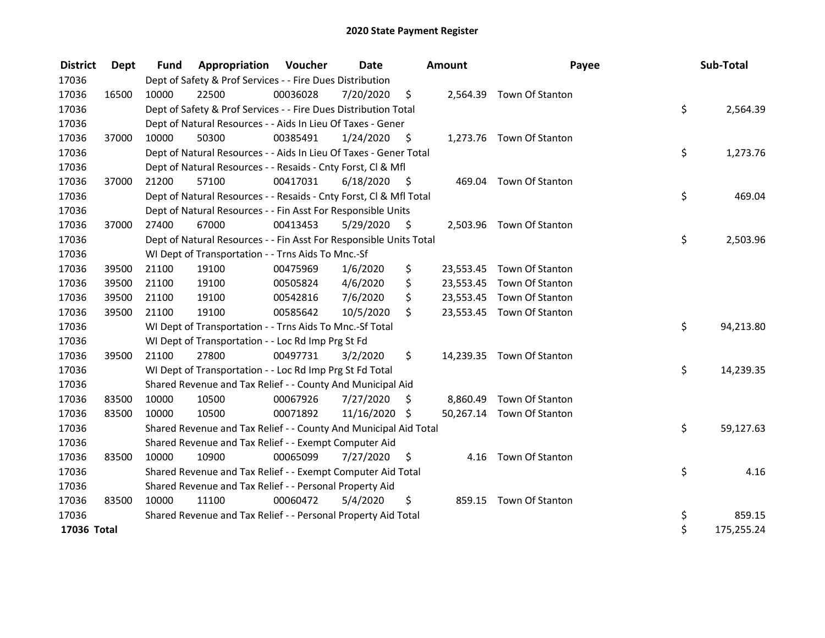| <b>District</b> | Dept  | <b>Fund</b> | <b>Appropriation Voucher</b>                                       |          | Date          |                    | <b>Amount</b> | Payee                     | Sub-Total        |
|-----------------|-------|-------------|--------------------------------------------------------------------|----------|---------------|--------------------|---------------|---------------------------|------------------|
| 17036           |       |             | Dept of Safety & Prof Services - - Fire Dues Distribution          |          |               |                    |               |                           |                  |
| 17036           | 16500 | 10000       | 22500                                                              | 00036028 | 7/20/2020     | $\zeta$            |               | 2,564.39 Town Of Stanton  |                  |
| 17036           |       |             | Dept of Safety & Prof Services - - Fire Dues Distribution Total    |          |               |                    |               |                           | \$<br>2,564.39   |
| 17036           |       |             | Dept of Natural Resources - - Aids In Lieu Of Taxes - Gener        |          |               |                    |               |                           |                  |
| 17036           | 37000 | 10000       | 50300                                                              | 00385491 | 1/24/2020     | $\ddot{\varsigma}$ |               | 1,273.76 Town Of Stanton  |                  |
| 17036           |       |             | Dept of Natural Resources - - Aids In Lieu Of Taxes - Gener Total  |          |               |                    |               |                           | \$<br>1,273.76   |
| 17036           |       |             | Dept of Natural Resources - - Resaids - Cnty Forst, Cl & Mfl       |          |               |                    |               |                           |                  |
| 17036           | 37000 | 21200       | 57100                                                              | 00417031 | 6/18/2020     | - \$               |               | 469.04 Town Of Stanton    |                  |
| 17036           |       |             | Dept of Natural Resources - - Resaids - Cnty Forst, Cl & Mfl Total |          |               |                    |               |                           | \$<br>469.04     |
| 17036           |       |             | Dept of Natural Resources - - Fin Asst For Responsible Units       |          |               |                    |               |                           |                  |
| 17036           | 37000 | 27400       | 67000                                                              | 00413453 | 5/29/2020     | - \$               |               | 2,503.96 Town Of Stanton  |                  |
| 17036           |       |             | Dept of Natural Resources - - Fin Asst For Responsible Units Total |          |               |                    |               |                           | \$<br>2,503.96   |
| 17036           |       |             | WI Dept of Transportation - - Trns Aids To Mnc.-Sf                 |          |               |                    |               |                           |                  |
| 17036           | 39500 | 21100       | 19100                                                              | 00475969 | 1/6/2020      | \$                 |               | 23,553.45 Town Of Stanton |                  |
| 17036           | 39500 | 21100       | 19100                                                              | 00505824 | 4/6/2020      | \$                 |               | 23,553.45 Town Of Stanton |                  |
| 17036           | 39500 | 21100       | 19100                                                              | 00542816 | 7/6/2020      | \$                 |               | 23,553.45 Town Of Stanton |                  |
| 17036           | 39500 | 21100       | 19100                                                              | 00585642 | 10/5/2020     | \$                 |               | 23,553.45 Town Of Stanton |                  |
| 17036           |       |             | WI Dept of Transportation - - Trns Aids To Mnc.-Sf Total           |          |               |                    |               |                           | \$<br>94,213.80  |
| 17036           |       |             | WI Dept of Transportation - - Loc Rd Imp Prg St Fd                 |          |               |                    |               |                           |                  |
| 17036           | 39500 | 21100       | 27800                                                              | 00497731 | 3/2/2020      | \$                 |               | 14,239.35 Town Of Stanton |                  |
| 17036           |       |             | WI Dept of Transportation - - Loc Rd Imp Prg St Fd Total           |          |               |                    |               |                           | \$<br>14,239.35  |
| 17036           |       |             | Shared Revenue and Tax Relief - - County And Municipal Aid         |          |               |                    |               |                           |                  |
| 17036           | 83500 | 10000       | 10500                                                              | 00067926 | 7/27/2020     | \$                 |               | 8,860.49 Town Of Stanton  |                  |
| 17036           | 83500 | 10000       | 10500                                                              | 00071892 | 11/16/2020 \$ |                    |               | 50,267.14 Town Of Stanton |                  |
| 17036           |       |             | Shared Revenue and Tax Relief - - County And Municipal Aid Total   |          |               |                    |               |                           | \$<br>59,127.63  |
| 17036           |       |             | Shared Revenue and Tax Relief - - Exempt Computer Aid              |          |               |                    |               |                           |                  |
| 17036           | 83500 | 10000       | 10900                                                              | 00065099 | 7/27/2020     | S                  |               | 4.16 Town Of Stanton      |                  |
| 17036           |       |             | Shared Revenue and Tax Relief - - Exempt Computer Aid Total        |          |               |                    |               |                           | \$<br>4.16       |
| 17036           |       |             | Shared Revenue and Tax Relief - - Personal Property Aid            |          |               |                    |               |                           |                  |
| 17036           | 83500 | 10000       | 11100                                                              | 00060472 | 5/4/2020      | \$                 |               | 859.15 Town Of Stanton    |                  |
| 17036           |       |             | Shared Revenue and Tax Relief - - Personal Property Aid Total      |          |               |                    |               |                           | \$<br>859.15     |
| 17036 Total     |       |             |                                                                    |          |               |                    |               |                           | \$<br>175,255.24 |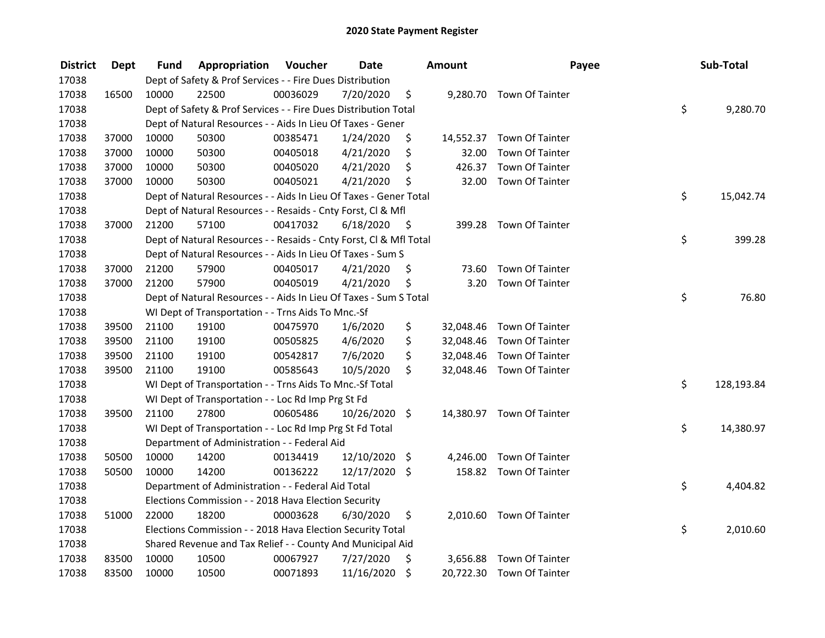| <b>District</b> | <b>Dept</b> | Fund  | Appropriation                                                      | Voucher  | <b>Date</b>   |      | <b>Amount</b> | Payee                     | Sub-Total        |
|-----------------|-------------|-------|--------------------------------------------------------------------|----------|---------------|------|---------------|---------------------------|------------------|
| 17038           |             |       | Dept of Safety & Prof Services - - Fire Dues Distribution          |          |               |      |               |                           |                  |
| 17038           | 16500       | 10000 | 22500                                                              | 00036029 | 7/20/2020     | \$   |               | 9,280.70 Town Of Tainter  |                  |
| 17038           |             |       | Dept of Safety & Prof Services - - Fire Dues Distribution Total    |          |               |      |               |                           | \$<br>9,280.70   |
| 17038           |             |       | Dept of Natural Resources - - Aids In Lieu Of Taxes - Gener        |          |               |      |               |                           |                  |
| 17038           | 37000       | 10000 | 50300                                                              | 00385471 | 1/24/2020     | \$   | 14,552.37     | <b>Town Of Tainter</b>    |                  |
| 17038           | 37000       | 10000 | 50300                                                              | 00405018 | 4/21/2020     | \$   | 32.00         | Town Of Tainter           |                  |
| 17038           | 37000       | 10000 | 50300                                                              | 00405020 | 4/21/2020     | \$   | 426.37        | <b>Town Of Tainter</b>    |                  |
| 17038           | 37000       | 10000 | 50300                                                              | 00405021 | 4/21/2020     | \$   | 32.00         | <b>Town Of Tainter</b>    |                  |
| 17038           |             |       | Dept of Natural Resources - - Aids In Lieu Of Taxes - Gener Total  |          |               |      |               |                           | \$<br>15,042.74  |
| 17038           |             |       | Dept of Natural Resources - - Resaids - Cnty Forst, CI & Mfl       |          |               |      |               |                           |                  |
| 17038           | 37000       | 21200 | 57100                                                              | 00417032 | 6/18/2020     | - \$ |               | 399.28 Town Of Tainter    |                  |
| 17038           |             |       | Dept of Natural Resources - - Resaids - Cnty Forst, Cl & Mfl Total |          |               |      |               |                           | \$<br>399.28     |
| 17038           |             |       | Dept of Natural Resources - - Aids In Lieu Of Taxes - Sum S        |          |               |      |               |                           |                  |
| 17038           | 37000       | 21200 | 57900                                                              | 00405017 | 4/21/2020     | \$   | 73.60         | Town Of Tainter           |                  |
| 17038           | 37000       | 21200 | 57900                                                              | 00405019 | 4/21/2020     | \$   | 3.20          | Town Of Tainter           |                  |
| 17038           |             |       | Dept of Natural Resources - - Aids In Lieu Of Taxes - Sum S Total  |          |               |      |               |                           | \$<br>76.80      |
| 17038           |             |       | WI Dept of Transportation - - Trns Aids To Mnc.-Sf                 |          |               |      |               |                           |                  |
| 17038           | 39500       | 21100 | 19100                                                              | 00475970 | 1/6/2020      | \$   | 32,048.46     | Town Of Tainter           |                  |
| 17038           | 39500       | 21100 | 19100                                                              | 00505825 | 4/6/2020      | \$   |               | 32,048.46 Town Of Tainter |                  |
| 17038           | 39500       | 21100 | 19100                                                              | 00542817 | 7/6/2020      | \$   | 32,048.46     | <b>Town Of Tainter</b>    |                  |
| 17038           | 39500       | 21100 | 19100                                                              | 00585643 | 10/5/2020     | \$   |               | 32,048.46 Town Of Tainter |                  |
| 17038           |             |       | WI Dept of Transportation - - Trns Aids To Mnc.-Sf Total           |          |               |      |               |                           | \$<br>128,193.84 |
| 17038           |             |       | WI Dept of Transportation - - Loc Rd Imp Prg St Fd                 |          |               |      |               |                           |                  |
| 17038           | 39500       | 21100 | 27800                                                              | 00605486 | 10/26/2020 \$ |      |               | 14,380.97 Town Of Tainter |                  |
| 17038           |             |       | WI Dept of Transportation - - Loc Rd Imp Prg St Fd Total           |          |               |      |               |                           | \$<br>14,380.97  |
| 17038           |             |       | Department of Administration - - Federal Aid                       |          |               |      |               |                           |                  |
| 17038           | 50500       | 10000 | 14200                                                              | 00134419 | 12/10/2020    | \$   | 4,246.00      | Town Of Tainter           |                  |
| 17038           | 50500       | 10000 | 14200                                                              | 00136222 | 12/17/2020 \$ |      |               | 158.82 Town Of Tainter    |                  |
| 17038           |             |       | Department of Administration - - Federal Aid Total                 |          |               |      |               |                           | \$<br>4,404.82   |
| 17038           |             |       | Elections Commission - - 2018 Hava Election Security               |          |               |      |               |                           |                  |
| 17038           | 51000       | 22000 | 18200                                                              | 00003628 | 6/30/2020     | \$   |               | 2,010.60 Town Of Tainter  |                  |
| 17038           |             |       | Elections Commission - - 2018 Hava Election Security Total         |          |               |      |               |                           | \$<br>2,010.60   |
| 17038           |             |       | Shared Revenue and Tax Relief - - County And Municipal Aid         |          |               |      |               |                           |                  |
| 17038           | 83500       | 10000 | 10500                                                              | 00067927 | 7/27/2020     | \$   | 3,656.88      | Town Of Tainter           |                  |
| 17038           | 83500       | 10000 | 10500                                                              | 00071893 | 11/16/2020    | \$   |               | 20,722.30 Town Of Tainter |                  |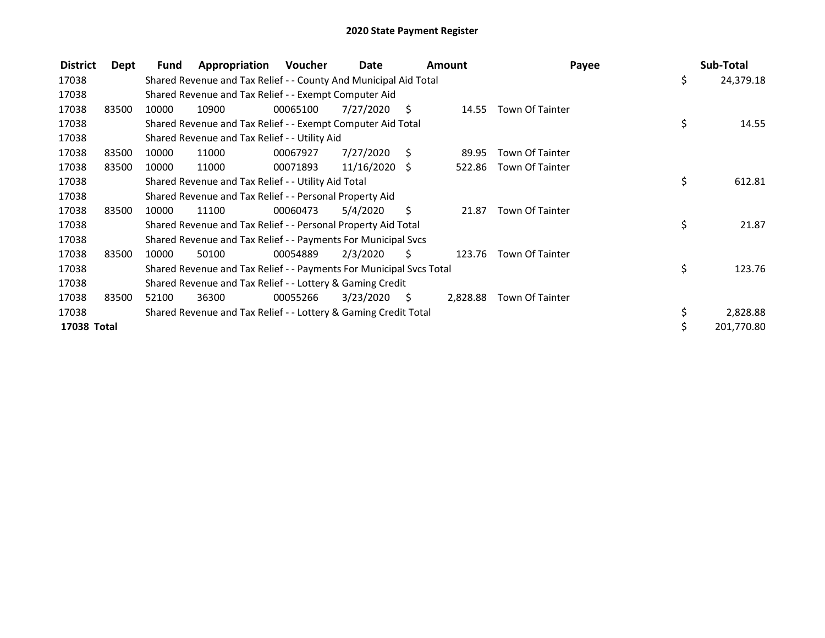| <b>District</b> | Dept  | Fund  | Appropriation                                                       | Voucher  | Date            |      | <b>Amount</b> | Payee                  | Sub-Total        |
|-----------------|-------|-------|---------------------------------------------------------------------|----------|-----------------|------|---------------|------------------------|------------------|
| 17038           |       |       | Shared Revenue and Tax Relief - - County And Municipal Aid Total    |          |                 |      |               |                        | \$<br>24,379.18  |
| 17038           |       |       | Shared Revenue and Tax Relief - - Exempt Computer Aid               |          |                 |      |               |                        |                  |
| 17038           | 83500 | 10000 | 10900                                                               | 00065100 | 7/27/2020       | S.   | 14.55         | <b>Town Of Tainter</b> |                  |
| 17038           |       |       | Shared Revenue and Tax Relief - - Exempt Computer Aid Total         |          |                 |      |               |                        | \$<br>14.55      |
| 17038           |       |       | Shared Revenue and Tax Relief - - Utility Aid                       |          |                 |      |               |                        |                  |
| 17038           | 83500 | 10000 | 11000                                                               | 00067927 | 7/27/2020       | S.   | 89.95         | <b>Town Of Tainter</b> |                  |
| 17038           | 83500 | 10000 | 11000                                                               | 00071893 | $11/16/2020$ \$ |      | 522.86        | Town Of Tainter        |                  |
| 17038           |       |       | Shared Revenue and Tax Relief - - Utility Aid Total                 |          |                 |      |               |                        | \$<br>612.81     |
| 17038           |       |       | Shared Revenue and Tax Relief - - Personal Property Aid             |          |                 |      |               |                        |                  |
| 17038           | 83500 | 10000 | 11100                                                               | 00060473 | 5/4/2020        | S    | 21.87         | <b>Town Of Tainter</b> |                  |
| 17038           |       |       | Shared Revenue and Tax Relief - - Personal Property Aid Total       |          |                 |      |               |                        | \$<br>21.87      |
| 17038           |       |       | Shared Revenue and Tax Relief - - Payments For Municipal Svcs       |          |                 |      |               |                        |                  |
| 17038           | 83500 | 10000 | 50100                                                               | 00054889 | 2/3/2020        | S    | 123.76        | <b>Town Of Tainter</b> |                  |
| 17038           |       |       | Shared Revenue and Tax Relief - - Payments For Municipal Svcs Total |          |                 |      |               |                        | \$<br>123.76     |
| 17038           |       |       | Shared Revenue and Tax Relief - - Lottery & Gaming Credit           |          |                 |      |               |                        |                  |
| 17038           | 83500 | 52100 | 36300                                                               | 00055266 | 3/23/2020       | - \$ | 2,828.88      | <b>Town Of Tainter</b> |                  |
| 17038           |       |       | Shared Revenue and Tax Relief - - Lottery & Gaming Credit Total     |          |                 |      |               |                        | 2,828.88         |
| 17038 Total     |       |       |                                                                     |          |                 |      |               |                        | \$<br>201,770.80 |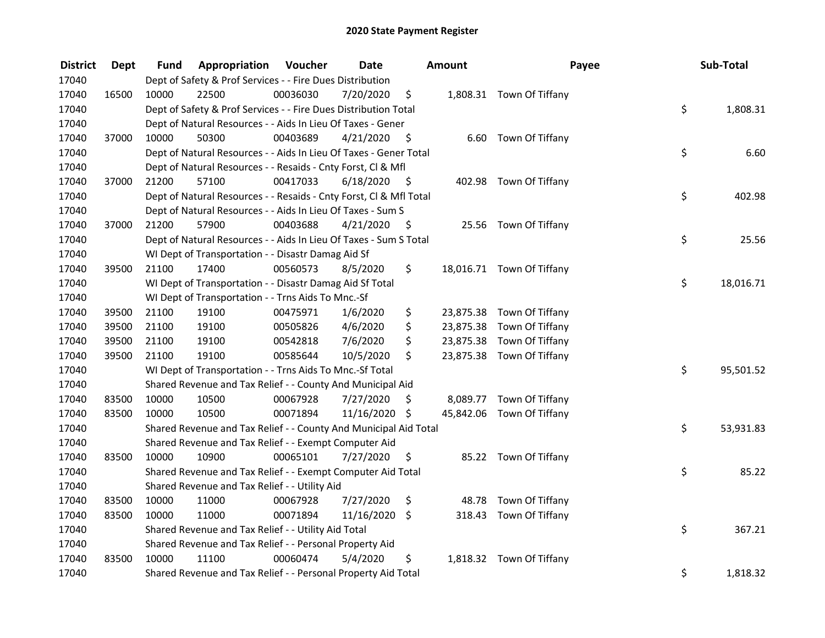| <b>District</b> | <b>Dept</b> | Fund  | Appropriation                                                      | Voucher  | <b>Date</b>   |      | Amount    | Payee                     | Sub-Total       |
|-----------------|-------------|-------|--------------------------------------------------------------------|----------|---------------|------|-----------|---------------------------|-----------------|
| 17040           |             |       | Dept of Safety & Prof Services - - Fire Dues Distribution          |          |               |      |           |                           |                 |
| 17040           | 16500       | 10000 | 22500                                                              | 00036030 | 7/20/2020     | \$   |           | 1,808.31 Town Of Tiffany  |                 |
| 17040           |             |       | Dept of Safety & Prof Services - - Fire Dues Distribution Total    |          |               |      |           |                           | \$<br>1,808.31  |
| 17040           |             |       | Dept of Natural Resources - - Aids In Lieu Of Taxes - Gener        |          |               |      |           |                           |                 |
| 17040           | 37000       | 10000 | 50300                                                              | 00403689 | 4/21/2020     | \$   |           | 6.60 Town Of Tiffany      |                 |
| 17040           |             |       | Dept of Natural Resources - - Aids In Lieu Of Taxes - Gener Total  |          |               |      |           |                           | \$<br>6.60      |
| 17040           |             |       | Dept of Natural Resources - - Resaids - Cnty Forst, Cl & Mfl       |          |               |      |           |                           |                 |
| 17040           | 37000       | 21200 | 57100                                                              | 00417033 | 6/18/2020     | - \$ |           | 402.98 Town Of Tiffany    |                 |
| 17040           |             |       | Dept of Natural Resources - - Resaids - Cnty Forst, Cl & Mfl Total |          |               |      |           |                           | \$<br>402.98    |
| 17040           |             |       | Dept of Natural Resources - - Aids In Lieu Of Taxes - Sum S        |          |               |      |           |                           |                 |
| 17040           | 37000       | 21200 | 57900                                                              | 00403688 | 4/21/2020     | - \$ |           | 25.56 Town Of Tiffany     |                 |
| 17040           |             |       | Dept of Natural Resources - - Aids In Lieu Of Taxes - Sum S Total  |          |               |      |           |                           | \$<br>25.56     |
| 17040           |             |       | WI Dept of Transportation - - Disastr Damag Aid Sf                 |          |               |      |           |                           |                 |
| 17040           | 39500       | 21100 | 17400                                                              | 00560573 | 8/5/2020      | \$.  |           | 18,016.71 Town Of Tiffany |                 |
| 17040           |             |       | WI Dept of Transportation - - Disastr Damag Aid Sf Total           |          |               |      |           |                           | \$<br>18,016.71 |
| 17040           |             |       | WI Dept of Transportation - - Trns Aids To Mnc.-Sf                 |          |               |      |           |                           |                 |
| 17040           | 39500       | 21100 | 19100                                                              | 00475971 | 1/6/2020      | \$   |           | 23,875.38 Town Of Tiffany |                 |
| 17040           | 39500       | 21100 | 19100                                                              | 00505826 | 4/6/2020      | \$   | 23,875.38 | Town Of Tiffany           |                 |
| 17040           | 39500       | 21100 | 19100                                                              | 00542818 | 7/6/2020      | \$   |           | 23,875.38 Town Of Tiffany |                 |
| 17040           | 39500       | 21100 | 19100                                                              | 00585644 | 10/5/2020     | \$   |           | 23,875.38 Town Of Tiffany |                 |
| 17040           |             |       | WI Dept of Transportation - - Trns Aids To Mnc.-Sf Total           |          |               |      |           |                           | \$<br>95,501.52 |
| 17040           |             |       | Shared Revenue and Tax Relief - - County And Municipal Aid         |          |               |      |           |                           |                 |
| 17040           | 83500       | 10000 | 10500                                                              | 00067928 | 7/27/2020     | S    |           | 8,089.77 Town Of Tiffany  |                 |
| 17040           | 83500       | 10000 | 10500                                                              | 00071894 | 11/16/2020 \$ |      |           | 45,842.06 Town Of Tiffany |                 |
| 17040           |             |       | Shared Revenue and Tax Relief - - County And Municipal Aid Total   |          |               |      |           |                           | \$<br>53,931.83 |
| 17040           |             |       | Shared Revenue and Tax Relief - - Exempt Computer Aid              |          |               |      |           |                           |                 |
| 17040           | 83500       | 10000 | 10900                                                              | 00065101 | 7/27/2020     | \$   |           | 85.22 Town Of Tiffany     |                 |
| 17040           |             |       | Shared Revenue and Tax Relief - - Exempt Computer Aid Total        |          |               |      |           |                           | \$<br>85.22     |
| 17040           |             |       | Shared Revenue and Tax Relief - - Utility Aid                      |          |               |      |           |                           |                 |
| 17040           | 83500       | 10000 | 11000                                                              | 00067928 | 7/27/2020     | \$   |           | 48.78 Town Of Tiffany     |                 |
| 17040           | 83500       | 10000 | 11000                                                              | 00071894 | 11/16/2020    | \$   |           | 318.43 Town Of Tiffany    |                 |
| 17040           |             |       | Shared Revenue and Tax Relief - - Utility Aid Total                |          |               |      |           |                           | \$<br>367.21    |
| 17040           |             |       | Shared Revenue and Tax Relief - - Personal Property Aid            |          |               |      |           |                           |                 |
| 17040           | 83500       | 10000 | 11100                                                              | 00060474 | 5/4/2020      | \$   |           | 1,818.32 Town Of Tiffany  |                 |
| 17040           |             |       | Shared Revenue and Tax Relief - - Personal Property Aid Total      |          |               |      |           |                           | \$<br>1,818.32  |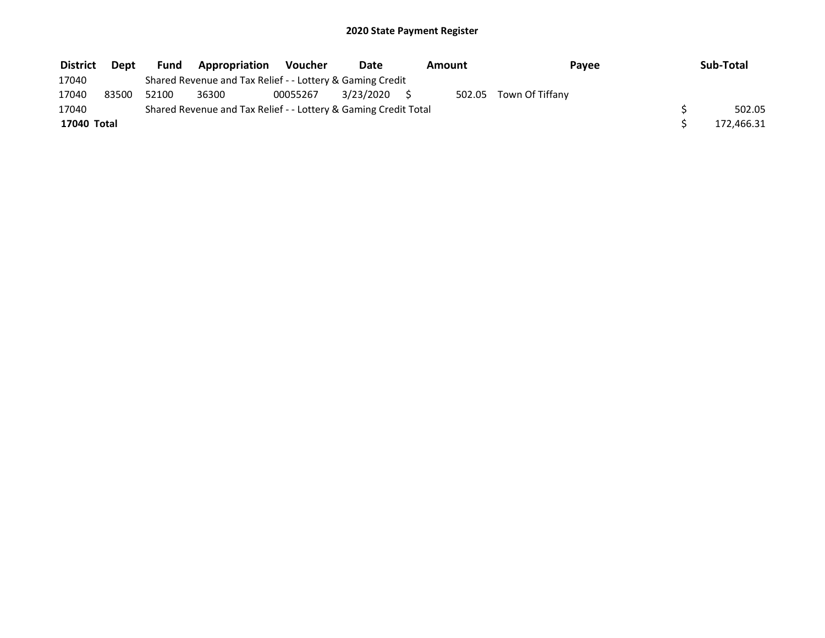| <b>District</b> | <b>Dept</b> | <b>Fund</b> | Appropriation                                                   | <b>Voucher</b> | Date      | Amount | Payee           | Sub-Total  |
|-----------------|-------------|-------------|-----------------------------------------------------------------|----------------|-----------|--------|-----------------|------------|
| 17040           |             |             | Shared Revenue and Tax Relief - - Lottery & Gaming Credit       |                |           |        |                 |            |
| 17040           | 83500       | 52100       | 36300                                                           | 00055267       | 3/23/2020 | 502.05 | Town Of Tiffany |            |
| 17040           |             |             | Shared Revenue and Tax Relief - - Lottery & Gaming Credit Total |                |           |        |                 | 502.05     |
| 17040 Total     |             |             |                                                                 |                |           |        |                 | 172,466.31 |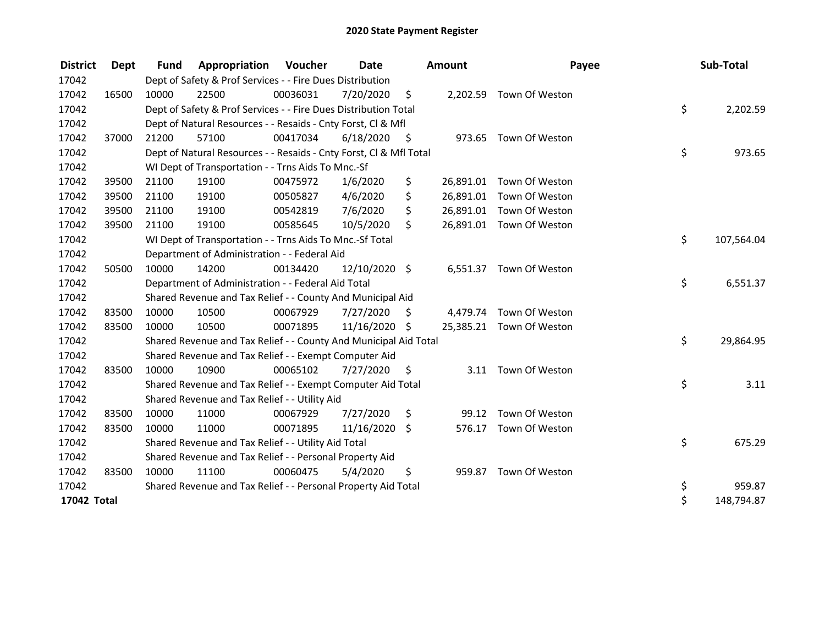| <b>District</b> | Dept  | <b>Fund</b> | <b>Appropriation Voucher</b>                                       |          | Date          |      | Amount   | Payee                    | Sub-Total        |
|-----------------|-------|-------------|--------------------------------------------------------------------|----------|---------------|------|----------|--------------------------|------------------|
| 17042           |       |             | Dept of Safety & Prof Services - - Fire Dues Distribution          |          |               |      |          |                          |                  |
| 17042           | 16500 | 10000       | 22500                                                              | 00036031 | 7/20/2020     | \$   |          | 2,202.59 Town Of Weston  |                  |
| 17042           |       |             | Dept of Safety & Prof Services - - Fire Dues Distribution Total    |          |               |      |          |                          | \$<br>2,202.59   |
| 17042           |       |             | Dept of Natural Resources - - Resaids - Cnty Forst, CI & Mfl       |          |               |      |          |                          |                  |
| 17042           | 37000 | 21200       | 57100                                                              | 00417034 | 6/18/2020     | - \$ |          | 973.65 Town Of Weston    |                  |
| 17042           |       |             | Dept of Natural Resources - - Resaids - Cnty Forst, CI & Mfl Total |          |               |      |          |                          | \$<br>973.65     |
| 17042           |       |             | WI Dept of Transportation - - Trns Aids To Mnc.-Sf                 |          |               |      |          |                          |                  |
| 17042           | 39500 | 21100       | 19100                                                              | 00475972 | 1/6/2020      | \$   |          | 26,891.01 Town Of Weston |                  |
| 17042           | 39500 | 21100       | 19100                                                              | 00505827 | 4/6/2020      | \$   |          | 26,891.01 Town Of Weston |                  |
| 17042           | 39500 | 21100       | 19100                                                              | 00542819 | 7/6/2020      | \$   |          | 26,891.01 Town Of Weston |                  |
| 17042           | 39500 | 21100       | 19100                                                              | 00585645 | 10/5/2020     | \$   |          | 26,891.01 Town Of Weston |                  |
| 17042           |       |             | WI Dept of Transportation - - Trns Aids To Mnc.-Sf Total           |          |               |      |          |                          | \$<br>107,564.04 |
| 17042           |       |             | Department of Administration - - Federal Aid                       |          |               |      |          |                          |                  |
| 17042           | 50500 | 10000       | 14200                                                              | 00134420 | 12/10/2020 \$ |      |          | 6,551.37 Town Of Weston  |                  |
| 17042           |       |             | Department of Administration - - Federal Aid Total                 |          |               |      |          |                          | \$<br>6,551.37   |
| 17042           |       |             | Shared Revenue and Tax Relief - - County And Municipal Aid         |          |               |      |          |                          |                  |
| 17042           | 83500 | 10000       | 10500                                                              | 00067929 | 7/27/2020     | \$   | 4,479.74 | Town Of Weston           |                  |
| 17042           | 83500 | 10000       | 10500                                                              | 00071895 | 11/16/2020 \$ |      |          | 25,385.21 Town Of Weston |                  |
| 17042           |       |             | Shared Revenue and Tax Relief - - County And Municipal Aid Total   |          |               |      |          |                          | \$<br>29,864.95  |
| 17042           |       |             | Shared Revenue and Tax Relief - - Exempt Computer Aid              |          |               |      |          |                          |                  |
| 17042           | 83500 | 10000       | 10900                                                              | 00065102 | 7/27/2020     | \$.  | 3.11     | Town Of Weston           |                  |
| 17042           |       |             | Shared Revenue and Tax Relief - - Exempt Computer Aid Total        |          |               |      |          |                          | \$<br>3.11       |
| 17042           |       |             | Shared Revenue and Tax Relief - - Utility Aid                      |          |               |      |          |                          |                  |
| 17042           | 83500 | 10000       | 11000                                                              | 00067929 | 7/27/2020     | \$   | 99.12    | Town Of Weston           |                  |
| 17042           | 83500 | 10000       | 11000                                                              | 00071895 | 11/16/2020    | \$   | 576.17   | Town Of Weston           |                  |
| 17042           |       |             | Shared Revenue and Tax Relief - - Utility Aid Total                |          |               |      |          |                          | \$<br>675.29     |
| 17042           |       |             | Shared Revenue and Tax Relief - - Personal Property Aid            |          |               |      |          |                          |                  |
| 17042           | 83500 | 10000       | 11100                                                              | 00060475 | 5/4/2020      | \$   |          | 959.87 Town Of Weston    |                  |
| 17042           |       |             | Shared Revenue and Tax Relief - - Personal Property Aid Total      |          |               |      |          |                          | \$<br>959.87     |
| 17042 Total     |       |             |                                                                    |          |               |      |          |                          | \$<br>148,794.87 |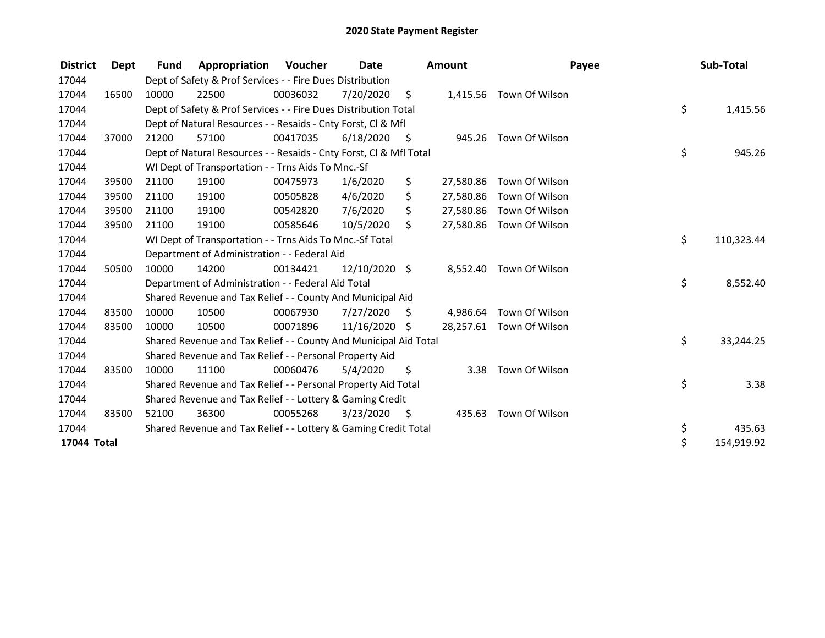| <b>District</b> | <b>Dept</b> | <b>Fund</b> | Appropriation                                                      | Voucher  | Date          |      | <b>Amount</b> | Payee                    | Sub-Total        |
|-----------------|-------------|-------------|--------------------------------------------------------------------|----------|---------------|------|---------------|--------------------------|------------------|
| 17044           |             |             | Dept of Safety & Prof Services - - Fire Dues Distribution          |          |               |      |               |                          |                  |
| 17044           | 16500       | 10000       | 22500                                                              | 00036032 | 7/20/2020     | \$   |               | 1,415.56 Town Of Wilson  |                  |
| 17044           |             |             | Dept of Safety & Prof Services - - Fire Dues Distribution Total    |          |               |      |               |                          | \$<br>1,415.56   |
| 17044           |             |             | Dept of Natural Resources - - Resaids - Cnty Forst, CI & Mfl       |          |               |      |               |                          |                  |
| 17044           | 37000       | 21200       | 57100                                                              | 00417035 | 6/18/2020     | - \$ |               | 945.26 Town Of Wilson    |                  |
| 17044           |             |             | Dept of Natural Resources - - Resaids - Cnty Forst, CI & Mfl Total |          |               |      |               |                          | \$<br>945.26     |
| 17044           |             |             | WI Dept of Transportation - - Trns Aids To Mnc.-Sf                 |          |               |      |               |                          |                  |
| 17044           | 39500       | 21100       | 19100                                                              | 00475973 | 1/6/2020      | \$   | 27,580.86     | Town Of Wilson           |                  |
| 17044           | 39500       | 21100       | 19100                                                              | 00505828 | 4/6/2020      | \$   | 27,580.86     | Town Of Wilson           |                  |
| 17044           | 39500       | 21100       | 19100                                                              | 00542820 | 7/6/2020      | \$   |               | 27,580.86 Town Of Wilson |                  |
| 17044           | 39500       | 21100       | 19100                                                              | 00585646 | 10/5/2020     | Ś.   |               | 27,580.86 Town Of Wilson |                  |
| 17044           |             |             | WI Dept of Transportation - - Trns Aids To Mnc.-Sf Total           |          |               |      |               |                          | \$<br>110,323.44 |
| 17044           |             |             | Department of Administration - - Federal Aid                       |          |               |      |               |                          |                  |
| 17044           | 50500       | 10000       | 14200                                                              | 00134421 | 12/10/2020 \$ |      | 8,552.40      | Town Of Wilson           |                  |
| 17044           |             |             | Department of Administration - - Federal Aid Total                 |          |               |      |               |                          | \$<br>8,552.40   |
| 17044           |             |             | Shared Revenue and Tax Relief - - County And Municipal Aid         |          |               |      |               |                          |                  |
| 17044           | 83500       | 10000       | 10500                                                              | 00067930 | 7/27/2020     | \$   |               | 4,986.64 Town Of Wilson  |                  |
| 17044           | 83500       | 10000       | 10500                                                              | 00071896 | 11/16/2020    | \$   |               | 28,257.61 Town Of Wilson |                  |
| 17044           |             |             | Shared Revenue and Tax Relief - - County And Municipal Aid Total   |          |               |      |               |                          | \$<br>33,244.25  |
| 17044           |             |             | Shared Revenue and Tax Relief - - Personal Property Aid            |          |               |      |               |                          |                  |
| 17044           | 83500       | 10000       | 11100                                                              | 00060476 | 5/4/2020      | \$   | 3.38          | Town Of Wilson           |                  |
| 17044           |             |             | Shared Revenue and Tax Relief - - Personal Property Aid Total      |          |               |      |               |                          | \$<br>3.38       |
| 17044           |             |             | Shared Revenue and Tax Relief - - Lottery & Gaming Credit          |          |               |      |               |                          |                  |
| 17044           | 83500       | 52100       | 36300                                                              | 00055268 | 3/23/2020     | - \$ | 435.63        | Town Of Wilson           |                  |
| 17044           |             |             | Shared Revenue and Tax Relief - - Lottery & Gaming Credit Total    |          |               |      |               |                          | \$<br>435.63     |
| 17044 Total     |             |             |                                                                    |          |               |      |               |                          | \$<br>154,919.92 |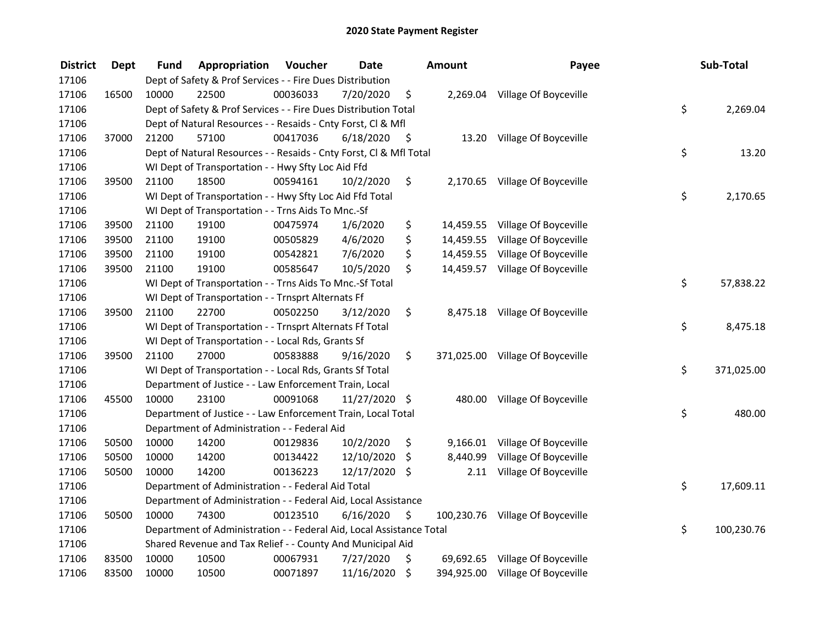| <b>District</b> | <b>Dept</b> | Fund  | Appropriation                                                        | Voucher  | <b>Date</b>   |         | Amount    | Payee                            | Sub-Total        |
|-----------------|-------------|-------|----------------------------------------------------------------------|----------|---------------|---------|-----------|----------------------------------|------------------|
| 17106           |             |       | Dept of Safety & Prof Services - - Fire Dues Distribution            |          |               |         |           |                                  |                  |
| 17106           | 16500       | 10000 | 22500                                                                | 00036033 | 7/20/2020     | \$      |           | 2,269.04 Village Of Boyceville   |                  |
| 17106           |             |       | Dept of Safety & Prof Services - - Fire Dues Distribution Total      |          |               |         |           |                                  | \$<br>2,269.04   |
| 17106           |             |       | Dept of Natural Resources - - Resaids - Cnty Forst, Cl & Mfl         |          |               |         |           |                                  |                  |
| 17106           | 37000       | 21200 | 57100                                                                | 00417036 | 6/18/2020     | - \$    |           | 13.20 Village Of Boyceville      |                  |
| 17106           |             |       | Dept of Natural Resources - - Resaids - Cnty Forst, Cl & Mfl Total   |          |               |         |           |                                  | \$<br>13.20      |
| 17106           |             |       | WI Dept of Transportation - - Hwy Sfty Loc Aid Ffd                   |          |               |         |           |                                  |                  |
| 17106           | 39500       | 21100 | 18500                                                                | 00594161 | 10/2/2020     | \$      |           | 2,170.65 Village Of Boyceville   |                  |
| 17106           |             |       | WI Dept of Transportation - - Hwy Sfty Loc Aid Ffd Total             |          |               |         |           |                                  | \$<br>2,170.65   |
| 17106           |             |       | WI Dept of Transportation - - Trns Aids To Mnc.-Sf                   |          |               |         |           |                                  |                  |
| 17106           | 39500       | 21100 | 19100                                                                | 00475974 | 1/6/2020      | \$      |           | 14,459.55 Village Of Boyceville  |                  |
| 17106           | 39500       | 21100 | 19100                                                                | 00505829 | 4/6/2020      | \$      | 14,459.55 | Village Of Boyceville            |                  |
| 17106           | 39500       | 21100 | 19100                                                                | 00542821 | 7/6/2020      | \$      |           | 14,459.55 Village Of Boyceville  |                  |
| 17106           | 39500       | 21100 | 19100                                                                | 00585647 | 10/5/2020     | \$      |           | 14,459.57 Village Of Boyceville  |                  |
| 17106           |             |       | WI Dept of Transportation - - Trns Aids To Mnc.-Sf Total             |          |               |         |           |                                  | \$<br>57,838.22  |
| 17106           |             |       | WI Dept of Transportation - - Trnsprt Alternats Ff                   |          |               |         |           |                                  |                  |
| 17106           | 39500       | 21100 | 22700                                                                | 00502250 | 3/12/2020     | \$      |           | 8,475.18 Village Of Boyceville   |                  |
| 17106           |             |       | WI Dept of Transportation - - Trnsprt Alternats Ff Total             |          |               |         |           |                                  | \$<br>8,475.18   |
| 17106           |             |       | WI Dept of Transportation - - Local Rds, Grants Sf                   |          |               |         |           |                                  |                  |
| 17106           | 39500       | 21100 | 27000                                                                | 00583888 | 9/16/2020     | \$      |           | 371,025.00 Village Of Boyceville |                  |
| 17106           |             |       | WI Dept of Transportation - - Local Rds, Grants Sf Total             |          |               |         |           |                                  | \$<br>371,025.00 |
| 17106           |             |       | Department of Justice - - Law Enforcement Train, Local               |          |               |         |           |                                  |                  |
| 17106           | 45500       | 10000 | 23100                                                                | 00091068 | 11/27/2020 \$ |         |           | 480.00 Village Of Boyceville     |                  |
| 17106           |             |       | Department of Justice - - Law Enforcement Train, Local Total         |          |               |         |           |                                  | \$<br>480.00     |
| 17106           |             |       | Department of Administration - - Federal Aid                         |          |               |         |           |                                  |                  |
| 17106           | 50500       | 10000 | 14200                                                                | 00129836 | 10/2/2020     | \$      |           | 9,166.01 Village Of Boyceville   |                  |
| 17106           | 50500       | 10000 | 14200                                                                | 00134422 | 12/10/2020    | \$      | 8,440.99  | Village Of Boyceville            |                  |
| 17106           | 50500       | 10000 | 14200                                                                | 00136223 | 12/17/2020 \$ |         | 2.11      | Village Of Boyceville            |                  |
| 17106           |             |       | Department of Administration - - Federal Aid Total                   |          |               |         |           |                                  | \$<br>17,609.11  |
| 17106           |             |       | Department of Administration - - Federal Aid, Local Assistance       |          |               |         |           |                                  |                  |
| 17106           | 50500       | 10000 | 74300                                                                | 00123510 | 6/16/2020     | \$      |           | 100,230.76 Village Of Boyceville |                  |
| 17106           |             |       | Department of Administration - - Federal Aid, Local Assistance Total |          |               |         |           |                                  | \$<br>100,230.76 |
| 17106           |             |       | Shared Revenue and Tax Relief - - County And Municipal Aid           |          |               |         |           |                                  |                  |
| 17106           | 83500       | 10000 | 10500                                                                | 00067931 | 7/27/2020     | \$      |           | 69,692.65 Village Of Boyceville  |                  |
| 17106           | 83500       | 10000 | 10500                                                                | 00071897 | 11/16/2020    | $\zeta$ |           | 394,925.00 Village Of Boyceville |                  |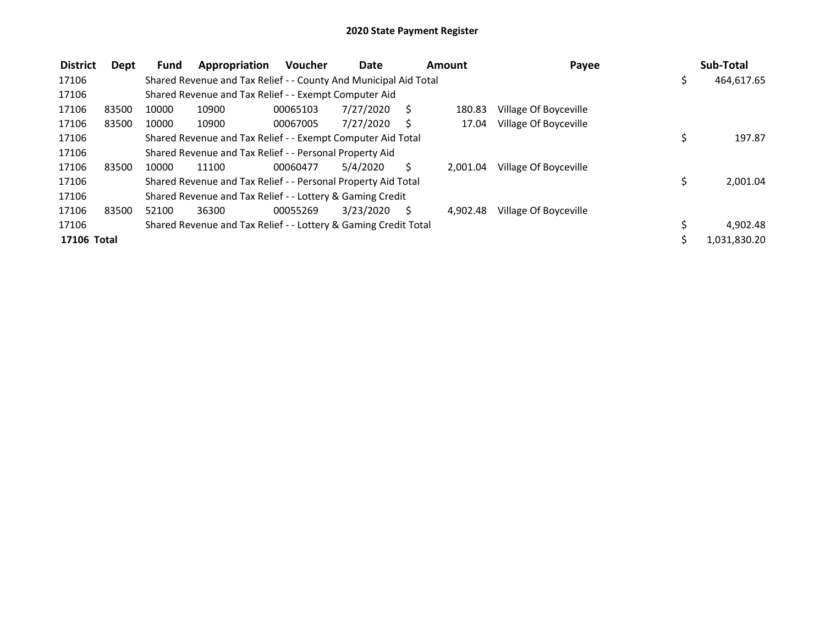| <b>District</b> | Dept  | <b>Fund</b> | Appropriation                                                    | <b>Voucher</b> | Date      |    | Amount   | Payee                 | Sub-Total        |
|-----------------|-------|-------------|------------------------------------------------------------------|----------------|-----------|----|----------|-----------------------|------------------|
| 17106           |       |             | Shared Revenue and Tax Relief - - County And Municipal Aid Total |                |           |    |          |                       | \$<br>464,617.65 |
| 17106           |       |             | Shared Revenue and Tax Relief - - Exempt Computer Aid            |                |           |    |          |                       |                  |
| 17106           | 83500 | 10000       | 10900                                                            | 00065103       | 7/27/2020 | S. | 180.83   | Village Of Boyceville |                  |
| 17106           | 83500 | 10000       | 10900                                                            | 00067005       | 7/27/2020 | S  | 17.04    | Village Of Boyceville |                  |
| 17106           |       |             | Shared Revenue and Tax Relief - - Exempt Computer Aid Total      |                |           |    |          |                       | 197.87           |
| 17106           |       |             | Shared Revenue and Tax Relief - - Personal Property Aid          |                |           |    |          |                       |                  |
| 17106           | 83500 | 10000       | 11100                                                            | 00060477       | 5/4/2020  | S  | 2.001.04 | Village Of Boyceville |                  |
| 17106           |       |             | Shared Revenue and Tax Relief - - Personal Property Aid Total    |                |           |    |          |                       | \$<br>2,001.04   |
| 17106           |       |             | Shared Revenue and Tax Relief - - Lottery & Gaming Credit        |                |           |    |          |                       |                  |
| 17106           | 83500 | 52100       | 36300                                                            | 00055269       | 3/23/2020 | S  | 4.902.48 | Village Of Boyceville |                  |
| 17106           |       |             | Shared Revenue and Tax Relief - - Lottery & Gaming Credit Total  |                |           |    |          |                       | 4,902.48         |
| 17106 Total     |       |             |                                                                  |                |           |    |          |                       | 1,031,830.20     |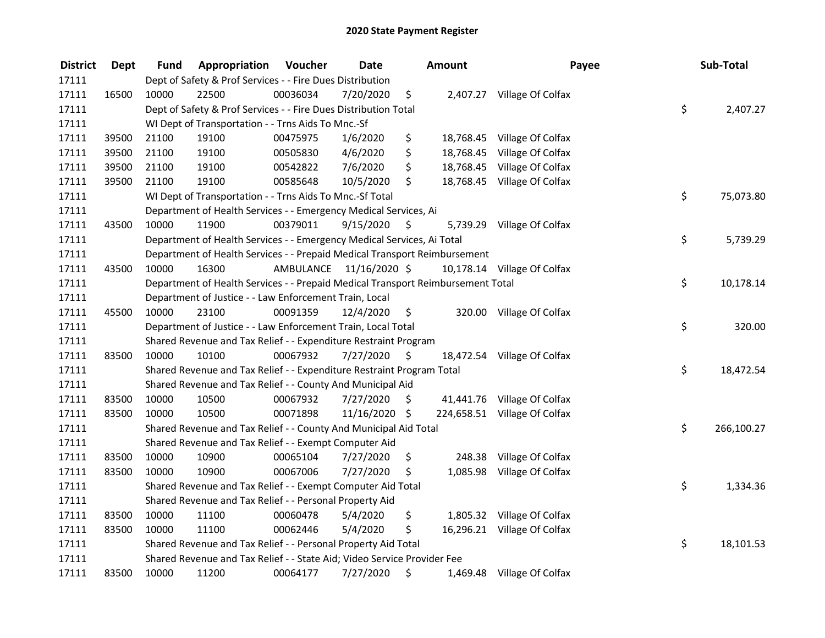| <b>District</b> | <b>Dept</b> | Fund  | Appropriation                                                                   | Voucher  | <b>Date</b>             |      | <b>Amount</b> | Payee                        | Sub-Total        |
|-----------------|-------------|-------|---------------------------------------------------------------------------------|----------|-------------------------|------|---------------|------------------------------|------------------|
| 17111           |             |       | Dept of Safety & Prof Services - - Fire Dues Distribution                       |          |                         |      |               |                              |                  |
| 17111           | 16500       | 10000 | 22500                                                                           | 00036034 | 7/20/2020               | \$   |               | 2,407.27 Village Of Colfax   |                  |
| 17111           |             |       | Dept of Safety & Prof Services - - Fire Dues Distribution Total                 |          |                         |      |               |                              | \$<br>2,407.27   |
| 17111           |             |       | WI Dept of Transportation - - Trns Aids To Mnc.-Sf                              |          |                         |      |               |                              |                  |
| 17111           | 39500       | 21100 | 19100                                                                           | 00475975 | 1/6/2020                | \$   | 18,768.45     | Village Of Colfax            |                  |
| 17111           | 39500       | 21100 | 19100                                                                           | 00505830 | 4/6/2020                | \$   | 18,768.45     | Village Of Colfax            |                  |
| 17111           | 39500       | 21100 | 19100                                                                           | 00542822 | 7/6/2020                | \$   | 18,768.45     | Village Of Colfax            |                  |
| 17111           | 39500       | 21100 | 19100                                                                           | 00585648 | 10/5/2020               | \$   |               | 18,768.45 Village Of Colfax  |                  |
| 17111           |             |       | WI Dept of Transportation - - Trns Aids To Mnc.-Sf Total                        |          |                         |      |               |                              | \$<br>75,073.80  |
| 17111           |             |       | Department of Health Services - - Emergency Medical Services, Ai                |          |                         |      |               |                              |                  |
| 17111           | 43500       | 10000 | 11900                                                                           | 00379011 | 9/15/2020               | S    |               | 5,739.29 Village Of Colfax   |                  |
| 17111           |             |       | Department of Health Services - - Emergency Medical Services, Ai Total          |          |                         |      |               |                              | \$<br>5,739.29   |
| 17111           |             |       | Department of Health Services - - Prepaid Medical Transport Reimbursement       |          |                         |      |               |                              |                  |
| 17111           | 43500       | 10000 | 16300                                                                           |          | AMBULANCE 11/16/2020 \$ |      |               | 10,178.14 Village Of Colfax  |                  |
| 17111           |             |       | Department of Health Services - - Prepaid Medical Transport Reimbursement Total |          |                         |      |               |                              | \$<br>10,178.14  |
| 17111           |             |       | Department of Justice - - Law Enforcement Train, Local                          |          |                         |      |               |                              |                  |
| 17111           | 45500       | 10000 | 23100                                                                           | 00091359 | 12/4/2020               | \$   |               | 320.00 Village Of Colfax     |                  |
| 17111           |             |       | Department of Justice - - Law Enforcement Train, Local Total                    |          |                         |      |               |                              | \$<br>320.00     |
| 17111           |             |       | Shared Revenue and Tax Relief - - Expenditure Restraint Program                 |          |                         |      |               |                              |                  |
| 17111           | 83500       | 10000 | 10100                                                                           | 00067932 | 7/27/2020               | - \$ |               | 18,472.54 Village Of Colfax  |                  |
| 17111           |             |       | Shared Revenue and Tax Relief - - Expenditure Restraint Program Total           |          |                         |      |               |                              | \$<br>18,472.54  |
| 17111           |             |       | Shared Revenue and Tax Relief - - County And Municipal Aid                      |          |                         |      |               |                              |                  |
| 17111           | 83500       | 10000 | 10500                                                                           | 00067932 | 7/27/2020               | S.   |               | 41,441.76 Village Of Colfax  |                  |
| 17111           | 83500       | 10000 | 10500                                                                           | 00071898 | 11/16/2020              | \$   |               | 224,658.51 Village Of Colfax |                  |
| 17111           |             |       | Shared Revenue and Tax Relief - - County And Municipal Aid Total                |          |                         |      |               |                              | \$<br>266,100.27 |
| 17111           |             |       | Shared Revenue and Tax Relief - - Exempt Computer Aid                           |          |                         |      |               |                              |                  |
| 17111           | 83500       | 10000 | 10900                                                                           | 00065104 | 7/27/2020               | \$   | 248.38        | Village Of Colfax            |                  |
| 17111           | 83500       | 10000 | 10900                                                                           | 00067006 | 7/27/2020               | \$   |               | 1,085.98 Village Of Colfax   |                  |
| 17111           |             |       | Shared Revenue and Tax Relief - - Exempt Computer Aid Total                     |          |                         |      |               |                              | \$<br>1,334.36   |
| 17111           |             |       | Shared Revenue and Tax Relief - - Personal Property Aid                         |          |                         |      |               |                              |                  |
| 17111           | 83500       | 10000 | 11100                                                                           | 00060478 | 5/4/2020                | \$   |               | 1,805.32 Village Of Colfax   |                  |
| 17111           | 83500       | 10000 | 11100                                                                           | 00062446 | 5/4/2020                | \$   |               | 16,296.21 Village Of Colfax  |                  |
| 17111           |             |       | Shared Revenue and Tax Relief - - Personal Property Aid Total                   |          |                         |      |               |                              | \$<br>18,101.53  |
| 17111           |             |       | Shared Revenue and Tax Relief - - State Aid; Video Service Provider Fee         |          |                         |      |               |                              |                  |
| 17111           | 83500       | 10000 | 11200                                                                           | 00064177 | 7/27/2020               | \$   |               | 1,469.48 Village Of Colfax   |                  |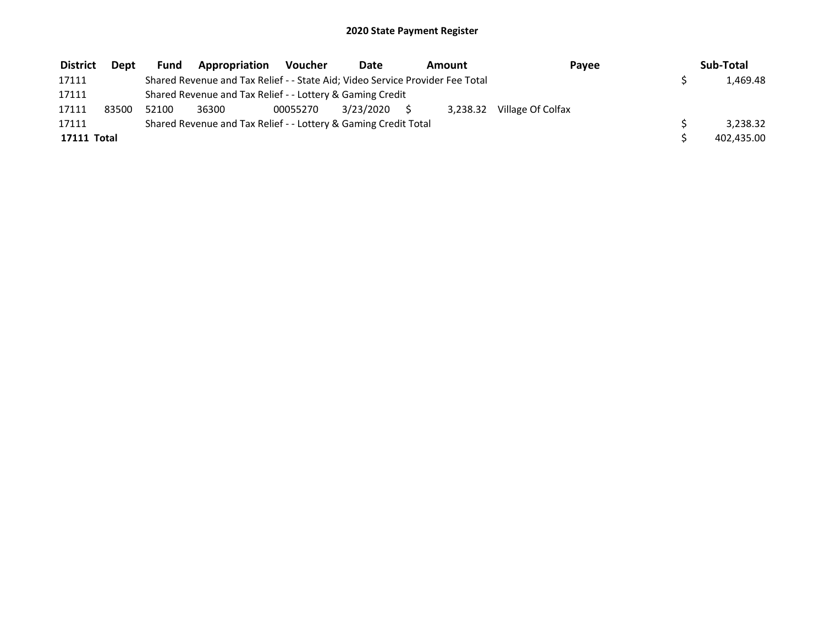| <b>District</b> | <b>Dept</b> | Fund  | Appropriation                                                                 | Voucher  | Date      | Amount | Pavee                      | Sub-Total  |
|-----------------|-------------|-------|-------------------------------------------------------------------------------|----------|-----------|--------|----------------------------|------------|
| 17111           |             |       | Shared Revenue and Tax Relief - - State Aid; Video Service Provider Fee Total |          |           |        |                            | 1.469.48   |
| 17111           |             |       | Shared Revenue and Tax Relief - - Lottery & Gaming Credit                     |          |           |        |                            |            |
| 17111           | 83500       | 52100 | 36300                                                                         | 00055270 | 3/23/2020 |        | 3,238.32 Village Of Colfax |            |
| 17111           |             |       | Shared Revenue and Tax Relief - - Lottery & Gaming Credit Total               |          |           |        |                            | 3,238.32   |
| 17111 Total     |             |       |                                                                               |          |           |        |                            | 402,435.00 |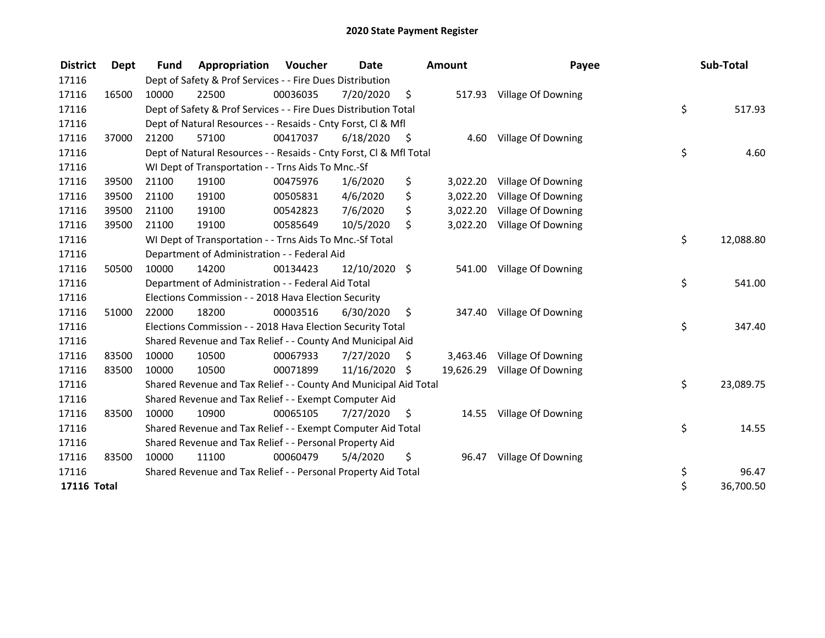| <b>District</b> | Dept  | <b>Fund</b> | Appropriation                                                      | Voucher  | Date          |      | Amount   | Payee                        | Sub-Total       |
|-----------------|-------|-------------|--------------------------------------------------------------------|----------|---------------|------|----------|------------------------------|-----------------|
| 17116           |       |             | Dept of Safety & Prof Services - - Fire Dues Distribution          |          |               |      |          |                              |                 |
| 17116           | 16500 | 10000       | 22500                                                              | 00036035 | 7/20/2020     | \$   | 517.93   | Village Of Downing           |                 |
| 17116           |       |             | Dept of Safety & Prof Services - - Fire Dues Distribution Total    |          |               |      |          |                              | \$<br>517.93    |
| 17116           |       |             | Dept of Natural Resources - - Resaids - Cnty Forst, CI & Mfl       |          |               |      |          |                              |                 |
| 17116           | 37000 | 21200       | 57100                                                              | 00417037 | 6/18/2020     | - \$ | 4.60     | Village Of Downing           |                 |
| 17116           |       |             | Dept of Natural Resources - - Resaids - Cnty Forst, Cl & Mfl Total |          |               |      |          |                              | \$<br>4.60      |
| 17116           |       |             | WI Dept of Transportation - - Trns Aids To Mnc.-Sf                 |          |               |      |          |                              |                 |
| 17116           | 39500 | 21100       | 19100                                                              | 00475976 | 1/6/2020      | \$   | 3,022.20 | Village Of Downing           |                 |
| 17116           | 39500 | 21100       | 19100                                                              | 00505831 | 4/6/2020      | \$   | 3,022.20 | Village Of Downing           |                 |
| 17116           | 39500 | 21100       | 19100                                                              | 00542823 | 7/6/2020      | \$   | 3,022.20 | Village Of Downing           |                 |
| 17116           | 39500 | 21100       | 19100                                                              | 00585649 | 10/5/2020     | \$   | 3,022.20 | Village Of Downing           |                 |
| 17116           |       |             | WI Dept of Transportation - - Trns Aids To Mnc.-Sf Total           |          |               |      |          |                              | \$<br>12,088.80 |
| 17116           |       |             | Department of Administration - - Federal Aid                       |          |               |      |          |                              |                 |
| 17116           | 50500 | 10000       | 14200                                                              | 00134423 | 12/10/2020 \$ |      | 541.00   | Village Of Downing           |                 |
| 17116           |       |             | Department of Administration - - Federal Aid Total                 |          |               |      |          |                              | \$<br>541.00    |
| 17116           |       |             | Elections Commission - - 2018 Hava Election Security               |          |               |      |          |                              |                 |
| 17116           | 51000 | 22000       | 18200                                                              | 00003516 | 6/30/2020     | \$   | 347.40   | Village Of Downing           |                 |
| 17116           |       |             | Elections Commission - - 2018 Hava Election Security Total         |          |               |      |          |                              | \$<br>347.40    |
| 17116           |       |             | Shared Revenue and Tax Relief - - County And Municipal Aid         |          |               |      |          |                              |                 |
| 17116           | 83500 | 10000       | 10500                                                              | 00067933 | 7/27/2020     | S    | 3,463.46 | Village Of Downing           |                 |
| 17116           | 83500 | 10000       | 10500                                                              | 00071899 | 11/16/2020    | \$   |          | 19,626.29 Village Of Downing |                 |
| 17116           |       |             | Shared Revenue and Tax Relief - - County And Municipal Aid Total   |          |               |      |          |                              | \$<br>23,089.75 |
| 17116           |       |             | Shared Revenue and Tax Relief - - Exempt Computer Aid              |          |               |      |          |                              |                 |
| 17116           | 83500 | 10000       | 10900                                                              | 00065105 | 7/27/2020     | \$   |          | 14.55 Village Of Downing     |                 |
| 17116           |       |             | Shared Revenue and Tax Relief - - Exempt Computer Aid Total        |          |               |      |          |                              | \$<br>14.55     |
| 17116           |       |             | Shared Revenue and Tax Relief - - Personal Property Aid            |          |               |      |          |                              |                 |
| 17116           | 83500 | 10000       | 11100                                                              | 00060479 | 5/4/2020      | \$   | 96.47    | Village Of Downing           |                 |
| 17116           |       |             | Shared Revenue and Tax Relief - - Personal Property Aid Total      |          |               |      |          |                              | \$<br>96.47     |
| 17116 Total     |       |             |                                                                    |          |               |      |          |                              | \$<br>36,700.50 |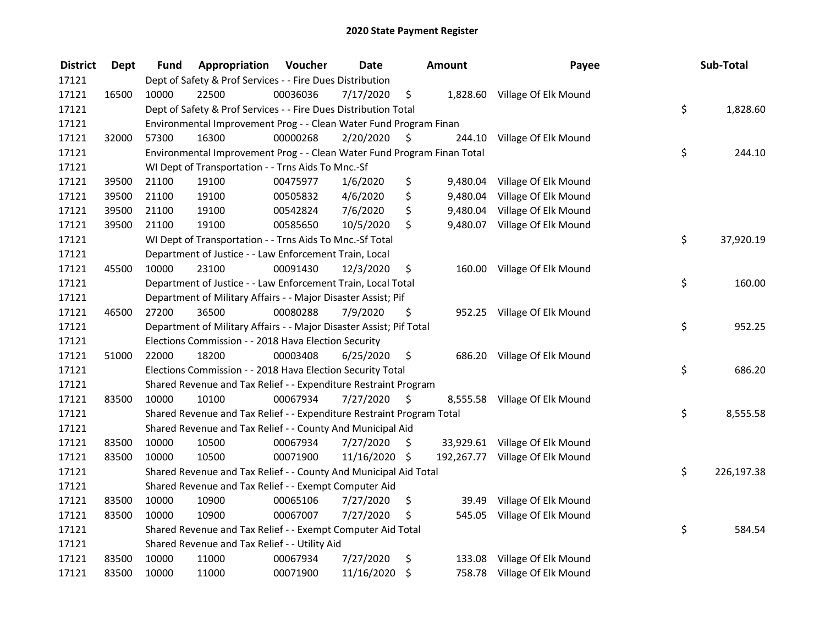| <b>District</b> | <b>Dept</b> | Fund  | Appropriation                                                           | Voucher  | <b>Date</b>   |         | <b>Amount</b> | Payee                           | Sub-Total        |
|-----------------|-------------|-------|-------------------------------------------------------------------------|----------|---------------|---------|---------------|---------------------------------|------------------|
| 17121           |             |       | Dept of Safety & Prof Services - - Fire Dues Distribution               |          |               |         |               |                                 |                  |
| 17121           | 16500       | 10000 | 22500                                                                   | 00036036 | 7/17/2020     | \$      |               | 1,828.60 Village Of Elk Mound   |                  |
| 17121           |             |       | Dept of Safety & Prof Services - - Fire Dues Distribution Total         |          |               |         |               |                                 | \$<br>1,828.60   |
| 17121           |             |       | Environmental Improvement Prog - - Clean Water Fund Program Finan       |          |               |         |               |                                 |                  |
| 17121           | 32000       | 57300 | 16300                                                                   | 00000268 | 2/20/2020     | \$      |               | 244.10 Village Of Elk Mound     |                  |
| 17121           |             |       | Environmental Improvement Prog - - Clean Water Fund Program Finan Total |          |               |         |               |                                 | \$<br>244.10     |
| 17121           |             |       | WI Dept of Transportation - - Trns Aids To Mnc.-Sf                      |          |               |         |               |                                 |                  |
| 17121           | 39500       | 21100 | 19100                                                                   | 00475977 | 1/6/2020      | \$      | 9,480.04      | Village Of Elk Mound            |                  |
| 17121           | 39500       | 21100 | 19100                                                                   | 00505832 | 4/6/2020      | \$      | 9,480.04      | Village Of Elk Mound            |                  |
| 17121           | 39500       | 21100 | 19100                                                                   | 00542824 | 7/6/2020      | \$      |               | 9,480.04 Village Of Elk Mound   |                  |
| 17121           | 39500       | 21100 | 19100                                                                   | 00585650 | 10/5/2020     | \$      |               | 9,480.07 Village Of Elk Mound   |                  |
| 17121           |             |       | WI Dept of Transportation - - Trns Aids To Mnc.-Sf Total                |          |               |         |               |                                 | \$<br>37,920.19  |
| 17121           |             |       | Department of Justice - - Law Enforcement Train, Local                  |          |               |         |               |                                 |                  |
| 17121           | 45500       | 10000 | 23100                                                                   | 00091430 | 12/3/2020     | \$      | 160.00        | Village Of Elk Mound            |                  |
| 17121           |             |       | Department of Justice - - Law Enforcement Train, Local Total            |          |               |         |               |                                 | \$<br>160.00     |
| 17121           |             |       | Department of Military Affairs - - Major Disaster Assist; Pif           |          |               |         |               |                                 |                  |
| 17121           | 46500       | 27200 | 36500                                                                   | 00080288 | 7/9/2020      | \$      |               | 952.25 Village Of Elk Mound     |                  |
| 17121           |             |       | Department of Military Affairs - - Major Disaster Assist; Pif Total     |          |               |         |               |                                 | \$<br>952.25     |
| 17121           |             |       | Elections Commission - - 2018 Hava Election Security                    |          |               |         |               |                                 |                  |
| 17121           | 51000       | 22000 | 18200                                                                   | 00003408 | 6/25/2020     | - \$    |               | 686.20 Village Of Elk Mound     |                  |
| 17121           |             |       | Elections Commission - - 2018 Hava Election Security Total              |          |               |         |               |                                 | \$<br>686.20     |
| 17121           |             |       | Shared Revenue and Tax Relief - - Expenditure Restraint Program         |          |               |         |               |                                 |                  |
| 17121           | 83500       | 10000 | 10100                                                                   | 00067934 | 7/27/2020     | - \$    |               | 8,555.58 Village Of Elk Mound   |                  |
| 17121           |             |       | Shared Revenue and Tax Relief - - Expenditure Restraint Program Total   |          |               |         |               |                                 | \$<br>8,555.58   |
| 17121           |             |       | Shared Revenue and Tax Relief - - County And Municipal Aid              |          |               |         |               |                                 |                  |
| 17121           | 83500       | 10000 | 10500                                                                   | 00067934 | 7/27/2020     | \$      |               | 33,929.61 Village Of Elk Mound  |                  |
| 17121           | 83500       | 10000 | 10500                                                                   | 00071900 | 11/16/2020 \$ |         |               | 192,267.77 Village Of Elk Mound |                  |
| 17121           |             |       | Shared Revenue and Tax Relief - - County And Municipal Aid Total        |          |               |         |               |                                 | \$<br>226,197.38 |
| 17121           |             |       | Shared Revenue and Tax Relief - - Exempt Computer Aid                   |          |               |         |               |                                 |                  |
| 17121           | 83500       | 10000 | 10900                                                                   | 00065106 | 7/27/2020     | \$      | 39.49         | Village Of Elk Mound            |                  |
| 17121           | 83500       | 10000 | 10900                                                                   | 00067007 | 7/27/2020     | \$      | 545.05        | Village Of Elk Mound            |                  |
| 17121           |             |       | Shared Revenue and Tax Relief - - Exempt Computer Aid Total             |          |               |         |               |                                 | \$<br>584.54     |
| 17121           |             |       | Shared Revenue and Tax Relief - - Utility Aid                           |          |               |         |               |                                 |                  |
| 17121           | 83500       | 10000 | 11000                                                                   | 00067934 | 7/27/2020     | \$      | 133.08        | Village Of Elk Mound            |                  |
| 17121           | 83500       | 10000 | 11000                                                                   | 00071900 | 11/16/2020    | $\zeta$ |               | 758.78 Village Of Elk Mound     |                  |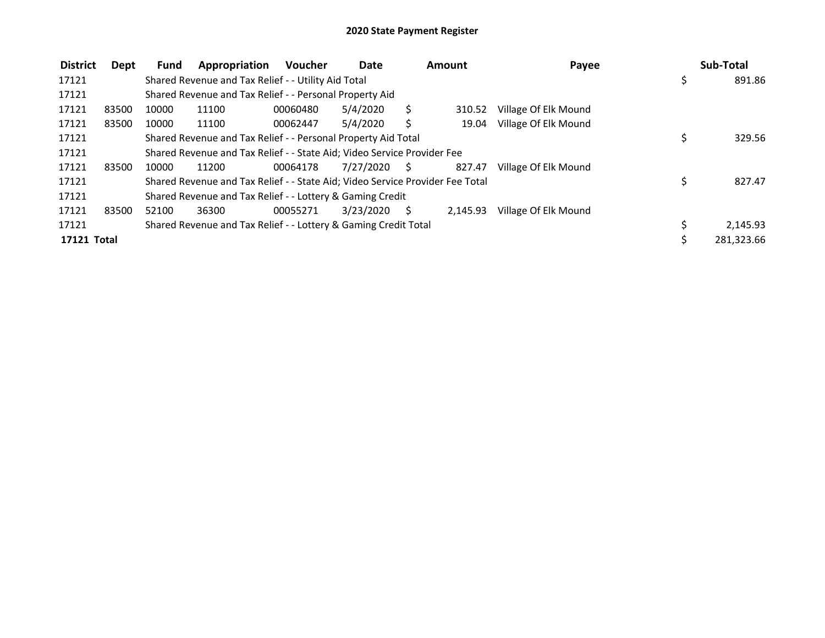| <b>District</b> | Dept  | <b>Fund</b> | Appropriation                                                                 | <b>Voucher</b> | Date      |           | Amount   | Payee                | Sub-Total    |
|-----------------|-------|-------------|-------------------------------------------------------------------------------|----------------|-----------|-----------|----------|----------------------|--------------|
| 17121           |       |             | Shared Revenue and Tax Relief - - Utility Aid Total                           |                |           |           |          |                      | \$<br>891.86 |
| 17121           |       |             | Shared Revenue and Tax Relief - - Personal Property Aid                       |                |           |           |          |                      |              |
| 17121           | 83500 | 10000       | 11100                                                                         | 00060480       | 5/4/2020  | S         | 310.52   | Village Of Elk Mound |              |
| 17121           | 83500 | 10000       | 11100                                                                         | 00062447       | 5/4/2020  | S         | 19.04    | Village Of Elk Mound |              |
| 17121           |       |             | Shared Revenue and Tax Relief - - Personal Property Aid Total                 |                |           |           |          |                      | 329.56       |
| 17121           |       |             | Shared Revenue and Tax Relief - - State Aid; Video Service Provider Fee       |                |           |           |          |                      |              |
| 17121           | 83500 | 10000       | 11200                                                                         | 00064178       | 7/27/2020 | $\sim$ \$ | 827.47   | Village Of Elk Mound |              |
| 17121           |       |             | Shared Revenue and Tax Relief - - State Aid; Video Service Provider Fee Total |                |           |           |          |                      | \$<br>827.47 |
| 17121           |       |             | Shared Revenue and Tax Relief - - Lottery & Gaming Credit                     |                |           |           |          |                      |              |
| 17121           | 83500 | 52100       | 36300                                                                         | 00055271       | 3/23/2020 | S.        | 2.145.93 | Village Of Elk Mound |              |
| 17121           |       |             | Shared Revenue and Tax Relief - - Lottery & Gaming Credit Total               |                |           |           |          |                      | 2,145.93     |
| 17121 Total     |       |             |                                                                               |                |           |           |          |                      | 281,323.66   |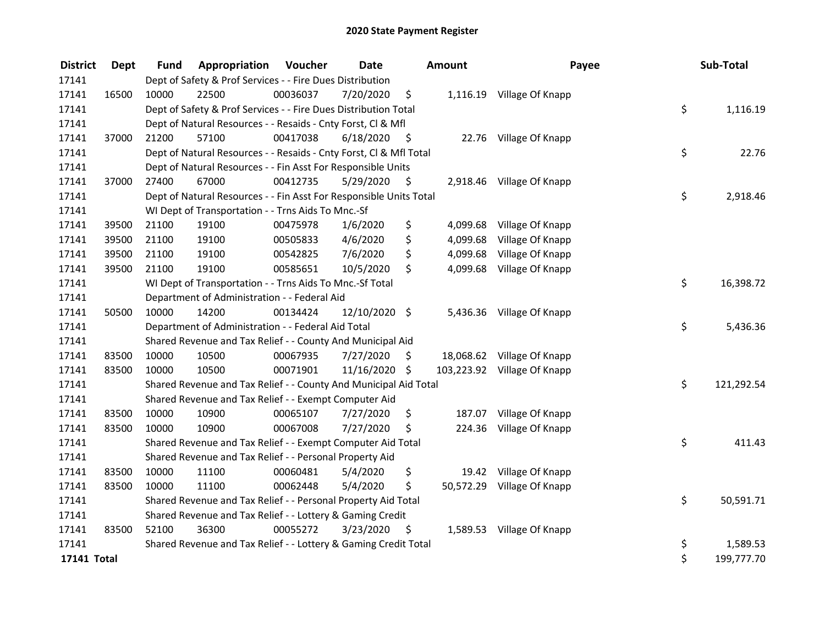| <b>District</b> | Dept  | <b>Fund</b> | Appropriation                                                      | Voucher  | <b>Date</b>   |      | Amount    | Payee                       | Sub-Total        |
|-----------------|-------|-------------|--------------------------------------------------------------------|----------|---------------|------|-----------|-----------------------------|------------------|
| 17141           |       |             | Dept of Safety & Prof Services - - Fire Dues Distribution          |          |               |      |           |                             |                  |
| 17141           | 16500 | 10000       | 22500                                                              | 00036037 | 7/20/2020     | \$   |           | 1,116.19 Village Of Knapp   |                  |
| 17141           |       |             | Dept of Safety & Prof Services - - Fire Dues Distribution Total    |          |               |      |           |                             | \$<br>1,116.19   |
| 17141           |       |             | Dept of Natural Resources - - Resaids - Cnty Forst, Cl & Mfl       |          |               |      |           |                             |                  |
| 17141           | 37000 | 21200       | 57100                                                              | 00417038 | 6/18/2020     | - \$ |           | 22.76 Village Of Knapp      |                  |
| 17141           |       |             | Dept of Natural Resources - - Resaids - Cnty Forst, Cl & Mfl Total |          |               |      |           |                             | \$<br>22.76      |
| 17141           |       |             | Dept of Natural Resources - - Fin Asst For Responsible Units       |          |               |      |           |                             |                  |
| 17141           | 37000 | 27400       | 67000                                                              | 00412735 | 5/29/2020     | \$   |           | 2,918.46 Village Of Knapp   |                  |
| 17141           |       |             | Dept of Natural Resources - - Fin Asst For Responsible Units Total |          |               |      |           |                             | \$<br>2,918.46   |
| 17141           |       |             | WI Dept of Transportation - - Trns Aids To Mnc.-Sf                 |          |               |      |           |                             |                  |
| 17141           | 39500 | 21100       | 19100                                                              | 00475978 | 1/6/2020      | \$   | 4,099.68  | Village Of Knapp            |                  |
| 17141           | 39500 | 21100       | 19100                                                              | 00505833 | 4/6/2020      | \$   | 4,099.68  | Village Of Knapp            |                  |
| 17141           | 39500 | 21100       | 19100                                                              | 00542825 | 7/6/2020      | \$   | 4,099.68  | Village Of Knapp            |                  |
| 17141           | 39500 | 21100       | 19100                                                              | 00585651 | 10/5/2020     | \$   | 4,099.68  | Village Of Knapp            |                  |
| 17141           |       |             | WI Dept of Transportation - - Trns Aids To Mnc.-Sf Total           |          |               |      |           |                             | \$<br>16,398.72  |
| 17141           |       |             | Department of Administration - - Federal Aid                       |          |               |      |           |                             |                  |
| 17141           | 50500 | 10000       | 14200                                                              | 00134424 | 12/10/2020 \$ |      |           | 5,436.36 Village Of Knapp   |                  |
| 17141           |       |             | Department of Administration - - Federal Aid Total                 |          |               |      |           |                             | \$<br>5,436.36   |
| 17141           |       |             | Shared Revenue and Tax Relief - - County And Municipal Aid         |          |               |      |           |                             |                  |
| 17141           | 83500 | 10000       | 10500                                                              | 00067935 | 7/27/2020     | \$   |           | 18,068.62 Village Of Knapp  |                  |
| 17141           | 83500 | 10000       | 10500                                                              | 00071901 | 11/16/2020 \$ |      |           | 103,223.92 Village Of Knapp |                  |
| 17141           |       |             | Shared Revenue and Tax Relief - - County And Municipal Aid Total   |          |               |      |           |                             | \$<br>121,292.54 |
| 17141           |       |             | Shared Revenue and Tax Relief - - Exempt Computer Aid              |          |               |      |           |                             |                  |
| 17141           | 83500 | 10000       | 10900                                                              | 00065107 | 7/27/2020     | \$   | 187.07    | Village Of Knapp            |                  |
| 17141           | 83500 | 10000       | 10900                                                              | 00067008 | 7/27/2020     | \$   | 224.36    | Village Of Knapp            |                  |
| 17141           |       |             | Shared Revenue and Tax Relief - - Exempt Computer Aid Total        |          |               |      |           |                             | \$<br>411.43     |
| 17141           |       |             | Shared Revenue and Tax Relief - - Personal Property Aid            |          |               |      |           |                             |                  |
| 17141           | 83500 | 10000       | 11100                                                              | 00060481 | 5/4/2020      | \$   | 19.42     | Village Of Knapp            |                  |
| 17141           | 83500 | 10000       | 11100                                                              | 00062448 | 5/4/2020      | \$   | 50,572.29 | Village Of Knapp            |                  |
| 17141           |       |             | Shared Revenue and Tax Relief - - Personal Property Aid Total      |          |               |      |           |                             | \$<br>50,591.71  |
| 17141           |       |             | Shared Revenue and Tax Relief - - Lottery & Gaming Credit          |          |               |      |           |                             |                  |
| 17141           | 83500 | 52100       | 36300                                                              | 00055272 | 3/23/2020     | \$   |           | 1,589.53 Village Of Knapp   |                  |
| 17141           |       |             | Shared Revenue and Tax Relief - - Lottery & Gaming Credit Total    |          |               |      |           |                             | \$<br>1,589.53   |
| 17141 Total     |       |             |                                                                    |          |               |      |           |                             | \$<br>199,777.70 |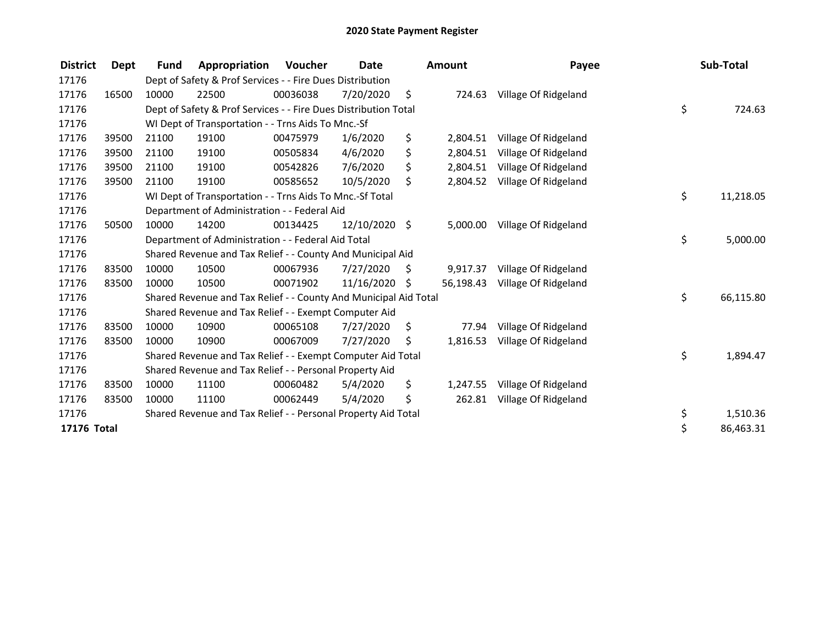| <b>District</b> | Dept  | <b>Fund</b>                                             | Appropriation                                                    | Voucher  | <b>Date</b>   |    | <b>Amount</b> | Payee                |    | Sub-Total |
|-----------------|-------|---------------------------------------------------------|------------------------------------------------------------------|----------|---------------|----|---------------|----------------------|----|-----------|
| 17176           |       |                                                         | Dept of Safety & Prof Services - - Fire Dues Distribution        |          |               |    |               |                      |    |           |
| 17176           | 16500 | 10000                                                   | 22500                                                            | 00036038 | 7/20/2020     | \$ | 724.63        | Village Of Ridgeland |    |           |
| 17176           |       |                                                         | Dept of Safety & Prof Services - - Fire Dues Distribution Total  |          |               |    |               |                      | \$ | 724.63    |
| 17176           |       |                                                         | WI Dept of Transportation - - Trns Aids To Mnc.-Sf               |          |               |    |               |                      |    |           |
| 17176           | 39500 | 21100                                                   | 19100                                                            | 00475979 | 1/6/2020      | \$ | 2,804.51      | Village Of Ridgeland |    |           |
| 17176           | 39500 | 21100                                                   | 19100                                                            | 00505834 | 4/6/2020      | \$ | 2,804.51      | Village Of Ridgeland |    |           |
| 17176           | 39500 | 21100                                                   | 19100                                                            | 00542826 | 7/6/2020      | \$ | 2,804.51      | Village Of Ridgeland |    |           |
| 17176           | 39500 | 21100                                                   | 19100                                                            | 00585652 | 10/5/2020     | \$ | 2,804.52      | Village Of Ridgeland |    |           |
| 17176           |       |                                                         | WI Dept of Transportation - - Trns Aids To Mnc.-Sf Total         |          |               |    |               |                      | \$ | 11,218.05 |
| 17176           |       |                                                         | Department of Administration - - Federal Aid                     |          |               |    |               |                      |    |           |
| 17176           | 50500 | 10000                                                   | 14200                                                            | 00134425 | 12/10/2020 \$ |    | 5,000.00      | Village Of Ridgeland |    |           |
| 17176           |       |                                                         | Department of Administration - - Federal Aid Total               |          |               |    |               |                      | \$ | 5,000.00  |
| 17176           |       |                                                         | Shared Revenue and Tax Relief - - County And Municipal Aid       |          |               |    |               |                      |    |           |
| 17176           | 83500 | 10000                                                   | 10500                                                            | 00067936 | 7/27/2020     | \$ | 9,917.37      | Village Of Ridgeland |    |           |
| 17176           | 83500 | 10000                                                   | 10500                                                            | 00071902 | 11/16/2020    | S  | 56,198.43     | Village Of Ridgeland |    |           |
| 17176           |       |                                                         | Shared Revenue and Tax Relief - - County And Municipal Aid Total |          |               |    |               |                      | \$ | 66,115.80 |
| 17176           |       |                                                         | Shared Revenue and Tax Relief - - Exempt Computer Aid            |          |               |    |               |                      |    |           |
| 17176           | 83500 | 10000                                                   | 10900                                                            | 00065108 | 7/27/2020     | \$ | 77.94         | Village Of Ridgeland |    |           |
| 17176           | 83500 | 10000                                                   | 10900                                                            | 00067009 | 7/27/2020     | \$ | 1,816.53      | Village Of Ridgeland |    |           |
| 17176           |       |                                                         | Shared Revenue and Tax Relief - - Exempt Computer Aid Total      |          |               |    |               |                      | \$ | 1,894.47  |
| 17176           |       | Shared Revenue and Tax Relief - - Personal Property Aid |                                                                  |          |               |    |               |                      |    |           |
| 17176           | 83500 | 10000                                                   | 11100                                                            | 00060482 | 5/4/2020      | \$ | 1,247.55      | Village Of Ridgeland |    |           |
| 17176           | 83500 | 10000                                                   | 11100                                                            | 00062449 | 5/4/2020      | \$ | 262.81        | Village Of Ridgeland |    |           |
| 17176           |       |                                                         | Shared Revenue and Tax Relief - - Personal Property Aid Total    |          |               |    |               |                      | \$ | 1,510.36  |
| 17176 Total     |       |                                                         |                                                                  |          |               |    |               |                      |    | 86,463.31 |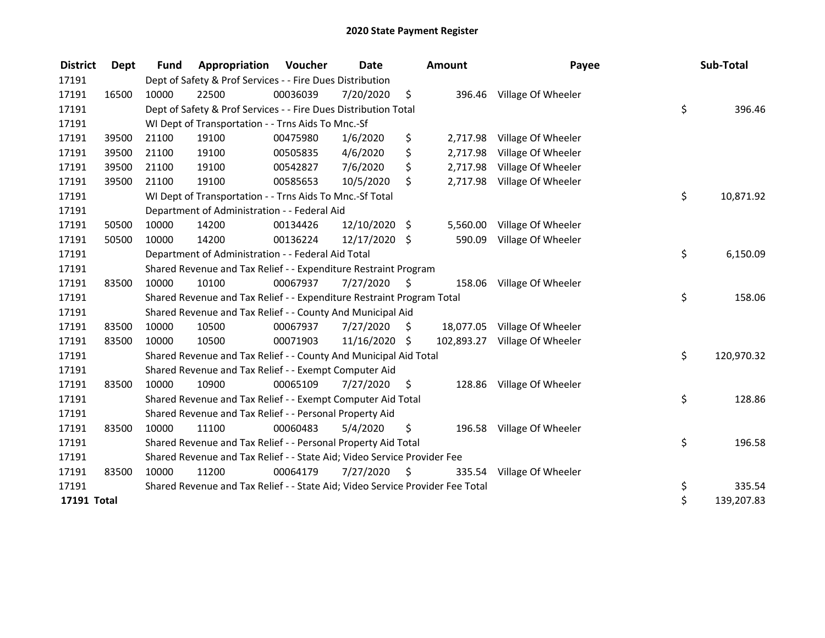| <b>District</b> | Dept  | <b>Fund</b>                                               | Appropriation                                                                 | <b>Voucher</b> | Date          |      | Amount   | Payee                         |    | Sub-Total  |
|-----------------|-------|-----------------------------------------------------------|-------------------------------------------------------------------------------|----------------|---------------|------|----------|-------------------------------|----|------------|
| 17191           |       | Dept of Safety & Prof Services - - Fire Dues Distribution |                                                                               |                |               |      |          |                               |    |            |
| 17191           | 16500 | 10000                                                     | 22500                                                                         | 00036039       | 7/20/2020     | \$   |          | 396.46 Village Of Wheeler     |    |            |
| 17191           |       |                                                           | Dept of Safety & Prof Services - - Fire Dues Distribution Total               |                |               |      |          |                               | \$ | 396.46     |
| 17191           |       |                                                           | WI Dept of Transportation - - Trns Aids To Mnc.-Sf                            |                |               |      |          |                               |    |            |
| 17191           | 39500 | 21100                                                     | 19100                                                                         | 00475980       | 1/6/2020      | \$   | 2,717.98 | Village Of Wheeler            |    |            |
| 17191           | 39500 | 21100                                                     | 19100                                                                         | 00505835       | 4/6/2020      | \$   | 2,717.98 | Village Of Wheeler            |    |            |
| 17191           | 39500 | 21100                                                     | 19100                                                                         | 00542827       | 7/6/2020      | \$   | 2,717.98 | Village Of Wheeler            |    |            |
| 17191           | 39500 | 21100                                                     | 19100                                                                         | 00585653       | 10/5/2020     | \$   |          | 2,717.98 Village Of Wheeler   |    |            |
| 17191           |       |                                                           | WI Dept of Transportation - - Trns Aids To Mnc.-Sf Total                      |                |               |      |          |                               | \$ | 10,871.92  |
| 17191           |       |                                                           | Department of Administration - - Federal Aid                                  |                |               |      |          |                               |    |            |
| 17191           | 50500 | 10000                                                     | 14200                                                                         | 00134426       | 12/10/2020 \$ |      | 5,560.00 | Village Of Wheeler            |    |            |
| 17191           | 50500 | 10000                                                     | 14200                                                                         | 00136224       | 12/17/2020 \$ |      | 590.09   | Village Of Wheeler            |    |            |
| 17191           |       |                                                           | Department of Administration - - Federal Aid Total                            |                |               |      |          |                               | \$ | 6,150.09   |
| 17191           |       |                                                           | Shared Revenue and Tax Relief - - Expenditure Restraint Program               |                |               |      |          |                               |    |            |
| 17191           | 83500 | 10000                                                     | 10100                                                                         | 00067937       | 7/27/2020     | \$   | 158.06   | Village Of Wheeler            |    |            |
| 17191           |       |                                                           | Shared Revenue and Tax Relief - - Expenditure Restraint Program Total         |                |               |      |          |                               | \$ | 158.06     |
| 17191           |       |                                                           | Shared Revenue and Tax Relief - - County And Municipal Aid                    |                |               |      |          |                               |    |            |
| 17191           | 83500 | 10000                                                     | 10500                                                                         | 00067937       | 7/27/2020     | \$   |          | 18,077.05 Village Of Wheeler  |    |            |
| 17191           | 83500 | 10000                                                     | 10500                                                                         | 00071903       | 11/16/2020 \$ |      |          | 102,893.27 Village Of Wheeler |    |            |
| 17191           |       |                                                           | Shared Revenue and Tax Relief - - County And Municipal Aid Total              |                |               |      |          |                               | \$ | 120,970.32 |
| 17191           |       |                                                           | Shared Revenue and Tax Relief - - Exempt Computer Aid                         |                |               |      |          |                               |    |            |
| 17191           | 83500 | 10000                                                     | 10900                                                                         | 00065109       | 7/27/2020     | \$   | 128.86   | Village Of Wheeler            |    |            |
| 17191           |       |                                                           | Shared Revenue and Tax Relief - - Exempt Computer Aid Total                   |                |               |      |          |                               | \$ | 128.86     |
| 17191           |       |                                                           | Shared Revenue and Tax Relief - - Personal Property Aid                       |                |               |      |          |                               |    |            |
| 17191           | 83500 | 10000                                                     | 11100                                                                         | 00060483       | 5/4/2020      | \$   |          | 196.58 Village Of Wheeler     |    |            |
| 17191           |       |                                                           | Shared Revenue and Tax Relief - - Personal Property Aid Total                 |                |               |      |          |                               | \$ | 196.58     |
| 17191           |       |                                                           | Shared Revenue and Tax Relief - - State Aid; Video Service Provider Fee       |                |               |      |          |                               |    |            |
| 17191           | 83500 | 10000                                                     | 11200                                                                         | 00064179       | 7/27/2020     | - \$ | 335.54   | Village Of Wheeler            |    |            |
| 17191           |       |                                                           | Shared Revenue and Tax Relief - - State Aid; Video Service Provider Fee Total |                |               |      |          |                               | \$ | 335.54     |
| 17191 Total     |       |                                                           |                                                                               |                |               |      |          |                               | \$ | 139,207.83 |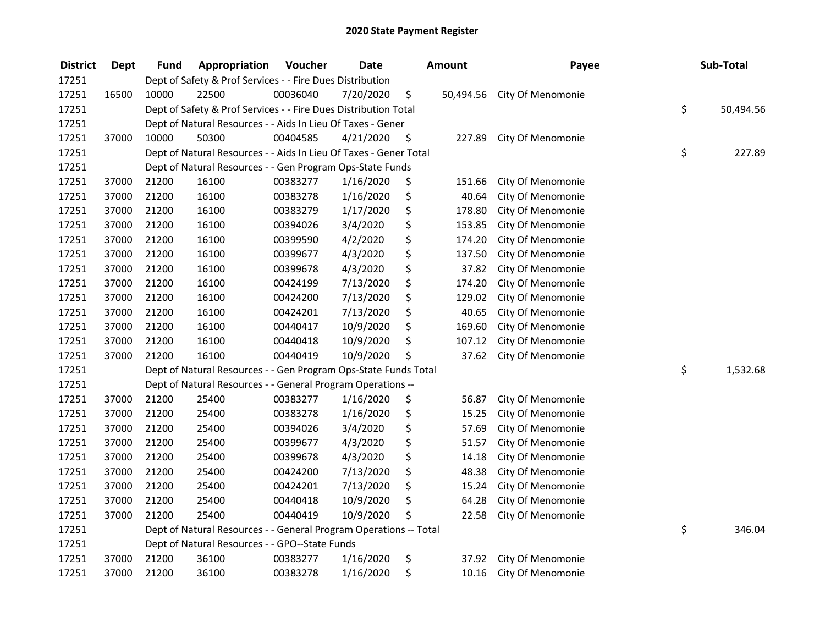| <b>District</b> | Dept  | Fund                                                              | Appropriation                                                     | Voucher  | <b>Date</b> |    | <b>Amount</b> | Payee             |    | Sub-Total |  |
|-----------------|-------|-------------------------------------------------------------------|-------------------------------------------------------------------|----------|-------------|----|---------------|-------------------|----|-----------|--|
| 17251           |       |                                                                   | Dept of Safety & Prof Services - - Fire Dues Distribution         |          |             |    |               |                   |    |           |  |
| 17251           | 16500 | 10000                                                             | 22500                                                             | 00036040 | 7/20/2020   | \$ | 50,494.56     | City Of Menomonie |    |           |  |
| 17251           |       |                                                                   | Dept of Safety & Prof Services - - Fire Dues Distribution Total   |          |             |    |               |                   | \$ | 50,494.56 |  |
| 17251           |       |                                                                   | Dept of Natural Resources - - Aids In Lieu Of Taxes - Gener       |          |             |    |               |                   |    |           |  |
| 17251           | 37000 | 10000                                                             | 50300                                                             | 00404585 | 4/21/2020   | \$ | 227.89        | City Of Menomonie |    |           |  |
| 17251           |       |                                                                   | Dept of Natural Resources - - Aids In Lieu Of Taxes - Gener Total |          |             |    |               |                   | \$ | 227.89    |  |
| 17251           |       |                                                                   | Dept of Natural Resources - - Gen Program Ops-State Funds         |          |             |    |               |                   |    |           |  |
| 17251           | 37000 | 21200                                                             | 16100                                                             | 00383277 | 1/16/2020   | \$ | 151.66        | City Of Menomonie |    |           |  |
| 17251           | 37000 | 21200                                                             | 16100                                                             | 00383278 | 1/16/2020   | \$ | 40.64         | City Of Menomonie |    |           |  |
| 17251           | 37000 | 21200                                                             | 16100                                                             | 00383279 | 1/17/2020   | \$ | 178.80        | City Of Menomonie |    |           |  |
| 17251           | 37000 | 21200                                                             | 16100                                                             | 00394026 | 3/4/2020    | \$ | 153.85        | City Of Menomonie |    |           |  |
| 17251           | 37000 | 21200                                                             | 16100                                                             | 00399590 | 4/2/2020    | \$ | 174.20        | City Of Menomonie |    |           |  |
| 17251           | 37000 | 21200                                                             | 16100                                                             | 00399677 | 4/3/2020    | \$ | 137.50        | City Of Menomonie |    |           |  |
| 17251           | 37000 | 21200                                                             | 16100                                                             | 00399678 | 4/3/2020    | \$ | 37.82         | City Of Menomonie |    |           |  |
| 17251           | 37000 | 21200                                                             | 16100                                                             | 00424199 | 7/13/2020   | \$ | 174.20        | City Of Menomonie |    |           |  |
| 17251           | 37000 | 21200                                                             | 16100                                                             | 00424200 | 7/13/2020   | \$ | 129.02        | City Of Menomonie |    |           |  |
| 17251           | 37000 | 21200                                                             | 16100                                                             | 00424201 | 7/13/2020   | \$ | 40.65         | City Of Menomonie |    |           |  |
| 17251           | 37000 | 21200                                                             | 16100                                                             | 00440417 | 10/9/2020   | \$ | 169.60        | City Of Menomonie |    |           |  |
| 17251           | 37000 | 21200                                                             | 16100                                                             | 00440418 | 10/9/2020   | \$ | 107.12        | City Of Menomonie |    |           |  |
| 17251           | 37000 | 21200                                                             | 16100                                                             | 00440419 | 10/9/2020   | \$ | 37.62         | City Of Menomonie |    |           |  |
| 17251           |       |                                                                   | Dept of Natural Resources - - Gen Program Ops-State Funds Total   |          |             |    |               |                   | \$ | 1,532.68  |  |
| 17251           |       |                                                                   | Dept of Natural Resources - - General Program Operations --       |          |             |    |               |                   |    |           |  |
| 17251           | 37000 | 21200                                                             | 25400                                                             | 00383277 | 1/16/2020   | \$ | 56.87         | City Of Menomonie |    |           |  |
| 17251           | 37000 | 21200                                                             | 25400                                                             | 00383278 | 1/16/2020   | \$ | 15.25         | City Of Menomonie |    |           |  |
| 17251           | 37000 | 21200                                                             | 25400                                                             | 00394026 | 3/4/2020    | \$ | 57.69         | City Of Menomonie |    |           |  |
| 17251           | 37000 | 21200                                                             | 25400                                                             | 00399677 | 4/3/2020    | \$ | 51.57         | City Of Menomonie |    |           |  |
| 17251           | 37000 | 21200                                                             | 25400                                                             | 00399678 | 4/3/2020    | \$ | 14.18         | City Of Menomonie |    |           |  |
| 17251           | 37000 | 21200                                                             | 25400                                                             | 00424200 | 7/13/2020   | \$ | 48.38         | City Of Menomonie |    |           |  |
| 17251           | 37000 | 21200                                                             | 25400                                                             | 00424201 | 7/13/2020   | \$ | 15.24         | City Of Menomonie |    |           |  |
| 17251           | 37000 | 21200                                                             | 25400                                                             | 00440418 | 10/9/2020   | \$ | 64.28         | City Of Menomonie |    |           |  |
| 17251           | 37000 | 21200                                                             | 25400                                                             | 00440419 | 10/9/2020   | \$ | 22.58         | City Of Menomonie |    |           |  |
| 17251           |       | Dept of Natural Resources - - General Program Operations -- Total |                                                                   |          |             |    |               |                   |    | 346.04    |  |
| 17251           |       |                                                                   | Dept of Natural Resources - - GPO--State Funds                    |          |             |    |               |                   |    |           |  |
| 17251           | 37000 | 21200                                                             | 36100                                                             | 00383277 | 1/16/2020   | \$ | 37.92         | City Of Menomonie |    |           |  |
| 17251           | 37000 | 21200                                                             | 36100                                                             | 00383278 | 1/16/2020   | \$ | 10.16         | City Of Menomonie |    |           |  |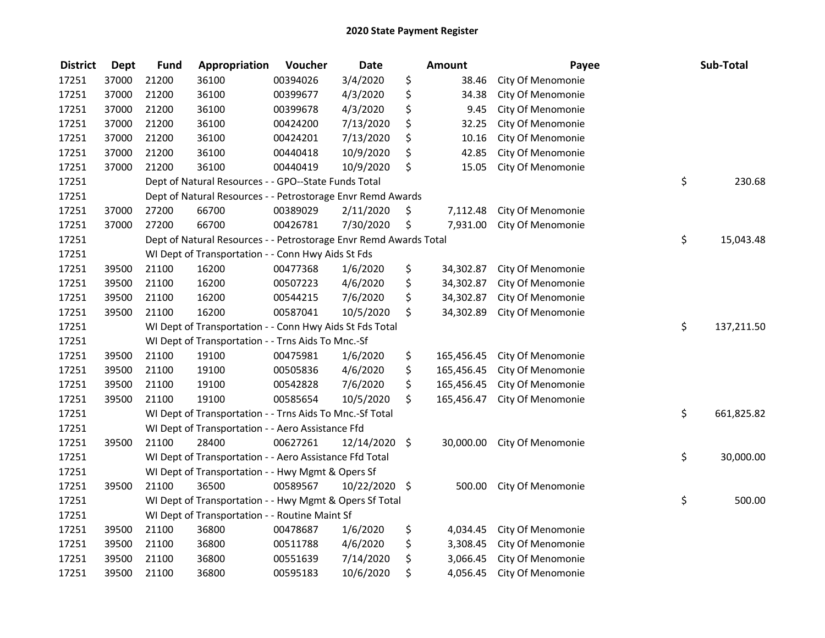| <b>District</b> | <b>Dept</b> | <b>Fund</b>                                              | Appropriation                                                     | Voucher      | <b>Date</b>   | Amount           | Payee             | Sub-Total        |
|-----------------|-------------|----------------------------------------------------------|-------------------------------------------------------------------|--------------|---------------|------------------|-------------------|------------------|
| 17251           | 37000       | 21200                                                    | 36100                                                             | 00394026     | 3/4/2020      | \$<br>38.46      | City Of Menomonie |                  |
| 17251           | 37000       | 21200                                                    | 36100                                                             | 00399677     | 4/3/2020      | \$<br>34.38      | City Of Menomonie |                  |
| 17251           | 37000       | 21200                                                    | 36100                                                             | 00399678     | 4/3/2020      | \$<br>9.45       | City Of Menomonie |                  |
| 17251           | 37000       | 21200                                                    | 36100                                                             | 00424200     | 7/13/2020     | \$<br>32.25      | City Of Menomonie |                  |
| 17251           | 37000       | 21200                                                    | 36100                                                             | 00424201     | 7/13/2020     | \$<br>10.16      | City Of Menomonie |                  |
| 17251           | 37000       | 21200                                                    | 36100                                                             | 00440418     | 10/9/2020     | \$<br>42.85      | City Of Menomonie |                  |
| 17251           | 37000       | 21200                                                    | 36100                                                             | 00440419     | 10/9/2020     | \$<br>15.05      | City Of Menomonie |                  |
| 17251           |             |                                                          | Dept of Natural Resources - - GPO--State Funds Total              | \$<br>230.68 |               |                  |                   |                  |
| 17251           |             |                                                          | Dept of Natural Resources - - Petrostorage Envr Remd Awards       |              |               |                  |                   |                  |
| 17251           | 37000       | 27200                                                    | 66700                                                             | 00389029     | 2/11/2020     | \$<br>7,112.48   | City Of Menomonie |                  |
| 17251           | 37000       | 27200                                                    | 66700                                                             | 00426781     | 7/30/2020     | \$<br>7,931.00   | City Of Menomonie |                  |
| 17251           |             |                                                          | Dept of Natural Resources - - Petrostorage Envr Remd Awards Total |              |               |                  |                   | \$<br>15,043.48  |
| 17251           |             |                                                          | WI Dept of Transportation - - Conn Hwy Aids St Fds                |              |               |                  |                   |                  |
| 17251           | 39500       | 21100                                                    | 16200                                                             | 00477368     | 1/6/2020      | \$<br>34,302.87  | City Of Menomonie |                  |
| 17251           | 39500       | 21100                                                    | 16200                                                             | 00507223     | 4/6/2020      | \$<br>34,302.87  | City Of Menomonie |                  |
| 17251           | 39500       | 21100                                                    | 16200                                                             | 00544215     | 7/6/2020      | \$<br>34,302.87  | City Of Menomonie |                  |
| 17251           | 39500       | 21100                                                    | 16200                                                             | 00587041     | 10/5/2020     | \$<br>34,302.89  | City Of Menomonie |                  |
| 17251           |             | WI Dept of Transportation - - Conn Hwy Aids St Fds Total | \$<br>137,211.50                                                  |              |               |                  |                   |                  |
| 17251           |             |                                                          | WI Dept of Transportation - - Trns Aids To Mnc.-Sf                |              |               |                  |                   |                  |
| 17251           | 39500       | 21100                                                    | 19100                                                             | 00475981     | 1/6/2020      | \$<br>165,456.45 | City Of Menomonie |                  |
| 17251           | 39500       | 21100                                                    | 19100                                                             | 00505836     | 4/6/2020      | \$<br>165,456.45 | City Of Menomonie |                  |
| 17251           | 39500       | 21100                                                    | 19100                                                             | 00542828     | 7/6/2020      | \$<br>165,456.45 | City Of Menomonie |                  |
| 17251           | 39500       | 21100                                                    | 19100                                                             | 00585654     | 10/5/2020     | \$<br>165,456.47 | City Of Menomonie |                  |
| 17251           |             |                                                          | WI Dept of Transportation - - Trns Aids To Mnc.-Sf Total          |              |               |                  |                   | \$<br>661,825.82 |
| 17251           |             |                                                          | WI Dept of Transportation - - Aero Assistance Ffd                 |              |               |                  |                   |                  |
| 17251           | 39500       | 21100                                                    | 28400                                                             | 00627261     | 12/14/2020    | \$<br>30,000.00  | City Of Menomonie |                  |
| 17251           |             |                                                          | WI Dept of Transportation - - Aero Assistance Ffd Total           |              |               |                  |                   | \$<br>30,000.00  |
| 17251           |             |                                                          | WI Dept of Transportation - - Hwy Mgmt & Opers Sf                 |              |               |                  |                   |                  |
| 17251           | 39500       | 21100                                                    | 36500                                                             | 00589567     | 10/22/2020 \$ | 500.00           | City Of Menomonie |                  |
| 17251           |             |                                                          | WI Dept of Transportation - - Hwy Mgmt & Opers Sf Total           |              |               |                  |                   | \$<br>500.00     |
| 17251           |             |                                                          | WI Dept of Transportation - - Routine Maint Sf                    |              |               |                  |                   |                  |
| 17251           | 39500       | 21100                                                    | 36800                                                             | 00478687     | 1/6/2020      | \$<br>4,034.45   | City Of Menomonie |                  |
| 17251           | 39500       | 21100                                                    | 36800                                                             | 00511788     | 4/6/2020      | \$<br>3,308.45   | City Of Menomonie |                  |
| 17251           | 39500       | 21100                                                    | 36800                                                             | 00551639     | 7/14/2020     | \$<br>3,066.45   | City Of Menomonie |                  |
| 17251           | 39500       | 21100                                                    | 36800                                                             | 00595183     | 10/6/2020     | \$<br>4,056.45   | City Of Menomonie |                  |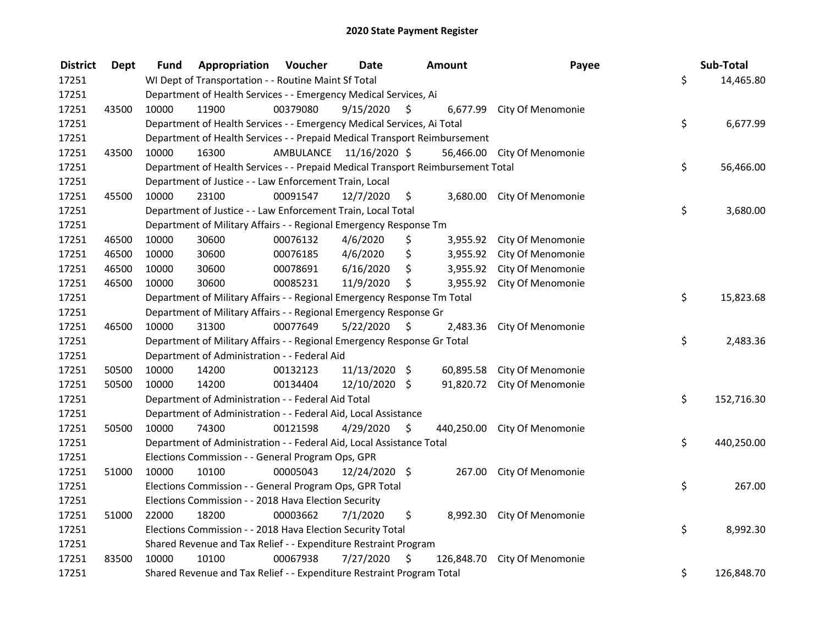| <b>District</b> | <b>Dept</b> | Fund                                                                    | Appropriation                                                                   | Voucher  | <b>Date</b>             |    | Amount     | Payee                       |    | Sub-Total  |  |
|-----------------|-------------|-------------------------------------------------------------------------|---------------------------------------------------------------------------------|----------|-------------------------|----|------------|-----------------------------|----|------------|--|
| 17251           |             |                                                                         | WI Dept of Transportation - - Routine Maint Sf Total                            |          |                         |    |            |                             | \$ | 14,465.80  |  |
| 17251           |             | Department of Health Services - - Emergency Medical Services, Ai        |                                                                                 |          |                         |    |            |                             |    |            |  |
| 17251           | 43500       | 10000                                                                   | 11900                                                                           | 00379080 | 9/15/2020               | S  |            | 6,677.99 City Of Menomonie  |    |            |  |
| 17251           |             |                                                                         | Department of Health Services - - Emergency Medical Services, Ai Total          |          |                         |    |            |                             | \$ | 6,677.99   |  |
| 17251           |             |                                                                         | Department of Health Services - - Prepaid Medical Transport Reimbursement       |          |                         |    |            |                             |    |            |  |
| 17251           | 43500       | 10000                                                                   | 16300                                                                           |          | AMBULANCE 11/16/2020 \$ |    |            | 56,466.00 City Of Menomonie |    |            |  |
| 17251           |             |                                                                         | Department of Health Services - - Prepaid Medical Transport Reimbursement Total |          |                         |    |            |                             | \$ | 56,466.00  |  |
| 17251           |             |                                                                         | Department of Justice - - Law Enforcement Train, Local                          |          |                         |    |            |                             |    |            |  |
| 17251           | 45500       | 10000                                                                   | 23100                                                                           | 00091547 | 12/7/2020               | \$ |            | 3,680.00 City Of Menomonie  |    |            |  |
| 17251           |             |                                                                         | Department of Justice - - Law Enforcement Train, Local Total                    |          |                         |    |            |                             | \$ | 3,680.00   |  |
| 17251           |             |                                                                         | Department of Military Affairs - - Regional Emergency Response Tm               |          |                         |    |            |                             |    |            |  |
| 17251           | 46500       | 10000                                                                   | 30600                                                                           | 00076132 | 4/6/2020                | \$ | 3,955.92   | City Of Menomonie           |    |            |  |
| 17251           | 46500       | 10000                                                                   | 30600                                                                           | 00076185 | 4/6/2020                | \$ | 3,955.92   | City Of Menomonie           |    |            |  |
| 17251           | 46500       | 10000                                                                   | 30600                                                                           | 00078691 | 6/16/2020               | \$ | 3,955.92   | City Of Menomonie           |    |            |  |
| 17251           | 46500       | 10000                                                                   | 30600                                                                           | 00085231 | 11/9/2020               | \$ | 3,955.92   | City Of Menomonie           |    |            |  |
| 17251           |             | Department of Military Affairs - - Regional Emergency Response Tm Total |                                                                                 |          |                         |    |            |                             | \$ | 15,823.68  |  |
| 17251           |             |                                                                         | Department of Military Affairs - - Regional Emergency Response Gr               |          |                         |    |            |                             |    |            |  |
| 17251           | 46500       | 10000                                                                   | 31300                                                                           | 00077649 | 5/22/2020               | \$ | 2,483.36   | City Of Menomonie           |    |            |  |
| 17251           |             |                                                                         | Department of Military Affairs - - Regional Emergency Response Gr Total         |          |                         |    |            |                             | \$ | 2,483.36   |  |
| 17251           |             |                                                                         | Department of Administration - - Federal Aid                                    |          |                         |    |            |                             |    |            |  |
| 17251           | 50500       | 10000                                                                   | 14200                                                                           | 00132123 | 11/13/2020 \$           |    |            | 60,895.58 City Of Menomonie |    |            |  |
| 17251           | 50500       | 10000                                                                   | 14200                                                                           | 00134404 | 12/10/2020 \$           |    |            | 91,820.72 City Of Menomonie |    |            |  |
| 17251           |             |                                                                         | Department of Administration - - Federal Aid Total                              |          |                         |    |            |                             | \$ | 152,716.30 |  |
| 17251           |             |                                                                         | Department of Administration - - Federal Aid, Local Assistance                  |          |                         |    |            |                             |    |            |  |
| 17251           | 50500       | 10000                                                                   | 74300                                                                           | 00121598 | 4/29/2020               | \$ | 440,250.00 | City Of Menomonie           |    |            |  |
| 17251           |             |                                                                         | Department of Administration - - Federal Aid, Local Assistance Total            |          |                         |    |            |                             | \$ | 440,250.00 |  |
| 17251           |             |                                                                         | Elections Commission - - General Program Ops, GPR                               |          |                         |    |            |                             |    |            |  |
| 17251           | 51000       | 10000                                                                   | 10100                                                                           | 00005043 | 12/24/2020 \$           |    |            | 267.00 City Of Menomonie    |    |            |  |
| 17251           |             |                                                                         | Elections Commission - - General Program Ops, GPR Total                         |          |                         |    |            |                             | \$ | 267.00     |  |
| 17251           |             |                                                                         | Elections Commission - - 2018 Hava Election Security                            |          |                         |    |            |                             |    |            |  |
| 17251           | 51000       | 22000                                                                   | 18200                                                                           | 00003662 | 7/1/2020                | \$ | 8,992.30   | City Of Menomonie           |    |            |  |
| 17251           |             |                                                                         | Elections Commission - - 2018 Hava Election Security Total                      |          |                         |    |            |                             | \$ | 8,992.30   |  |
| 17251           |             |                                                                         | Shared Revenue and Tax Relief - - Expenditure Restraint Program                 |          |                         |    |            |                             |    |            |  |
| 17251           | 83500       | 10000                                                                   | 10100                                                                           | 00067938 | 7/27/2020               | \$ | 126,848.70 | City Of Menomonie           |    |            |  |
| 17251           |             |                                                                         | Shared Revenue and Tax Relief - - Expenditure Restraint Program Total           |          |                         |    |            |                             | \$ | 126,848.70 |  |